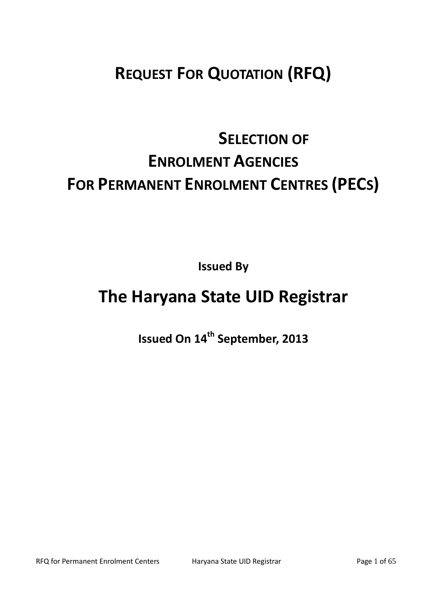# **REQUEST FOR QUOTATION (RFQ)**

# **SELECTION OF ENROLMENT AGENCIES FOR PERMANENT ENROLMENT CENTRES (PECS)**

**Issued By**

# **The Haryana State UID Registrar**

**Issued On 14 th September, 2013**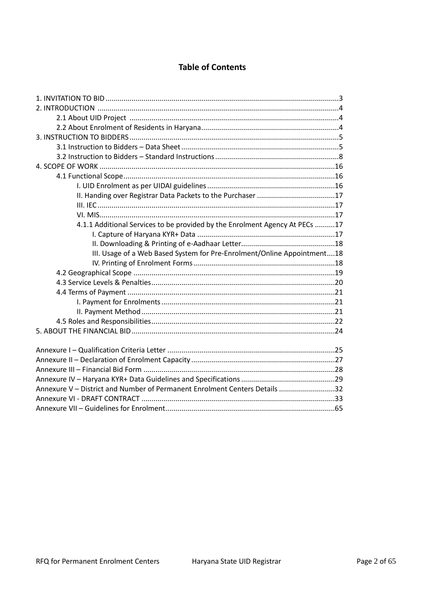# **Table of Contents**

| 4.1.1 Additional Services to be provided by the Enrolment Agency At PECs 17 |  |
|-----------------------------------------------------------------------------|--|
|                                                                             |  |
|                                                                             |  |
| III. Usage of a Web Based System for Pre-Enrolment/Online Appointment18     |  |
|                                                                             |  |
|                                                                             |  |
|                                                                             |  |
|                                                                             |  |
|                                                                             |  |
|                                                                             |  |
|                                                                             |  |
|                                                                             |  |
|                                                                             |  |
|                                                                             |  |
|                                                                             |  |
|                                                                             |  |
|                                                                             |  |
| Annexure V - District and Number of Permanent Enrolment Centers Details 32  |  |
|                                                                             |  |
|                                                                             |  |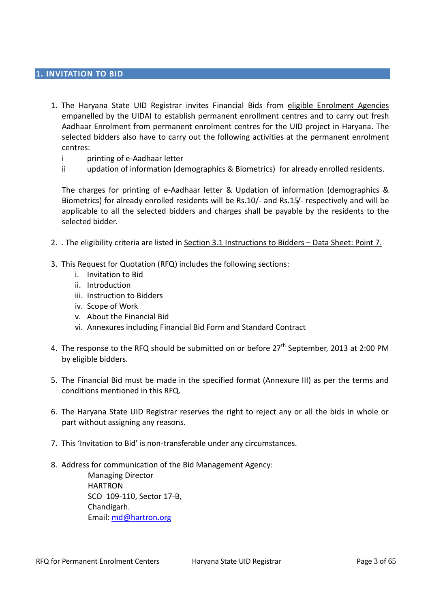#### **1. INVITATION TO BID**

- 1. The Haryana State UID Registrar invites Financial Bids from eligible Enrolment Agencies empanelled by the UIDAI to establish permanent enrollment centres and to carry out fresh Aadhaar Enrolment from permanent enrolment centres for the UID project in Haryana. The selected bidders also have to carry out the following activities at the permanent enrolment centres:
	- i printing of e-Aadhaar letter
	- ii updation of information (demographics & Biometrics) for already enrolled residents.

The charges for printing of e-Aadhaar letter & Updation of information (demographics & Biometrics) for already enrolled residents will be Rs.10/- and Rs.15/- respectively and will be applicable to all the selected bidders and charges shall be payable by the residents to the selected bidder.

- 2. . The eligibility criteria are listed in Section 3.1 Instructions to Bidders Data Sheet: Point 7.
- 3. This Request for Quotation (RFQ) includes the following sections:
	- i. Invitation to Bid
	- ii. Introduction
	- iii. Instruction to Bidders
	- iv. Scope of Work
	- v. About the Financial Bid
	- vi. Annexures including Financial Bid Form and Standard Contract
- 4. The response to the RFQ should be submitted on or before 27<sup>th</sup> September, 2013 at 2:00 PM by eligible bidders.
- 5. The Financial Bid must be made in the specified format (Annexure III) as per the terms and conditions mentioned in this RFQ.
- 6. The Haryana State UID Registrar reserves the right to reject any or all the bids in whole or part without assigning any reasons.
- 7. This 'Invitation to Bid' is non-transferable under any circumstances.
- 8. Address for communication of the Bid Management Agency:

Managing Director HARTRON SCO 109-110, Sector 17-B, Chandigarh. Email: [md@hartron.org](mailto:md@hartron.org)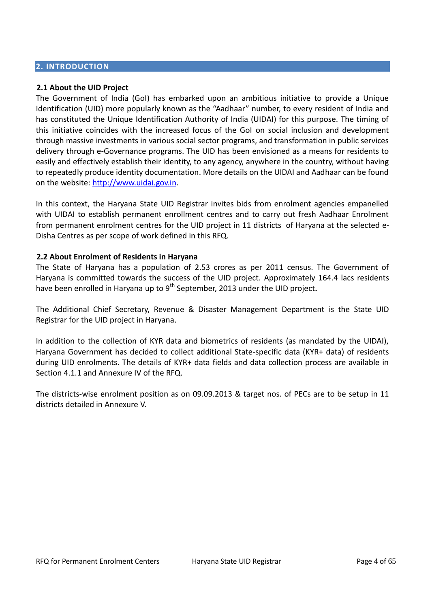#### **2. INTRODUCTION**

#### **2.1 About the UID Project**

The Government of India (GoI) has embarked upon an ambitious initiative to provide a Unique Identification (UID) more popularly known as the "Aadhaar" number, to every resident of India and has constituted the Unique Identification Authority of India (UIDAI) for this purpose. The timing of this initiative coincides with the increased focus of the GoI on social inclusion and development through massive investments in various social sector programs, and transformation in public services delivery through e-Governance programs. The UID has been envisioned as a means for residents to easily and effectively establish their identity, to any agency, anywhere in the country, without having to repeatedly produce identity documentation. More details on the UIDAI and Aadhaar can be found on the website: [http://www.uidai.gov.in.](http://www.uidai.gov.in/)

In this context, the Haryana State UID Registrar invites bids from enrolment agencies empanelled with UIDAI to establish permanent enrollment centres and to carry out fresh Aadhaar Enrolment from permanent enrolment centres for the UID project in 11 districts of Haryana at the selected e-Disha Centres as per scope of work defined in this RFQ.

#### **2.2 About Enrolment of Residents in Haryana**

The State of Haryana has a population of 2.53 crores as per 2011 census. The Government of Haryana is committed towards the success of the UID project. Approximately 164.4 lacs residents have been enrolled in Haryana up to 9<sup>th</sup> September, 2013 under the UID project**.** 

The Additional Chief Secretary, Revenue & Disaster Management Department is the State UID Registrar for the UID project in Haryana.

In addition to the collection of KYR data and biometrics of residents (as mandated by the UIDAI), Haryana Government has decided to collect additional State-specific data (KYR+ data) of residents during UID enrolments. The details of KYR+ data fields and data collection process are available in Section 4.1.1 and Annexure IV of the RFQ.

The districts-wise enrolment position as on 09.09.2013 & target nos. of PECs are to be setup in 11 districts detailed in Annexure V.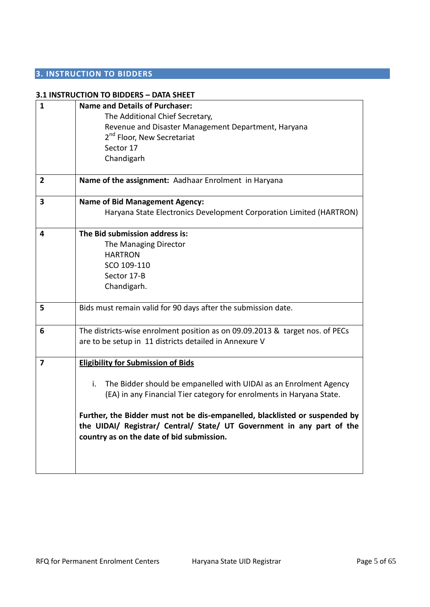# **3. INSTRUCTION TO BIDDERS**

|                | 3.1 INSTRUCTION TO BIDDERS - DATA SHEET                                                                                                                                                            |  |  |  |
|----------------|----------------------------------------------------------------------------------------------------------------------------------------------------------------------------------------------------|--|--|--|
| $\mathbf{1}$   | <b>Name and Details of Purchaser:</b><br>The Additional Chief Secretary,<br>Revenue and Disaster Management Department, Haryana                                                                    |  |  |  |
|                | 2 <sup>nd</sup> Floor, New Secretariat                                                                                                                                                             |  |  |  |
|                | Sector 17                                                                                                                                                                                          |  |  |  |
|                | Chandigarh                                                                                                                                                                                         |  |  |  |
| $\overline{2}$ | Name of the assignment: Aadhaar Enrolment in Haryana                                                                                                                                               |  |  |  |
|                |                                                                                                                                                                                                    |  |  |  |
| 3              | <b>Name of Bid Management Agency:</b>                                                                                                                                                              |  |  |  |
|                | Haryana State Electronics Development Corporation Limited (HARTRON)                                                                                                                                |  |  |  |
| 4              | The Bid submission address is:                                                                                                                                                                     |  |  |  |
|                | The Managing Director                                                                                                                                                                              |  |  |  |
|                | <b>HARTRON</b>                                                                                                                                                                                     |  |  |  |
|                | SCO 109-110                                                                                                                                                                                        |  |  |  |
|                | Sector 17-B                                                                                                                                                                                        |  |  |  |
|                | Chandigarh.                                                                                                                                                                                        |  |  |  |
| 5              | Bids must remain valid for 90 days after the submission date.                                                                                                                                      |  |  |  |
| 6              | The districts-wise enrolment position as on 09.09.2013 & target nos. of PECs                                                                                                                       |  |  |  |
|                | are to be setup in 11 districts detailed in Annexure V                                                                                                                                             |  |  |  |
| 7              | <b>Eligibility for Submission of Bids</b>                                                                                                                                                          |  |  |  |
|                |                                                                                                                                                                                                    |  |  |  |
|                | The Bidder should be empanelled with UIDAI as an Enrolment Agency<br>i.                                                                                                                            |  |  |  |
|                | (EA) in any Financial Tier category for enrolments in Haryana State.                                                                                                                               |  |  |  |
|                | Further, the Bidder must not be dis-empanelled, blacklisted or suspended by<br>the UIDAI/ Registrar/ Central/ State/ UT Government in any part of the<br>country as on the date of bid submission. |  |  |  |
|                |                                                                                                                                                                                                    |  |  |  |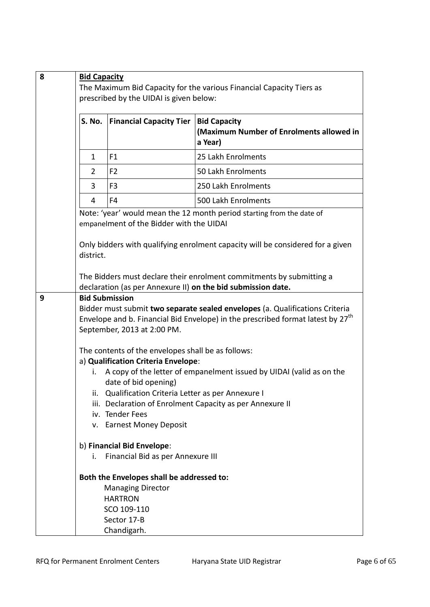| 8 | <b>Bid Capacity</b>                                                  |                                                                                                                                                                                                                                                                                                                                                                                                                                                                                                                                                                                                     |                                                                                                                                      |  |
|---|----------------------------------------------------------------------|-----------------------------------------------------------------------------------------------------------------------------------------------------------------------------------------------------------------------------------------------------------------------------------------------------------------------------------------------------------------------------------------------------------------------------------------------------------------------------------------------------------------------------------------------------------------------------------------------------|--------------------------------------------------------------------------------------------------------------------------------------|--|
|   | The Maximum Bid Capacity for the various Financial Capacity Tiers as |                                                                                                                                                                                                                                                                                                                                                                                                                                                                                                                                                                                                     |                                                                                                                                      |  |
|   | prescribed by the UIDAI is given below:                              |                                                                                                                                                                                                                                                                                                                                                                                                                                                                                                                                                                                                     |                                                                                                                                      |  |
|   | S. No.                                                               | <b>Financial Capacity Tier</b>                                                                                                                                                                                                                                                                                                                                                                                                                                                                                                                                                                      | <b>Bid Capacity</b><br>(Maximum Number of Enrolments allowed in<br>a Year)                                                           |  |
|   | $\mathbf{1}$                                                         | F <sub>1</sub>                                                                                                                                                                                                                                                                                                                                                                                                                                                                                                                                                                                      | 25 Lakh Enrolments                                                                                                                   |  |
|   | 2                                                                    | F <sub>2</sub>                                                                                                                                                                                                                                                                                                                                                                                                                                                                                                                                                                                      | 50 Lakh Enrolments                                                                                                                   |  |
|   | 3                                                                    | F <sub>3</sub>                                                                                                                                                                                                                                                                                                                                                                                                                                                                                                                                                                                      | 250 Lakh Enrolments                                                                                                                  |  |
|   | 4                                                                    | F4                                                                                                                                                                                                                                                                                                                                                                                                                                                                                                                                                                                                  | 500 Lakh Enrolments                                                                                                                  |  |
|   |                                                                      | empanelment of the Bidder with the UIDAI                                                                                                                                                                                                                                                                                                                                                                                                                                                                                                                                                            | Note: 'year' would mean the 12 month period starting from the date of                                                                |  |
|   | district.                                                            |                                                                                                                                                                                                                                                                                                                                                                                                                                                                                                                                                                                                     | Only bidders with qualifying enrolment capacity will be considered for a given                                                       |  |
|   |                                                                      |                                                                                                                                                                                                                                                                                                                                                                                                                                                                                                                                                                                                     | The Bidders must declare their enrolment commitments by submitting a<br>declaration (as per Annexure II) on the bid submission date. |  |
| 9 | i.                                                                   | <b>Bid Submission</b><br>Bidder must submit two separate sealed envelopes (a. Qualifications Criteria<br>Envelope and b. Financial Bid Envelope) in the prescribed format latest by 27 <sup>th</sup><br>September, 2013 at 2:00 PM.<br>The contents of the envelopes shall be as follows:<br>a) Qualification Criteria Envelope:<br>A copy of the letter of empanelment issued by UIDAI (valid as on the<br>date of bid opening)<br>ii. Qualification Criteria Letter as per Annexure I<br>iii. Declaration of Enrolment Capacity as per Annexure II<br>iv. Tender Fees<br>v. Earnest Money Deposit |                                                                                                                                      |  |
|   | İ.                                                                   | b) Financial Bid Envelope:<br>Financial Bid as per Annexure III                                                                                                                                                                                                                                                                                                                                                                                                                                                                                                                                     |                                                                                                                                      |  |
|   |                                                                      | Both the Envelopes shall be addressed to:<br><b>Managing Director</b><br><b>HARTRON</b><br>SCO 109-110<br>Sector 17-B<br>Chandigarh.                                                                                                                                                                                                                                                                                                                                                                                                                                                                |                                                                                                                                      |  |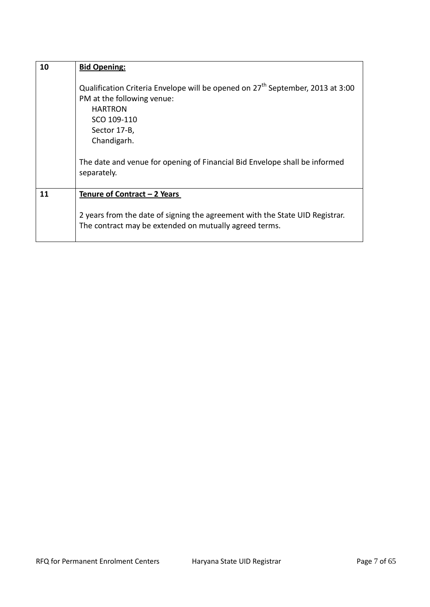| 10 | <b>Bid Opening:</b>                                                                                                                                                                                                                                                                   |  |  |
|----|---------------------------------------------------------------------------------------------------------------------------------------------------------------------------------------------------------------------------------------------------------------------------------------|--|--|
|    | Qualification Criteria Envelope will be opened on 27 <sup>th</sup> September, 2013 at 3:00<br>PM at the following venue:<br><b>HARTRON</b><br>SCO 109-110<br>Sector 17-B,<br>Chandigarh.<br>The date and venue for opening of Financial Bid Envelope shall be informed<br>separately. |  |  |
| 11 | Tenure of Contract - 2 Years                                                                                                                                                                                                                                                          |  |  |
|    | 2 years from the date of signing the agreement with the State UID Registrar.<br>The contract may be extended on mutually agreed terms.                                                                                                                                                |  |  |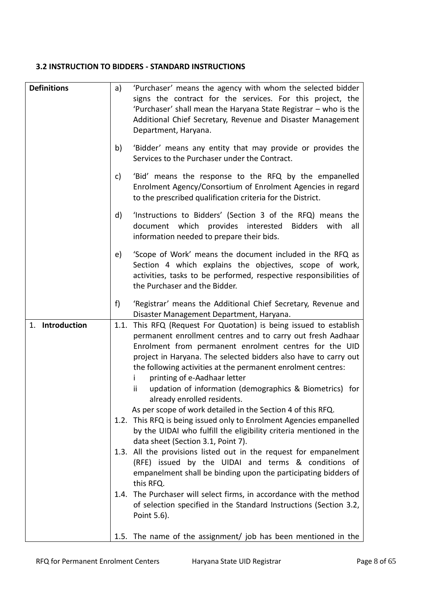# **3.2 INSTRUCTION TO BIDDERS - STANDARD INSTRUCTIONS**

| <b>Definitions</b> | a)   | 'Purchaser' means the agency with whom the selected bidder          |
|--------------------|------|---------------------------------------------------------------------|
|                    |      | signs the contract for the services. For this project, the          |
|                    |      |                                                                     |
|                    |      | 'Purchaser' shall mean the Haryana State Registrar - who is the     |
|                    |      | Additional Chief Secretary, Revenue and Disaster Management         |
|                    |      | Department, Haryana.                                                |
|                    |      |                                                                     |
|                    | b)   | 'Bidder' means any entity that may provide or provides the          |
|                    |      | Services to the Purchaser under the Contract.                       |
|                    |      |                                                                     |
|                    | C)   | 'Bid' means the response to the RFQ by the empanelled               |
|                    |      | Enrolment Agency/Consortium of Enrolment Agencies in regard         |
|                    |      | to the prescribed qualification criteria for the District.          |
|                    |      |                                                                     |
|                    | d)   | 'Instructions to Bidders' (Section 3 of the RFQ) means the          |
|                    |      | document which provides interested<br>Bidders<br>with<br>all        |
|                    |      | information needed to prepare their bids.                           |
|                    |      |                                                                     |
|                    | e)   | 'Scope of Work' means the document included in the RFQ as           |
|                    |      | Section 4 which explains the objectives, scope of work,             |
|                    |      | activities, tasks to be performed, respective responsibilities of   |
|                    |      | the Purchaser and the Bidder.                                       |
|                    |      |                                                                     |
|                    | f)   | 'Registrar' means the Additional Chief Secretary, Revenue and       |
|                    |      | Disaster Management Department, Haryana.                            |
| 1. Introduction    | 1.1. | This RFQ (Request For Quotation) is being issued to establish       |
|                    |      | permanent enrollment centres and to carry out fresh Aadhaar         |
|                    |      | Enrolment from permanent enrolment centres for the UID              |
|                    |      | project in Haryana. The selected bidders also have to carry out     |
|                    |      | the following activities at the permanent enrolment centres:        |
|                    |      | printing of e-Aadhaar letter<br>i.                                  |
|                    |      | ii<br>updation of information (demographics & Biometrics) for       |
|                    |      | already enrolled residents.                                         |
|                    |      |                                                                     |
|                    |      | As per scope of work detailed in the Section 4 of this RFQ.         |
|                    | 1.2. | This RFQ is being issued only to Enrolment Agencies empanelled      |
|                    |      | by the UIDAI who fulfill the eligibility criteria mentioned in the  |
|                    |      | data sheet (Section 3.1, Point 7).                                  |
|                    |      | 1.3. All the provisions listed out in the request for empanelment   |
|                    |      | (RFE) issued by the UIDAI and terms & conditions of                 |
|                    |      | empanelment shall be binding upon the participating bidders of      |
|                    |      | this RFQ.                                                           |
|                    |      | 1.4. The Purchaser will select firms, in accordance with the method |
|                    |      | of selection specified in the Standard Instructions (Section 3.2,   |
|                    |      | Point 5.6).                                                         |
|                    |      |                                                                     |
|                    |      |                                                                     |
|                    |      | 1.5. The name of the assignment/ job has been mentioned in the      |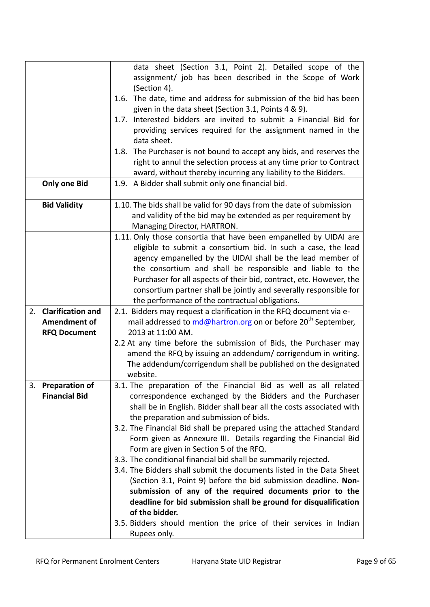|                                | data sheet (Section 3.1, Point 2). Detailed scope of the                  |
|--------------------------------|---------------------------------------------------------------------------|
|                                | assignment/ job has been described in the Scope of Work                   |
|                                | (Section 4).                                                              |
|                                | 1.6. The date, time and address for submission of the bid has been        |
|                                | given in the data sheet (Section 3.1, Points 4 & 9).                      |
|                                |                                                                           |
|                                | Interested bidders are invited to submit a Financial Bid for<br>1.7.      |
|                                | providing services required for the assignment named in the               |
|                                | data sheet.                                                               |
|                                | The Purchaser is not bound to accept any bids, and reserves the<br>1.8.   |
|                                | right to annul the selection process at any time prior to Contract        |
|                                | award, without thereby incurring any liability to the Bidders.            |
| <b>Only one Bid</b>            | 1.9. A Bidder shall submit only one financial bid.                        |
|                                |                                                                           |
| <b>Bid Validity</b>            | 1.10. The bids shall be valid for 90 days from the date of submission     |
|                                | and validity of the bid may be extended as per requirement by             |
|                                | Managing Director, HARTRON.                                               |
|                                | 1.11. Only those consortia that have been empanelled by UIDAI are         |
|                                | eligible to submit a consortium bid. In such a case, the lead             |
|                                | agency empanelled by the UIDAI shall be the lead member of                |
|                                | the consortium and shall be responsible and liable to the                 |
|                                | Purchaser for all aspects of their bid, contract, etc. However, the       |
|                                | consortium partner shall be jointly and severally responsible for         |
|                                | the performance of the contractual obligations.                           |
| <b>Clarification and</b><br>2. | 2.1. Bidders may request a clarification in the RFQ document via e-       |
| <b>Amendment of</b>            | mail addressed to md@hartron.org on or before 20 <sup>th</sup> September, |
|                                | 2013 at 11:00 AM.                                                         |
| <b>RFQ Document</b>            |                                                                           |
|                                | 2.2 At any time before the submission of Bids, the Purchaser may          |
|                                | amend the RFQ by issuing an addendum/ corrigendum in writing.             |
|                                | The addendum/corrigendum shall be published on the designated             |
|                                | website.                                                                  |
| 3. Preparation of              | 3.1. The preparation of the Financial Bid as well as all related          |
| <b>Financial Bid</b>           | correspondence exchanged by the Bidders and the Purchaser                 |
|                                | shall be in English. Bidder shall bear all the costs associated with      |
|                                | the preparation and submission of bids.                                   |
|                                | 3.2. The Financial Bid shall be prepared using the attached Standard      |
|                                | Form given as Annexure III. Details regarding the Financial Bid           |
|                                | Form are given in Section 5 of the RFQ.                                   |
|                                | 3.3. The conditional financial bid shall be summarily rejected.           |
|                                | 3.4. The Bidders shall submit the documents listed in the Data Sheet      |
|                                | (Section 3.1, Point 9) before the bid submission deadline. Non-           |
|                                | submission of any of the required documents prior to the                  |
|                                | deadline for bid submission shall be ground for disqualification          |
|                                | of the bidder.                                                            |
|                                | 3.5. Bidders should mention the price of their services in Indian         |
|                                | Rupees only.                                                              |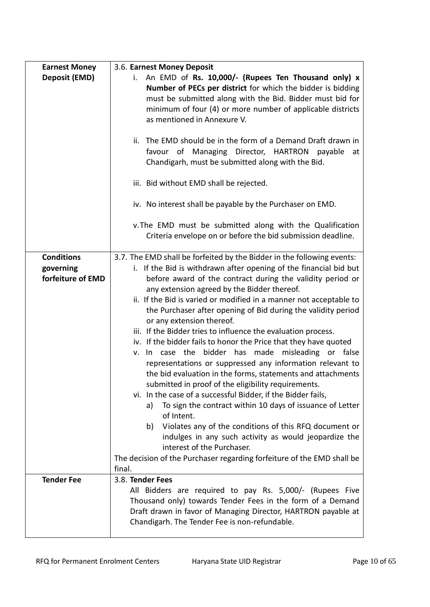| <b>Earnest Money</b>                                | 3.6. Earnest Money Deposit                                                                                                                                                                                                                                                                                                                                                                                                                                                                                                                                                                                                                                                                                                                                                                                                                                                                                                                                                                                                                                                                                                                                                                             |
|-----------------------------------------------------|--------------------------------------------------------------------------------------------------------------------------------------------------------------------------------------------------------------------------------------------------------------------------------------------------------------------------------------------------------------------------------------------------------------------------------------------------------------------------------------------------------------------------------------------------------------------------------------------------------------------------------------------------------------------------------------------------------------------------------------------------------------------------------------------------------------------------------------------------------------------------------------------------------------------------------------------------------------------------------------------------------------------------------------------------------------------------------------------------------------------------------------------------------------------------------------------------------|
| Deposit (EMD)                                       | An EMD of Rs. 10,000/- (Rupees Ten Thousand only) x<br>i.<br>Number of PECs per district for which the bidder is bidding<br>must be submitted along with the Bid. Bidder must bid for<br>minimum of four (4) or more number of applicable districts<br>as mentioned in Annexure V.<br>ii. The EMD should be in the form of a Demand Draft drawn in<br>favour of Managing Director, HARTRON<br>payable<br>at                                                                                                                                                                                                                                                                                                                                                                                                                                                                                                                                                                                                                                                                                                                                                                                            |
|                                                     | Chandigarh, must be submitted along with the Bid.<br>iii. Bid without EMD shall be rejected.                                                                                                                                                                                                                                                                                                                                                                                                                                                                                                                                                                                                                                                                                                                                                                                                                                                                                                                                                                                                                                                                                                           |
|                                                     | iv. No interest shall be payable by the Purchaser on EMD.                                                                                                                                                                                                                                                                                                                                                                                                                                                                                                                                                                                                                                                                                                                                                                                                                                                                                                                                                                                                                                                                                                                                              |
|                                                     | v. The EMD must be submitted along with the Qualification<br>Criteria envelope on or before the bid submission deadline.                                                                                                                                                                                                                                                                                                                                                                                                                                                                                                                                                                                                                                                                                                                                                                                                                                                                                                                                                                                                                                                                               |
| <b>Conditions</b><br>governing<br>forfeiture of EMD | 3.7. The EMD shall be forfeited by the Bidder in the following events:<br>i. If the Bid is withdrawn after opening of the financial bid but<br>before award of the contract during the validity period or<br>any extension agreed by the Bidder thereof.<br>ii. If the Bid is varied or modified in a manner not acceptable to<br>the Purchaser after opening of Bid during the validity period<br>or any extension thereof.<br>iii. If the Bidder tries to influence the evaluation process.<br>iv. If the bidder fails to honor the Price that they have quoted<br>v. In case the bidder has made misleading or false<br>representations or suppressed any information relevant to<br>the bid evaluation in the forms, statements and attachments<br>submitted in proof of the eligibility requirements.<br>vi. In the case of a successful Bidder, if the Bidder fails,<br>To sign the contract within 10 days of issuance of Letter<br>a)<br>of Intent.<br>Violates any of the conditions of this RFQ document or<br>b)<br>indulges in any such activity as would jeopardize the<br>interest of the Purchaser.<br>The decision of the Purchaser regarding forfeiture of the EMD shall be<br>final. |
| <b>Tender Fee</b>                                   | 3.8. Tender Fees<br>All Bidders are required to pay Rs. 5,000/- (Rupees Five<br>Thousand only) towards Tender Fees in the form of a Demand<br>Draft drawn in favor of Managing Director, HARTRON payable at<br>Chandigarh. The Tender Fee is non-refundable.                                                                                                                                                                                                                                                                                                                                                                                                                                                                                                                                                                                                                                                                                                                                                                                                                                                                                                                                           |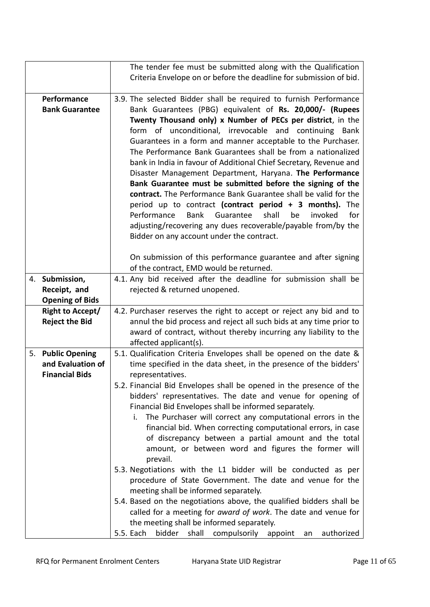|    |                                                                 | The tender fee must be submitted along with the Qualification                                                                                                                                                                                                                                                                                                                                                                                                                                                                                                                                                                                                                                                                                                                                                                                                                                              |
|----|-----------------------------------------------------------------|------------------------------------------------------------------------------------------------------------------------------------------------------------------------------------------------------------------------------------------------------------------------------------------------------------------------------------------------------------------------------------------------------------------------------------------------------------------------------------------------------------------------------------------------------------------------------------------------------------------------------------------------------------------------------------------------------------------------------------------------------------------------------------------------------------------------------------------------------------------------------------------------------------|
|    |                                                                 | Criteria Envelope on or before the deadline for submission of bid.                                                                                                                                                                                                                                                                                                                                                                                                                                                                                                                                                                                                                                                                                                                                                                                                                                         |
|    | Performance                                                     | 3.9. The selected Bidder shall be required to furnish Performance                                                                                                                                                                                                                                                                                                                                                                                                                                                                                                                                                                                                                                                                                                                                                                                                                                          |
|    | <b>Bank Guarantee</b>                                           | Bank Guarantees (PBG) equivalent of Rs. 20,000/- (Rupees<br>Twenty Thousand only) x Number of PECs per district, in the<br>form of unconditional, irrevocable and continuing Bank<br>Guarantees in a form and manner acceptable to the Purchaser.<br>The Performance Bank Guarantees shall be from a nationalized<br>bank in India in favour of Additional Chief Secretary, Revenue and<br>Disaster Management Department, Haryana. The Performance<br>Bank Guarantee must be submitted before the signing of the<br>contract. The Performance Bank Guarantee shall be valid for the<br>period up to contract (contract period + 3 months). The<br>Performance<br><b>Bank</b><br>Guarantee<br>shall<br>invoked<br>for<br>be<br>adjusting/recovering any dues recoverable/payable from/by the<br>Bidder on any account under the contract.<br>On submission of this performance guarantee and after signing |
|    |                                                                 | of the contract, EMD would be returned.                                                                                                                                                                                                                                                                                                                                                                                                                                                                                                                                                                                                                                                                                                                                                                                                                                                                    |
| 4. | Submission,                                                     | 4.1. Any bid received after the deadline for submission shall be                                                                                                                                                                                                                                                                                                                                                                                                                                                                                                                                                                                                                                                                                                                                                                                                                                           |
|    | Receipt, and<br><b>Opening of Bids</b>                          | rejected & returned unopened.                                                                                                                                                                                                                                                                                                                                                                                                                                                                                                                                                                                                                                                                                                                                                                                                                                                                              |
|    | <b>Right to Accept/</b><br><b>Reject the Bid</b>                | 4.2. Purchaser reserves the right to accept or reject any bid and to<br>annul the bid process and reject all such bids at any time prior to<br>award of contract, without thereby incurring any liability to the<br>affected applicant(s).                                                                                                                                                                                                                                                                                                                                                                                                                                                                                                                                                                                                                                                                 |
|    | 5. Public Opening<br>and Evaluation of<br><b>Financial Bids</b> | 5.1. Qualification Criteria Envelopes shall be opened on the date &<br>time specified in the data sheet, in the presence of the bidders'<br>representatives.<br>5.2. Financial Bid Envelopes shall be opened in the presence of the                                                                                                                                                                                                                                                                                                                                                                                                                                                                                                                                                                                                                                                                        |
|    |                                                                 | bidders' representatives. The date and venue for opening of<br>Financial Bid Envelopes shall be informed separately.<br>The Purchaser will correct any computational errors in the<br>i.<br>financial bid. When correcting computational errors, in case<br>of discrepancy between a partial amount and the total<br>amount, or between word and figures the former will<br>prevail.                                                                                                                                                                                                                                                                                                                                                                                                                                                                                                                       |
|    |                                                                 | 5.3. Negotiations with the L1 bidder will be conducted as per<br>procedure of State Government. The date and venue for the<br>meeting shall be informed separately.<br>5.4. Based on the negotiations above, the qualified bidders shall be                                                                                                                                                                                                                                                                                                                                                                                                                                                                                                                                                                                                                                                                |
|    |                                                                 | called for a meeting for award of work. The date and venue for<br>the meeting shall be informed separately.<br>5.5. Each<br>bidder<br>shall<br>compulsorily<br>appoint<br>authorized<br>an                                                                                                                                                                                                                                                                                                                                                                                                                                                                                                                                                                                                                                                                                                                 |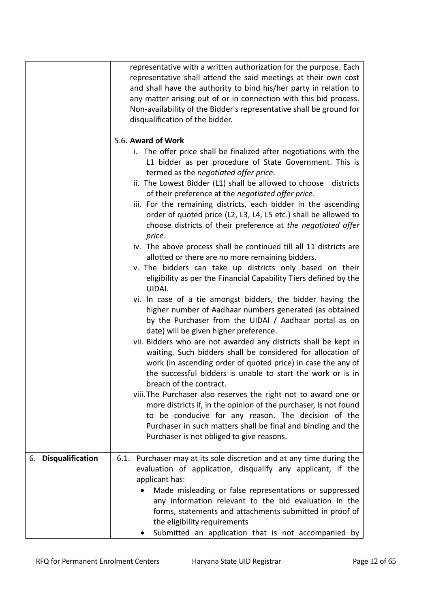|                     | representative with a written authorization for the purpose. Each<br>representative shall attend the said meetings at their own cost<br>and shall have the authority to bind his/her party in relation to<br>any matter arising out of or in connection with this bid process.<br>Non-availability of the Bidder's representative shall be ground for<br>disqualification of the bidder.<br>5.6. Award of Work<br>i. The offer price shall be finalized after negotiations with the<br>L1 bidder as per procedure of State Government. This is<br>termed as the negotiated offer price.<br>ii. The Lowest Bidder (L1) shall be allowed to choose districts<br>of their preference at the negotiated offer price.<br>iii. For the remaining districts, each bidder in the ascending<br>order of quoted price (L2, L3, L4, L5 etc.) shall be allowed to<br>choose districts of their preference at the negotiated offer<br>price.<br>iv. The above process shall be continued till all 11 districts are<br>allotted or there are no more remaining bidders. |  |
|---------------------|-----------------------------------------------------------------------------------------------------------------------------------------------------------------------------------------------------------------------------------------------------------------------------------------------------------------------------------------------------------------------------------------------------------------------------------------------------------------------------------------------------------------------------------------------------------------------------------------------------------------------------------------------------------------------------------------------------------------------------------------------------------------------------------------------------------------------------------------------------------------------------------------------------------------------------------------------------------------------------------------------------------------------------------------------------------|--|
|                     | v. The bidders can take up districts only based on their<br>eligibility as per the Financial Capability Tiers defined by the<br>UIDAI.<br>vi. In case of a tie amongst bidders, the bidder having the<br>higher number of Aadhaar numbers generated (as obtained<br>by the Purchaser from the UIDAI / Aadhaar portal as on<br>date) will be given higher preference.<br>vii. Bidders who are not awarded any districts shall be kept in<br>waiting. Such bidders shall be considered for allocation of<br>work (in ascending order of quoted price) in case the any of<br>the successful bidders is unable to start the work or is in<br>breach of the contract.                                                                                                                                                                                                                                                                                                                                                                                          |  |
|                     | viii. The Purchaser also reserves the right not to award one or<br>more districts if, in the opinion of the purchaser, is not found<br>to be conducive for any reason. The decision of the<br>Purchaser in such matters shall be final and binding and the<br>Purchaser is not obliged to give reasons.                                                                                                                                                                                                                                                                                                                                                                                                                                                                                                                                                                                                                                                                                                                                                   |  |
| 6. Disqualification | 6.1. Purchaser may at its sole discretion and at any time during the<br>evaluation of application, disqualify any applicant, if the<br>applicant has:<br>Made misleading or false representations or suppressed<br>$\bullet$<br>any information relevant to the bid evaluation in the<br>forms, statements and attachments submitted in proof of<br>the eligibility requirements<br>Submitted an application that is not accompanied by                                                                                                                                                                                                                                                                                                                                                                                                                                                                                                                                                                                                                   |  |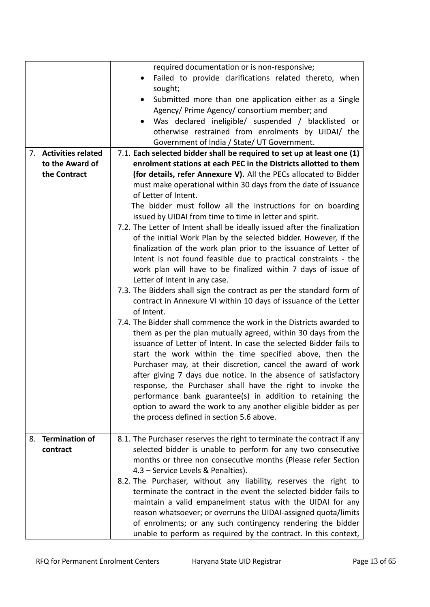|                                         | required documentation or is non-responsive;<br>Failed to provide clarifications related thereto, when<br>sought;<br>Submitted more than one application either as a Single<br>Agency/ Prime Agency/ consortium member; and<br>Was declared ineligible/ suspended / blacklisted or<br>otherwise restrained from enrolments by UIDAI/ the                                                                                                                                                                                                                                                                                                                                                                                                                                                                                                                                                                                                                                                                                                                                                                                                                                                                                                                                                                                                                                                                                                           |
|-----------------------------------------|----------------------------------------------------------------------------------------------------------------------------------------------------------------------------------------------------------------------------------------------------------------------------------------------------------------------------------------------------------------------------------------------------------------------------------------------------------------------------------------------------------------------------------------------------------------------------------------------------------------------------------------------------------------------------------------------------------------------------------------------------------------------------------------------------------------------------------------------------------------------------------------------------------------------------------------------------------------------------------------------------------------------------------------------------------------------------------------------------------------------------------------------------------------------------------------------------------------------------------------------------------------------------------------------------------------------------------------------------------------------------------------------------------------------------------------------------|
| 7. Activities related                   | Government of India / State/ UT Government.<br>7.1. Each selected bidder shall be required to set up at least one (1)                                                                                                                                                                                                                                                                                                                                                                                                                                                                                                                                                                                                                                                                                                                                                                                                                                                                                                                                                                                                                                                                                                                                                                                                                                                                                                                              |
| to the Award of                         | enrolment stations at each PEC in the Districts allotted to them                                                                                                                                                                                                                                                                                                                                                                                                                                                                                                                                                                                                                                                                                                                                                                                                                                                                                                                                                                                                                                                                                                                                                                                                                                                                                                                                                                                   |
| the Contract                            | (for details, refer Annexure V). All the PECs allocated to Bidder<br>must make operational within 30 days from the date of issuance<br>of Letter of Intent.<br>The bidder must follow all the instructions for on boarding<br>issued by UIDAI from time to time in letter and spirit.<br>7.2. The Letter of Intent shall be ideally issued after the finalization<br>of the initial Work Plan by the selected bidder. However, if the<br>finalization of the work plan prior to the issuance of Letter of<br>Intent is not found feasible due to practical constraints - the<br>work plan will have to be finalized within 7 days of issue of<br>Letter of Intent in any case.<br>7.3. The Bidders shall sign the contract as per the standard form of<br>contract in Annexure VI within 10 days of issuance of the Letter<br>of Intent.<br>7.4. The Bidder shall commence the work in the Districts awarded to<br>them as per the plan mutually agreed, within 30 days from the<br>issuance of Letter of Intent. In case the selected Bidder fails to<br>start the work within the time specified above, then the<br>Purchaser may, at their discretion, cancel the award of work<br>after giving 7 days due notice. In the absence of satisfactory<br>response, the Purchaser shall have the right to invoke the<br>performance bank guarantee(s) in addition to retaining the<br>option to award the work to any another eligible bidder as per |
|                                         | the process defined in section 5.6 above.                                                                                                                                                                                                                                                                                                                                                                                                                                                                                                                                                                                                                                                                                                                                                                                                                                                                                                                                                                                                                                                                                                                                                                                                                                                                                                                                                                                                          |
| <b>Termination of</b><br>8.<br>contract | 8.1. The Purchaser reserves the right to terminate the contract if any<br>selected bidder is unable to perform for any two consecutive<br>months or three non consecutive months (Please refer Section<br>4.3 - Service Levels & Penalties).<br>8.2. The Purchaser, without any liability, reserves the right to<br>terminate the contract in the event the selected bidder fails to<br>maintain a valid empanelment status with the UIDAI for any<br>reason whatsoever; or overruns the UIDAI-assigned quota/limits<br>of enrolments; or any such contingency rendering the bidder<br>unable to perform as required by the contract. In this context,                                                                                                                                                                                                                                                                                                                                                                                                                                                                                                                                                                                                                                                                                                                                                                                             |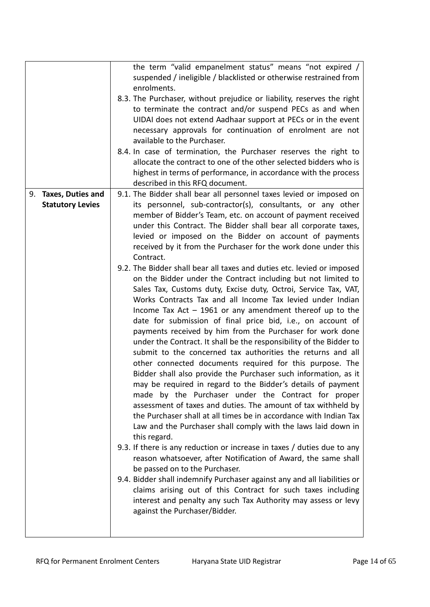|                                                 | the term "valid empanelment status" means "not expired /<br>suspended / ineligible / blacklisted or otherwise restrained from<br>enrolments.<br>8.3. The Purchaser, without prejudice or liability, reserves the right<br>to terminate the contract and/or suspend PECs as and when<br>UIDAI does not extend Aadhaar support at PECs or in the event<br>necessary approvals for continuation of enrolment are not<br>available to the Purchaser.<br>8.4. In case of termination, the Purchaser reserves the right to<br>allocate the contract to one of the other selected bidders who is<br>highest in terms of performance, in accordance with the process<br>described in this RFQ document.                                                                                                                                                                                                                                                                                                                                                                                                                                                                                                                                                                                                                                                                                                                                                                                                                                                                                                                                                                                                                                                                                                                                                                                                                                       |
|-------------------------------------------------|---------------------------------------------------------------------------------------------------------------------------------------------------------------------------------------------------------------------------------------------------------------------------------------------------------------------------------------------------------------------------------------------------------------------------------------------------------------------------------------------------------------------------------------------------------------------------------------------------------------------------------------------------------------------------------------------------------------------------------------------------------------------------------------------------------------------------------------------------------------------------------------------------------------------------------------------------------------------------------------------------------------------------------------------------------------------------------------------------------------------------------------------------------------------------------------------------------------------------------------------------------------------------------------------------------------------------------------------------------------------------------------------------------------------------------------------------------------------------------------------------------------------------------------------------------------------------------------------------------------------------------------------------------------------------------------------------------------------------------------------------------------------------------------------------------------------------------------------------------------------------------------------------------------------------------------|
| 9. Taxes, Duties and<br><b>Statutory Levies</b> | 9.1. The Bidder shall bear all personnel taxes levied or imposed on<br>its personnel, sub-contractor(s), consultants, or any other<br>member of Bidder's Team, etc. on account of payment received<br>under this Contract. The Bidder shall bear all corporate taxes,<br>levied or imposed on the Bidder on account of payments<br>received by it from the Purchaser for the work done under this<br>Contract.<br>9.2. The Bidder shall bear all taxes and duties etc. levied or imposed<br>on the Bidder under the Contract including but not limited to<br>Sales Tax, Customs duty, Excise duty, Octroi, Service Tax, VAT,<br>Works Contracts Tax and all Income Tax levied under Indian<br>Income Tax Act $-$ 1961 or any amendment thereof up to the<br>date for submission of final price bid, i.e., on account of<br>payments received by him from the Purchaser for work done<br>under the Contract. It shall be the responsibility of the Bidder to<br>submit to the concerned tax authorities the returns and all<br>other connected documents required for this purpose. The<br>Bidder shall also provide the Purchaser such information, as it<br>may be required in regard to the Bidder's details of payment<br>made by the Purchaser under the Contract for proper<br>assessment of taxes and duties. The amount of tax withheld by<br>the Purchaser shall at all times be in accordance with Indian Tax<br>Law and the Purchaser shall comply with the laws laid down in<br>this regard.<br>9.3. If there is any reduction or increase in taxes / duties due to any<br>reason whatsoever, after Notification of Award, the same shall<br>be passed on to the Purchaser.<br>9.4. Bidder shall indemnify Purchaser against any and all liabilities or<br>claims arising out of this Contract for such taxes including<br>interest and penalty any such Tax Authority may assess or levy<br>against the Purchaser/Bidder. |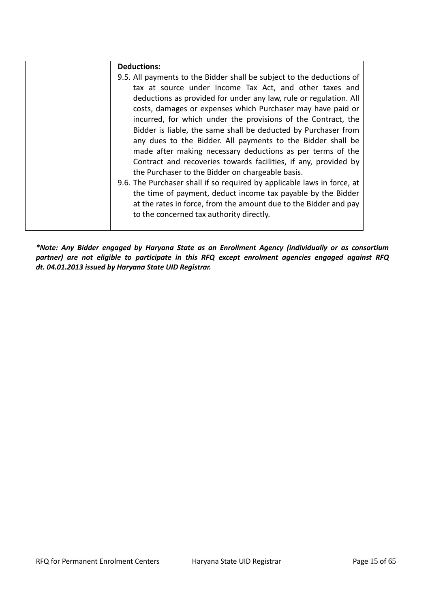| <b>Deductions:</b>                                                                                                                                                                                                                                                                                                                                                                                                                                                                                                                                                                                                                                          |
|-------------------------------------------------------------------------------------------------------------------------------------------------------------------------------------------------------------------------------------------------------------------------------------------------------------------------------------------------------------------------------------------------------------------------------------------------------------------------------------------------------------------------------------------------------------------------------------------------------------------------------------------------------------|
| 9.5. All payments to the Bidder shall be subject to the deductions of<br>tax at source under Income Tax Act, and other taxes and<br>deductions as provided for under any law, rule or regulation. All<br>costs, damages or expenses which Purchaser may have paid or<br>incurred, for which under the provisions of the Contract, the<br>Bidder is liable, the same shall be deducted by Purchaser from<br>any dues to the Bidder. All payments to the Bidder shall be<br>made after making necessary deductions as per terms of the<br>Contract and recoveries towards facilities, if any, provided by<br>the Purchaser to the Bidder on chargeable basis. |
| 9.6. The Purchaser shall if so required by applicable laws in force, at                                                                                                                                                                                                                                                                                                                                                                                                                                                                                                                                                                                     |
| the time of payment, deduct income tax payable by the Bidder<br>at the rates in force, from the amount due to the Bidder and pay<br>to the concerned tax authority directly.                                                                                                                                                                                                                                                                                                                                                                                                                                                                                |

*\*Note: Any Bidder engaged by Haryana State as an Enrollment Agency (individually or as consortium partner) are not eligible to participate in this RFQ except enrolment agencies engaged against RFQ dt. 04.01.2013 issued by Haryana State UID Registrar.*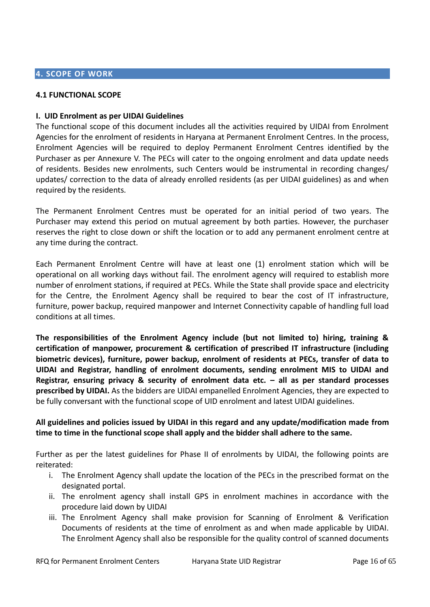# **4. SCOPE OF WORK**

#### **4.1 FUNCTIONAL SCOPE**

#### **I. UID Enrolment as per UIDAI Guidelines**

The functional scope of this document includes all the activities required by UIDAI from Enrolment Agencies for the enrolment of residents in Haryana at Permanent Enrolment Centres. In the process, Enrolment Agencies will be required to deploy Permanent Enrolment Centres identified by the Purchaser as per Annexure V. The PECs will cater to the ongoing enrolment and data update needs of residents. Besides new enrolments, such Centers would be instrumental in recording changes/ updates/ correction to the data of already enrolled residents (as per UIDAI guidelines) as and when required by the residents.

The Permanent Enrolment Centres must be operated for an initial period of two years. The Purchaser may extend this period on mutual agreement by both parties. However, the purchaser reserves the right to close down or shift the location or to add any permanent enrolment centre at any time during the contract.

Each Permanent Enrolment Centre will have at least one (1) enrolment station which will be operational on all working days without fail. The enrolment agency will required to establish more number of enrolment stations, if required at PECs. While the State shall provide space and electricity for the Centre, the Enrolment Agency shall be required to bear the cost of IT infrastructure, furniture, power backup, required manpower and Internet Connectivity capable of handling full load conditions at all times.

**The responsibilities of the Enrolment Agency include (but not limited to) hiring, training & certification of manpower, procurement & certification of prescribed IT infrastructure (including biometric devices), furniture, power backup, enrolment of residents at PECs, transfer of data to UIDAI and Registrar, handling of enrolment documents, sending enrolment MIS to UIDAI and Registrar, ensuring privacy & security of enrolment data etc. – all as per standard processes prescribed by UIDAI.** As the bidders are UIDAI empanelled Enrolment Agencies, they are expected to be fully conversant with the functional scope of UID enrolment and latest UIDAI guidelines.

# **All guidelines and policies issued by UIDAI in this regard and any update/modification made from time to time in the functional scope shall apply and the bidder shall adhere to the same.**

Further as per the latest guidelines for Phase II of enrolments by UIDAI, the following points are reiterated:

- i. The Enrolment Agency shall update the location of the PECs in the prescribed format on the designated portal.
- ii. The enrolment agency shall install GPS in enrolment machines in accordance with the procedure laid down by UIDAI
- iii. The Enrolment Agency shall make provision for Scanning of Enrolment & Verification Documents of residents at the time of enrolment as and when made applicable by UIDAI. The Enrolment Agency shall also be responsible for the quality control of scanned documents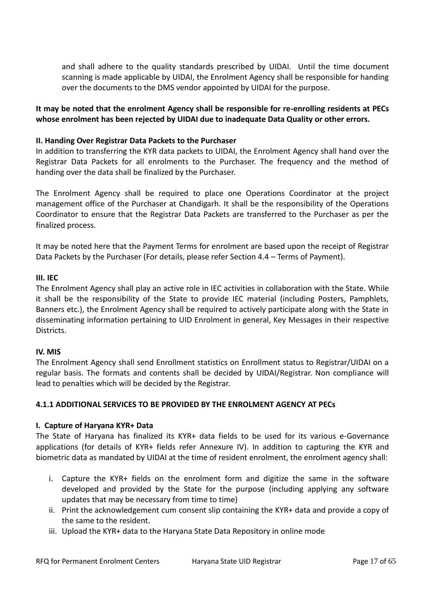and shall adhere to the quality standards prescribed by UIDAI. Until the time document scanning is made applicable by UIDAI, the Enrolment Agency shall be responsible for handing over the documents to the DMS vendor appointed by UIDAI for the purpose.

# **It may be noted that the enrolment Agency shall be responsible for re-enrolling residents at PECs whose enrolment has been rejected by UIDAI due to inadequate Data Quality or other errors.**

#### **II. Handing Over Registrar Data Packets to the Purchaser**

In addition to transferring the KYR data packets to UIDAI, the Enrolment Agency shall hand over the Registrar Data Packets for all enrolments to the Purchaser. The frequency and the method of handing over the data shall be finalized by the Purchaser.

The Enrolment Agency shall be required to place one Operations Coordinator at the project management office of the Purchaser at Chandigarh. It shall be the responsibility of the Operations Coordinator to ensure that the Registrar Data Packets are transferred to the Purchaser as per the finalized process.

It may be noted here that the Payment Terms for enrolment are based upon the receipt of Registrar Data Packets by the Purchaser (For details, please refer Section 4.4 – Terms of Payment).

#### **III. IEC**

The Enrolment Agency shall play an active role in IEC activities in collaboration with the State. While it shall be the responsibility of the State to provide IEC material (including Posters, Pamphlets, Banners etc.), the Enrolment Agency shall be required to actively participate along with the State in disseminating information pertaining to UID Enrolment in general, Key Messages in their respective Districts.

#### **IV. MIS**

The Enrolment Agency shall send Enrollment statistics on Enrollment status to Registrar/UIDAI on a regular basis. The formats and contents shall be decided by UIDAI/Registrar. Non compliance will lead to penalties which will be decided by the Registrar.

#### **4.1.1 ADDITIONAL SERVICES TO BE PROVIDED BY THE ENROLMENT AGENCY AT PECs**

#### **I. Capture of Haryana KYR+ Data**

The State of Haryana has finalized its KYR+ data fields to be used for its various e-Governance applications (for details of KYR+ fields refer Annexure IV). In addition to capturing the KYR and biometric data as mandated by UIDAI at the time of resident enrolment, the enrolment agency shall:

- i. Capture the KYR+ fields on the enrolment form and digitize the same in the software developed and provided by the State for the purpose (including applying any software updates that may be necessary from time to time)
- ii. Print the acknowledgement cum consent slip containing the KYR+ data and provide a copy of the same to the resident.
- iii. Upload the KYR+ data to the Haryana State Data Repository in online mode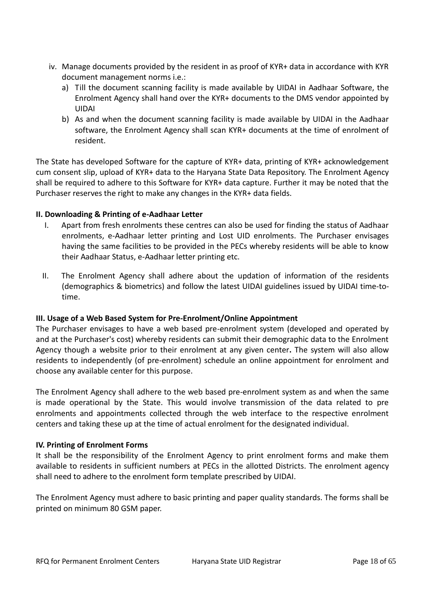- iv. Manage documents provided by the resident in as proof of KYR+ data in accordance with KYR document management norms i.e.:
	- a) Till the document scanning facility is made available by UIDAI in Aadhaar Software, the Enrolment Agency shall hand over the KYR+ documents to the DMS vendor appointed by UIDAI
	- b) As and when the document scanning facility is made available by UIDAI in the Aadhaar software, the Enrolment Agency shall scan KYR+ documents at the time of enrolment of resident.

The State has developed Software for the capture of KYR+ data, printing of KYR+ acknowledgement cum consent slip, upload of KYR+ data to the Haryana State Data Repository. The Enrolment Agency shall be required to adhere to this Software for KYR+ data capture. Further it may be noted that the Purchaser reserves the right to make any changes in the KYR+ data fields.

# **II. Downloading & Printing of e-Aadhaar Letter**

- I. Apart from fresh enrolments these centres can also be used for finding the status of Aadhaar enrolments, e-Aadhaar letter printing and Lost UID enrolments. The Purchaser envisages having the same facilities to be provided in the PECs whereby residents will be able to know their Aadhaar Status, e-Aadhaar letter printing etc.
- II. The Enrolment Agency shall adhere about the updation of information of the residents (demographics & biometrics) and follow the latest UIDAI guidelines issued by UIDAI time-totime.

#### **III. Usage of a Web Based System for Pre-Enrolment/Online Appointment**

The Purchaser envisages to have a web based pre-enrolment system (developed and operated by and at the Purchaser's cost) whereby residents can submit their demographic data to the Enrolment Agency though a website prior to their enrolment at any given center**.** The system will also allow residents to independently (of pre-enrolment) schedule an online appointment for enrolment and choose any available center for this purpose.

The Enrolment Agency shall adhere to the web based pre-enrolment system as and when the same is made operational by the State. This would involve transmission of the data related to pre enrolments and appointments collected through the web interface to the respective enrolment centers and taking these up at the time of actual enrolment for the designated individual.

#### **IV. Printing of Enrolment Forms**

It shall be the responsibility of the Enrolment Agency to print enrolment forms and make them available to residents in sufficient numbers at PECs in the allotted Districts. The enrolment agency shall need to adhere to the enrolment form template prescribed by UIDAI.

The Enrolment Agency must adhere to basic printing and paper quality standards. The forms shall be printed on minimum 80 GSM paper.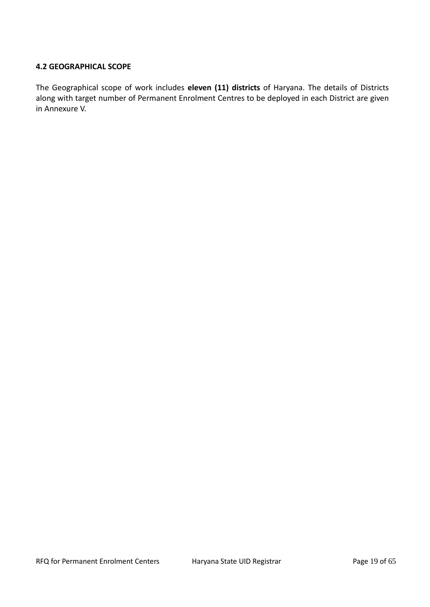#### **4.2 GEOGRAPHICAL SCOPE**

The Geographical scope of work includes **eleven (11) districts** of Haryana. The details of Districts along with target number of Permanent Enrolment Centres to be deployed in each District are given in Annexure V.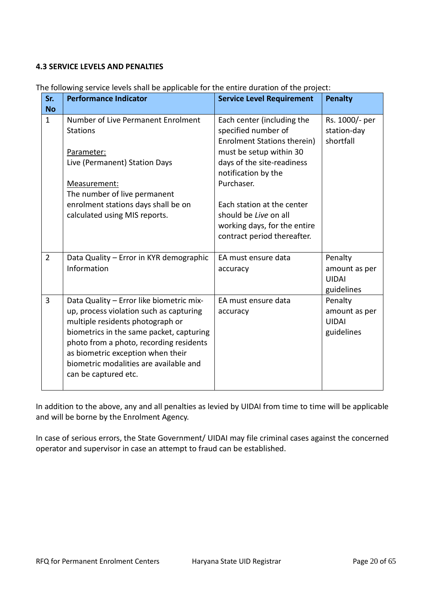#### **4.3 SERVICE LEVELS AND PENALTIES**

| Sr.            | <b>Performance Indicator</b>                                                                                                                                                                                                                                                                                          | <b>Service Level Requirement</b>                                                                                   | <b>Penalty</b>                                         |
|----------------|-----------------------------------------------------------------------------------------------------------------------------------------------------------------------------------------------------------------------------------------------------------------------------------------------------------------------|--------------------------------------------------------------------------------------------------------------------|--------------------------------------------------------|
| <b>No</b>      |                                                                                                                                                                                                                                                                                                                       |                                                                                                                    |                                                        |
| $\mathbf{1}$   | Number of Live Permanent Enrolment<br><b>Stations</b>                                                                                                                                                                                                                                                                 | Each center (including the<br>specified number of<br>Enrolment Stations therein)                                   | Rs. 1000/- per<br>station-day<br>shortfall             |
|                | Parameter:<br>Live (Permanent) Station Days<br>Measurement:                                                                                                                                                                                                                                                           | must be setup within 30<br>days of the site-readiness<br>notification by the<br>Purchaser.                         |                                                        |
|                | The number of live permanent                                                                                                                                                                                                                                                                                          |                                                                                                                    |                                                        |
|                | enrolment stations days shall be on<br>calculated using MIS reports.                                                                                                                                                                                                                                                  | Each station at the center<br>should be Live on all<br>working days, for the entire<br>contract period thereafter. |                                                        |
| $\overline{2}$ | Data Quality - Error in KYR demographic<br>Information                                                                                                                                                                                                                                                                | EA must ensure data<br>accuracy                                                                                    | Penalty<br>amount as per<br><b>UIDAI</b><br>guidelines |
| 3              | Data Quality - Error like biometric mix-<br>up, process violation such as capturing<br>multiple residents photograph or<br>biometrics in the same packet, capturing<br>photo from a photo, recording residents<br>as biometric exception when their<br>biometric modalities are available and<br>can be captured etc. | EA must ensure data<br>accuracy                                                                                    | Penalty<br>amount as per<br><b>UIDAI</b><br>guidelines |

The following service levels shall be applicable for the entire duration of the project:

In addition to the above, any and all penalties as levied by UIDAI from time to time will be applicable and will be borne by the Enrolment Agency.

In case of serious errors, the State Government/ UIDAI may file criminal cases against the concerned operator and supervisor in case an attempt to fraud can be established.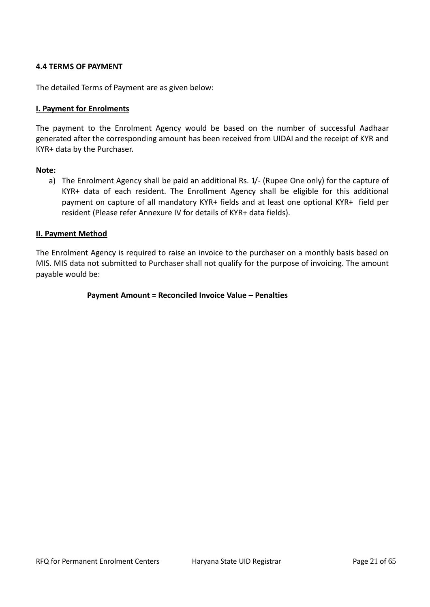#### **4.4 TERMS OF PAYMENT**

The detailed Terms of Payment are as given below:

#### **I. Payment for Enrolments**

The payment to the Enrolment Agency would be based on the number of successful Aadhaar generated after the corresponding amount has been received from UIDAI and the receipt of KYR and KYR+ data by the Purchaser.

#### **Note:**

a) The Enrolment Agency shall be paid an additional Rs. 1/- (Rupee One only) for the capture of KYR+ data of each resident. The Enrollment Agency shall be eligible for this additional payment on capture of all mandatory KYR+ fields and at least one optional KYR+ field per resident (Please refer Annexure IV for details of KYR+ data fields).

#### **II. Payment Method**

The Enrolment Agency is required to raise an invoice to the purchaser on a monthly basis based on MIS. MIS data not submitted to Purchaser shall not qualify for the purpose of invoicing. The amount payable would be:

#### **Payment Amount = Reconciled Invoice Value – Penalties**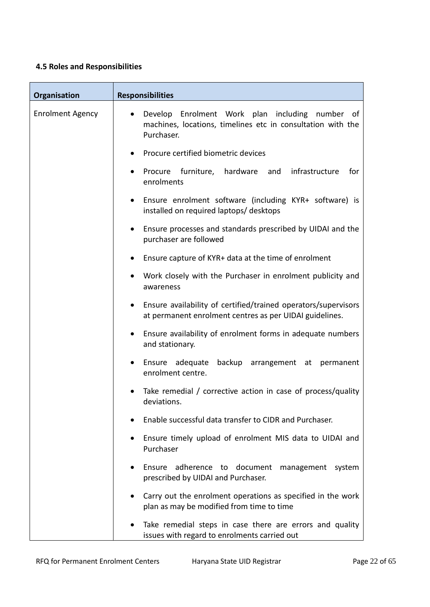# **4.5 Roles and Responsibilities**

| Organisation            | <b>Responsibilities</b>                                                                                                                   |
|-------------------------|-------------------------------------------------------------------------------------------------------------------------------------------|
| <b>Enrolment Agency</b> | Develop Enrolment Work plan including number of<br>$\bullet$<br>machines, locations, timelines etc in consultation with the<br>Purchaser. |
|                         | Procure certified biometric devices                                                                                                       |
|                         | Procure furniture, hardware and infrastructure<br>for<br>enrolments                                                                       |
|                         | Ensure enrolment software (including KYR+ software) is<br>$\bullet$<br>installed on required laptops/ desktops                            |
|                         | Ensure processes and standards prescribed by UIDAI and the<br>purchaser are followed                                                      |
|                         | Ensure capture of KYR+ data at the time of enrolment                                                                                      |
|                         | Work closely with the Purchaser in enrolment publicity and<br>awareness                                                                   |
|                         | Ensure availability of certified/trained operators/supervisors<br>$\bullet$<br>at permanent enrolment centres as per UIDAI guidelines.    |
|                         | Ensure availability of enrolment forms in adequate numbers<br>٠<br>and stationary.                                                        |
|                         | adequate<br>backup<br>Ensure<br>arrangement at<br>permanent<br>enrolment centre.                                                          |
|                         | Take remedial / corrective action in case of process/quality<br>deviations.                                                               |
|                         | Enable successful data transfer to CIDR and Purchaser.                                                                                    |
|                         | Ensure timely upload of enrolment MIS data to UIDAI and<br>Purchaser                                                                      |
|                         | Ensure adherence to document<br>management<br>system<br>prescribed by UIDAI and Purchaser.                                                |
|                         | Carry out the enrolment operations as specified in the work<br>plan as may be modified from time to time                                  |
|                         | Take remedial steps in case there are errors and quality<br>issues with regard to enrolments carried out                                  |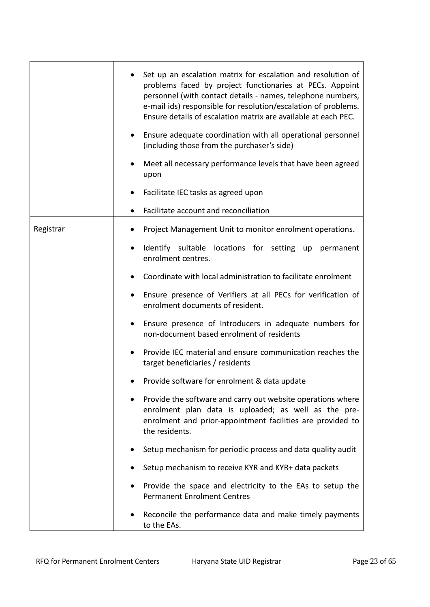|           | Set up an escalation matrix for escalation and resolution of<br>problems faced by project functionaries at PECs. Appoint<br>personnel (with contact details - names, telephone numbers,<br>e-mail ids) responsible for resolution/escalation of problems.<br>Ensure details of escalation matrix are available at each PEC.<br>Ensure adequate coordination with all operational personnel<br>$\bullet$<br>(including those from the purchaser's side) |
|-----------|--------------------------------------------------------------------------------------------------------------------------------------------------------------------------------------------------------------------------------------------------------------------------------------------------------------------------------------------------------------------------------------------------------------------------------------------------------|
|           | Meet all necessary performance levels that have been agreed<br>upon                                                                                                                                                                                                                                                                                                                                                                                    |
|           | Facilitate IEC tasks as agreed upon                                                                                                                                                                                                                                                                                                                                                                                                                    |
|           | Facilitate account and reconciliation                                                                                                                                                                                                                                                                                                                                                                                                                  |
| Registrar | Project Management Unit to monitor enrolment operations.                                                                                                                                                                                                                                                                                                                                                                                               |
|           | Identify suitable locations for setting up<br>permanent<br>٠<br>enrolment centres.                                                                                                                                                                                                                                                                                                                                                                     |
|           | Coordinate with local administration to facilitate enrolment                                                                                                                                                                                                                                                                                                                                                                                           |
|           | Ensure presence of Verifiers at all PECs for verification of<br>enrolment documents of resident.                                                                                                                                                                                                                                                                                                                                                       |
|           | Ensure presence of Introducers in adequate numbers for<br>٠<br>non-document based enrolment of residents                                                                                                                                                                                                                                                                                                                                               |
|           | Provide IEC material and ensure communication reaches the<br>target beneficiaries / residents                                                                                                                                                                                                                                                                                                                                                          |
|           | Provide software for enrolment & data update                                                                                                                                                                                                                                                                                                                                                                                                           |
|           | Provide the software and carry out website operations where<br>enrolment plan data is uploaded; as well as the pre-<br>enrolment and prior-appointment facilities are provided to<br>the residents.                                                                                                                                                                                                                                                    |
|           | Setup mechanism for periodic process and data quality audit                                                                                                                                                                                                                                                                                                                                                                                            |
|           | Setup mechanism to receive KYR and KYR+ data packets                                                                                                                                                                                                                                                                                                                                                                                                   |
|           | Provide the space and electricity to the EAs to setup the<br><b>Permanent Enrolment Centres</b>                                                                                                                                                                                                                                                                                                                                                        |
|           | Reconcile the performance data and make timely payments<br>to the EAs.                                                                                                                                                                                                                                                                                                                                                                                 |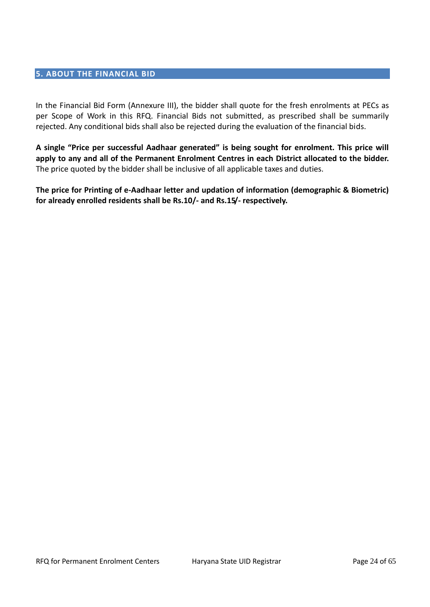# **5. ABOUT THE FINANCIAL BID**

In the Financial Bid Form (Annexure III), the bidder shall quote for the fresh enrolments at PECs as per Scope of Work in this RFQ. Financial Bids not submitted, as prescribed shall be summarily rejected. Any conditional bids shall also be rejected during the evaluation of the financial bids.

**A single "Price per successful Aadhaar generated" is being sought for enrolment. This price will apply to any and all of the Permanent Enrolment Centres in each District allocated to the bidder.** The price quoted by the bidder shall be inclusive of all applicable taxes and duties.

**The price for Printing of e-Aadhaar letter and updation of information (demographic & Biometric) for already enrolled residents shall be Rs.10/- and Rs.15/- respectively.**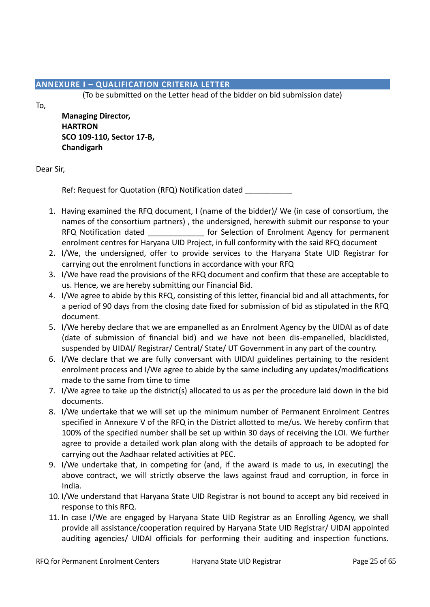# **ANNEXURE I – QUALIFICATION CRITERIA LETTER**

(To be submitted on the Letter head of the bidder on bid submission date)

To,

**Managing Director, HARTRON SCO 109-110, Sector 17-B, Chandigarh**

# Dear Sir,

Ref: Request for Quotation (RFQ) Notification dated

- 1. Having examined the RFQ document, I (name of the bidder)/ We (in case of consortium, the names of the consortium partners) , the undersigned, herewith submit our response to your RFQ Notification dated **Enrolment Agency for permanent** enrolment centres for Haryana UID Project, in full conformity with the said RFQ document
- 2. I/We, the undersigned, offer to provide services to the Haryana State UID Registrar for carrying out the enrolment functions in accordance with your RFQ
- 3. I/We have read the provisions of the RFQ document and confirm that these are acceptable to us. Hence, we are hereby submitting our Financial Bid.
- 4. I/We agree to abide by this RFQ, consisting of this letter, financial bid and all attachments, for a period of 90 days from the closing date fixed for submission of bid as stipulated in the RFQ document.
- 5. I/We hereby declare that we are empanelled as an Enrolment Agency by the UIDAI as of date (date of submission of financial bid) and we have not been dis-empanelled, blacklisted, suspended by UIDAI/ Registrar/ Central/ State/ UT Government in any part of the country.
- 6. I/We declare that we are fully conversant with UIDAI guidelines pertaining to the resident enrolment process and I/We agree to abide by the same including any updates/modifications made to the same from time to time
- 7. I/We agree to take up the district(s) allocated to us as per the procedure laid down in the bid documents.
- 8. I/We undertake that we will set up the minimum number of Permanent Enrolment Centres specified in Annexure V of the RFQ in the District allotted to me/us. We hereby confirm that 100% of the specified number shall be set up within 30 days of receiving the LOI. We further agree to provide a detailed work plan along with the details of approach to be adopted for carrying out the Aadhaar related activities at PEC.
- 9. I/We undertake that, in competing for (and, if the award is made to us, in executing) the above contract, we will strictly observe the laws against fraud and corruption, in force in India.
- 10. I/We understand that Haryana State UID Registrar is not bound to accept any bid received in response to this RFQ.
- 11. In case I/We are engaged by Haryana State UID Registrar as an Enrolling Agency, we shall provide all assistance/cooperation required by Haryana State UID Registrar/ UIDAI appointed auditing agencies/ UIDAI officials for performing their auditing and inspection functions.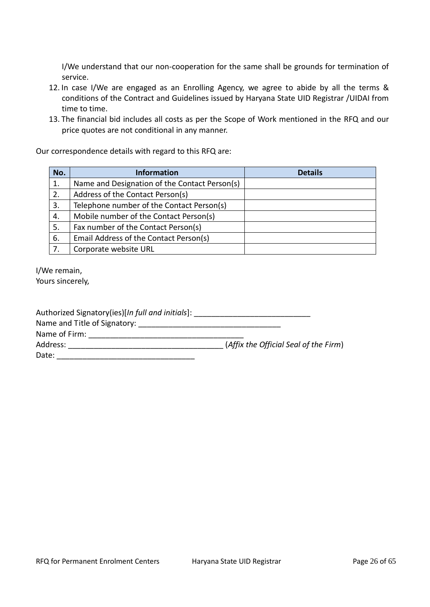I/We understand that our non-cooperation for the same shall be grounds for termination of service.

- 12. In case I/We are engaged as an Enrolling Agency, we agree to abide by all the terms & conditions of the Contract and Guidelines issued by Haryana State UID Registrar /UIDAI from time to time.
- 13. The financial bid includes all costs as per the Scope of Work mentioned in the RFQ and our price quotes are not conditional in any manner.

Our correspondence details with regard to this RFQ are:

| No. | <b>Information</b>                            | <b>Details</b> |
|-----|-----------------------------------------------|----------------|
| 1.  | Name and Designation of the Contact Person(s) |                |
| 2.  | Address of the Contact Person(s)              |                |
| 3.  | Telephone number of the Contact Person(s)     |                |
| 4.  | Mobile number of the Contact Person(s)        |                |
| 5.  | Fax number of the Contact Person(s)           |                |
| 6.  | Email Address of the Contact Person(s)        |                |
| 7.  | Corporate website URL                         |                |

I/We remain,

Yours sincerely,

| Authorized Signatory(ies)[In full and initials]: |                                       |
|--------------------------------------------------|---------------------------------------|
| Name and Title of Signatory:                     |                                       |
| Name of Firm:                                    |                                       |
| Address:                                         | (Affix the Official Seal of the Firm) |
| Date:                                            |                                       |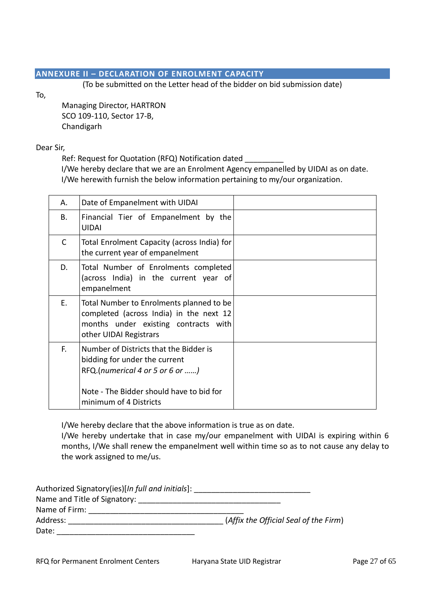# **ANNEXURE II – DECLARATION OF ENROLMENT CAPACITY**

(To be submitted on the Letter head of the bidder on bid submission date)

To,

Managing Director, HARTRON SCO 109-110, Sector 17-B, Chandigarh

Dear Sir,

Ref: Request for Quotation (RFQ) Notification dated

I/We hereby declare that we are an Enrolment Agency empanelled by UIDAI as on date. I/We herewith furnish the below information pertaining to my/our organization.

| Α. | Date of Empanelment with UIDAI                                                                                                                        |  |
|----|-------------------------------------------------------------------------------------------------------------------------------------------------------|--|
| В. | Financial Tier of Empanelment by the<br><b>UIDAI</b>                                                                                                  |  |
| C  | Total Enrolment Capacity (across India) for<br>the current year of empanelment                                                                        |  |
| D. | Total Number of Enrolments completed<br>(across India) in the current year of<br>empanelment                                                          |  |
| Е. | Total Number to Enrolments planned to be<br>completed (across India) in the next 12<br>months under existing contracts with<br>other UIDAI Registrars |  |
| F. | Number of Districts that the Bidder is<br>bidding for under the current<br>RFQ.(numerical 4 or 5 or 6 or )                                            |  |
|    | Note - The Bidder should have to bid for<br>minimum of 4 Districts                                                                                    |  |

I/We hereby declare that the above information is true as on date.

I/We hereby undertake that in case my/our empanelment with UIDAI is expiring within 6 months, I/We shall renew the empanelment well within time so as to not cause any delay to the work assigned to me/us.

| Authorized Signatory(ies)[In full and initials]: |                                       |
|--------------------------------------------------|---------------------------------------|
| Name and Title of Signatory:                     |                                       |
| Name of Firm:                                    |                                       |
| Address:                                         | (Affix the Official Seal of the Firm) |
| Date:                                            |                                       |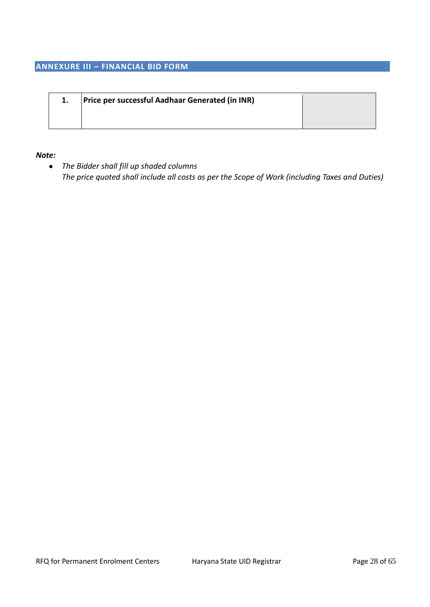# **ANNEXURE III – FINANCIAL BID FORM**

| 1. | Price per successful Aadhaar Generated (in INR) |  |
|----|-------------------------------------------------|--|
|    |                                                 |  |

#### *Note:*

 *The Bidder shall fill up shaded columns The price quoted shall include all costs as per the Scope of Work (including Taxes and Duties)*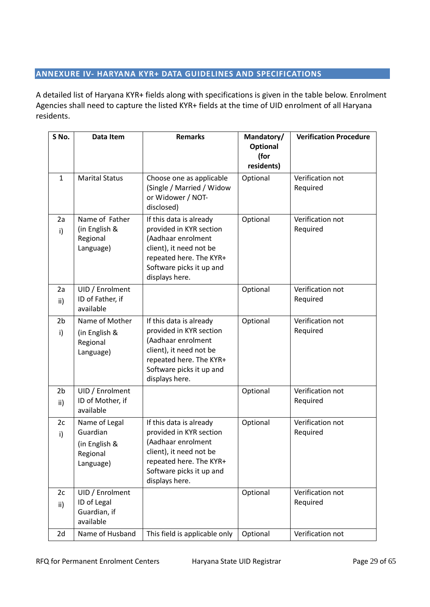# **ANNEXURE IV- HARYANA KYR+ DATA GUIDELINES AND SPECIFICATIONS**

A detailed list of Haryana KYR+ fields along with specifications is given in the table below. Enrolment Agencies shall need to capture the listed KYR+ fields at the time of UID enrolment of all Haryana residents.

| S No.                 | Data Item                                                                                                                                                                                                                                | <b>Remarks</b>                                                                                                                                                               | Mandatory/<br><b>Optional</b><br>(for<br>residents) | <b>Verification Procedure</b> |
|-----------------------|------------------------------------------------------------------------------------------------------------------------------------------------------------------------------------------------------------------------------------------|------------------------------------------------------------------------------------------------------------------------------------------------------------------------------|-----------------------------------------------------|-------------------------------|
| $\mathbf{1}$          | <b>Marital Status</b>                                                                                                                                                                                                                    | Choose one as applicable<br>(Single / Married / Widow<br>or Widower / NOT-<br>disclosed)                                                                                     | Optional                                            | Verification not<br>Required  |
| 2a<br>i)              | Name of Father<br>If this data is already<br>provided in KYR section<br>(in English &<br>Regional<br>(Aadhaar enrolment<br>client), it need not be<br>Language)<br>repeated here. The KYR+<br>Software picks it up and<br>displays here. |                                                                                                                                                                              | Optional                                            | Verification not<br>Required  |
| 2a<br>ii)             | UID / Enrolment<br>ID of Father, if<br>available                                                                                                                                                                                         |                                                                                                                                                                              | Optional                                            | Verification not<br>Required  |
| 2 <sub>b</sub><br>i)  | Name of Mother<br>(in English &<br>Regional<br>Language)                                                                                                                                                                                 | If this data is already<br>provided in KYR section<br>(Aadhaar enrolment<br>client), it need not be<br>repeated here. The KYR+<br>Software picks it up and<br>displays here. | Optional                                            | Verification not<br>Required  |
| 2 <sub>b</sub><br>ii) | UID / Enrolment<br>ID of Mother, if<br>available                                                                                                                                                                                         |                                                                                                                                                                              | Optional                                            | Verification not<br>Required  |
| 2c<br>i)              | Name of Legal<br>Guardian<br>(in English &<br>Regional<br>Language)                                                                                                                                                                      | If this data is already<br>provided in KYR section<br>(Aadhaar enrolment<br>client), it need not be<br>repeated here. The KYR+<br>Software picks it up and<br>displays here. | Optional                                            | Verification not<br>Required  |
| 2c<br>ii)             | UID / Enrolment<br>ID of Legal<br>Guardian, if<br>available                                                                                                                                                                              |                                                                                                                                                                              | Optional                                            | Verification not<br>Required  |
| 2d                    | Name of Husband                                                                                                                                                                                                                          | This field is applicable only                                                                                                                                                | Optional                                            | Verification not              |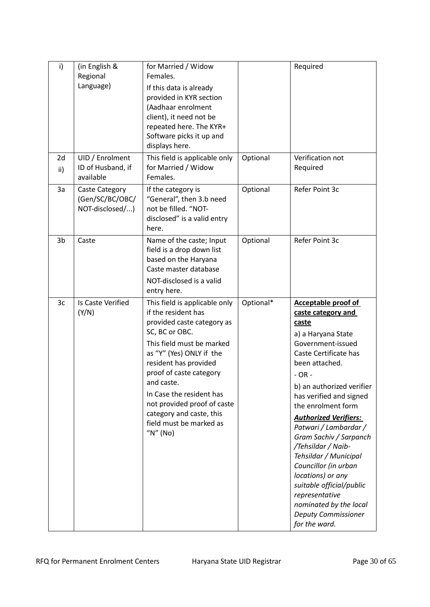| i)        | (in English &<br>Regional<br>Language)               | for Married / Widow<br>Females.<br>If this data is already<br>provided in KYR section<br>(Aadhaar enrolment<br>client), it need not be<br>repeated here. The KYR+<br>Software picks it up and<br>displays here.                                                                                                                                                   |           | Required                                                                                                                                                                                                                                                                                                                                                                                                                                                             |
|-----------|------------------------------------------------------|-------------------------------------------------------------------------------------------------------------------------------------------------------------------------------------------------------------------------------------------------------------------------------------------------------------------------------------------------------------------|-----------|----------------------------------------------------------------------------------------------------------------------------------------------------------------------------------------------------------------------------------------------------------------------------------------------------------------------------------------------------------------------------------------------------------------------------------------------------------------------|
| 2d<br>ii) | UID / Enrolment<br>ID of Husband, if<br>available    | This field is applicable only<br>for Married / Widow<br>Females.                                                                                                                                                                                                                                                                                                  | Optional  | Verification not<br>Required                                                                                                                                                                                                                                                                                                                                                                                                                                         |
| 3a        | Caste Category<br>(Gen/SC/BC/OBC/<br>NOT-disclosed/) | If the category is<br>"General", then 3.b need<br>not be filled. "NOT-<br>disclosed" is a valid entry<br>here.                                                                                                                                                                                                                                                    | Optional  | Refer Point 3c                                                                                                                                                                                                                                                                                                                                                                                                                                                       |
| 3b        | Caste                                                | Name of the caste; Input<br>field is a drop down list<br>based on the Haryana<br>Caste master database<br>NOT-disclosed is a valid<br>entry here.                                                                                                                                                                                                                 | Optional  | Refer Point 3c                                                                                                                                                                                                                                                                                                                                                                                                                                                       |
| 3c        | Is Caste Verified<br>(Y/N)                           | This field is applicable only<br>if the resident has<br>provided caste category as<br>SC, BC or OBC.<br>This field must be marked<br>as "Y" (Yes) ONLY if the<br>resident has provided<br>proof of caste category<br>and caste.<br>In Case the resident has<br>not provided proof of caste<br>category and caste, this<br>field must be marked as<br>" $N$ " (No) | Optional* | <b>Acceptable proof of</b><br>caste category and<br>caste<br>a) a Haryana State<br>Government-issued<br>Caste Certificate has<br>been attached.<br>- OR -<br>b) an authorized verifier<br>has verified and signed<br>the enrolment form<br><b>Authorized Verifiers:</b><br>Patwari / Lambardar /<br>Gram Sachiv / Sarpanch<br>/Tehsildar / Naib-<br>Tehsildar / Municipal<br>Councillor (in urban<br>locations) or any<br>suitable official/public<br>representative |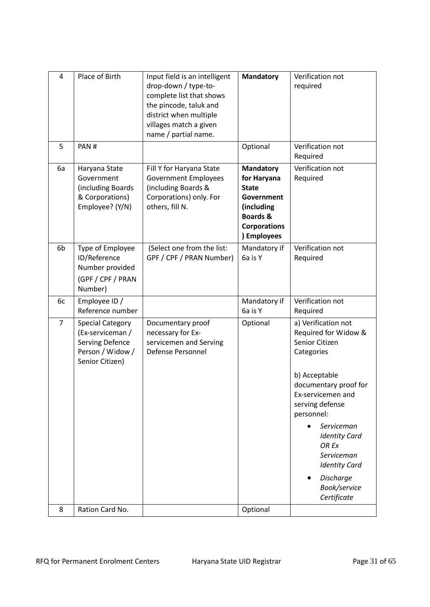| 4              | Place of Birth                                                                                               | Input field is an intelligent<br>drop-down / type-to-<br>complete list that shows<br>the pincode, taluk and<br>district when multiple<br>villages match a given<br>name / partial name. | <b>Mandatory</b>                                                                                                                         | Verification not<br>required                                                                                                                                                                                                                                                                                 |
|----------------|--------------------------------------------------------------------------------------------------------------|-----------------------------------------------------------------------------------------------------------------------------------------------------------------------------------------|------------------------------------------------------------------------------------------------------------------------------------------|--------------------------------------------------------------------------------------------------------------------------------------------------------------------------------------------------------------------------------------------------------------------------------------------------------------|
| 5              | PAN#                                                                                                         |                                                                                                                                                                                         | Optional                                                                                                                                 | Verification not<br>Required                                                                                                                                                                                                                                                                                 |
| 6a             | Haryana State<br>Government<br>(including Boards<br>& Corporations)<br>Employee? (Y/N)                       | Fill Y for Haryana State<br><b>Government Employees</b><br>(including Boards &<br>Corporations) only. For<br>others, fill N.                                                            | <b>Mandatory</b><br>for Haryana<br><b>State</b><br>Government<br>(including<br><b>Boards &amp;</b><br><b>Corporations</b><br>) Employees | Verification not<br>Required                                                                                                                                                                                                                                                                                 |
| 6b             | Type of Employee<br>ID/Reference<br>Number provided<br>(GPF / CPF / PRAN<br>Number)                          | (Select one from the list:<br>GPF / CPF / PRAN Number)                                                                                                                                  | Mandatory if<br>6a is Y                                                                                                                  | Verification not<br>Required                                                                                                                                                                                                                                                                                 |
| 6c             | Employee ID /<br>Reference number                                                                            |                                                                                                                                                                                         | Mandatory if<br>6a is Y                                                                                                                  | Verification not<br>Required                                                                                                                                                                                                                                                                                 |
| $\overline{7}$ | <b>Special Category</b><br>(Ex-serviceman /<br><b>Serving Defence</b><br>Person / Widow /<br>Senior Citizen) | Documentary proof<br>necessary for Ex-<br>servicemen and Serving<br>Defense Personnel                                                                                                   | Optional                                                                                                                                 | a) Verification not<br>Required for Widow &<br>Senior Citizen<br>Categories<br>b) Acceptable<br>documentary proof for<br>Ex-servicemen and<br>serving defense<br>personnel:<br>Serviceman<br><b>Identity Card</b><br>OR Ex<br>Serviceman<br><b>Identity Card</b><br>Discharge<br>Book/service<br>Certificate |
| 8              | Ration Card No.                                                                                              |                                                                                                                                                                                         | Optional                                                                                                                                 |                                                                                                                                                                                                                                                                                                              |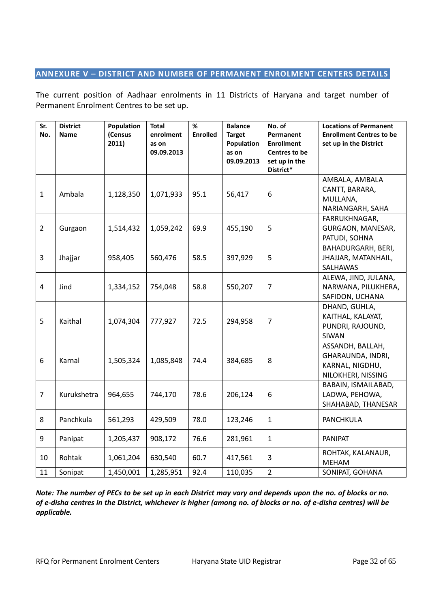# **ANNEXURE V – DISTRICT AND NUMBER OF PERMANENT ENROLMENT CENTERS DETAILS**

The current position of Aadhaar enrolments in 11 Districts of Haryana and target number of Permanent Enrolment Centres to be set up.

| <b>District</b><br><b>Name</b> | Population<br>(Census<br>2011) | <b>Total</b><br>enrolment<br>as on<br>09.09.2013 | %<br><b>Enrolled</b> | <b>Balance</b><br><b>Target</b><br>Population<br>as on<br>09.09.2013 | No. of<br>Permanent<br><b>Enrollment</b><br>Centres to be<br>set up in the<br>District* | <b>Locations of Permanent</b><br><b>Enrollment Centres to be</b><br>set up in the District |
|--------------------------------|--------------------------------|--------------------------------------------------|----------------------|----------------------------------------------------------------------|-----------------------------------------------------------------------------------------|--------------------------------------------------------------------------------------------|
| Ambala                         | 1,128,350                      | 1,071,933                                        | 95.1                 | 56,417                                                               | 6                                                                                       | AMBALA, AMBALA<br>CANTT, BARARA,<br>MULLANA,<br>NARIANGARH, SAHA                           |
| Gurgaon                        | 1,514,432                      | 1,059,242                                        | 69.9                 | 455,190                                                              | 5                                                                                       | FARRUKHNAGAR,<br>GURGAON, MANESAR,<br>PATUDI, SOHNA                                        |
| Jhajjar                        | 958,405                        | 560,476                                          | 58.5                 | 397,929                                                              | 5                                                                                       | BAHADURGARH, BERI,<br>JHAJJAR, MATANHAIL,<br>SALHAWAS                                      |
| Jind                           | 1,334,152                      | 754,048                                          | 58.8                 | 550,207                                                              | $\overline{7}$                                                                          | ALEWA, JIND, JULANA,<br>NARWANA, PILUKHERA,<br>SAFIDON, UCHANA                             |
| Kaithal                        | 1,074,304                      | 777,927                                          | 72.5                 | 294,958                                                              | $\overline{7}$                                                                          | DHAND, GUHLA,<br>KAITHAL, KALAYAT,<br>PUNDRI, RAJOUND,<br>SIWAN                            |
| Karnal                         | 1,505,324                      | 1,085,848                                        | 74.4                 | 384,685                                                              | 8                                                                                       | ASSANDH, BALLAH,<br>GHARAUNDA, INDRI,<br>KARNAL, NIGDHU,<br>NILOKHERI, NISSING             |
| Kurukshetra                    | 964,655                        | 744,170                                          | 78.6                 | 206,124                                                              | 6                                                                                       | BABAIN, ISMAILABAD,<br>LADWA, PEHOWA,<br>SHAHABAD, THANESAR                                |
| Panchkula                      | 561,293                        | 429,509                                          | 78.0                 | 123,246                                                              | $\mathbf{1}$                                                                            | <b>PANCHKULA</b>                                                                           |
| Panipat                        | 1,205,437                      | 908,172                                          | 76.6                 | 281,961                                                              | $\mathbf{1}$                                                                            | <b>PANIPAT</b>                                                                             |
| Rohtak                         | 1,061,204                      | 630,540                                          | 60.7                 | 417,561                                                              | 3                                                                                       | ROHTAK, KALANAUR,<br><b>MEHAM</b><br>SONIPAT, GOHANA                                       |
|                                | Sonipat                        | 1,450,001                                        | 1,285,951            | 92.4                                                                 | 110,035                                                                                 | $\overline{2}$                                                                             |

*Note: The number of PECs to be set up in each District may vary and depends upon the no. of blocks or no. of e-disha centres in the District, whichever is higher (among no. of blocks or no. of e-disha centres) will be applicable.*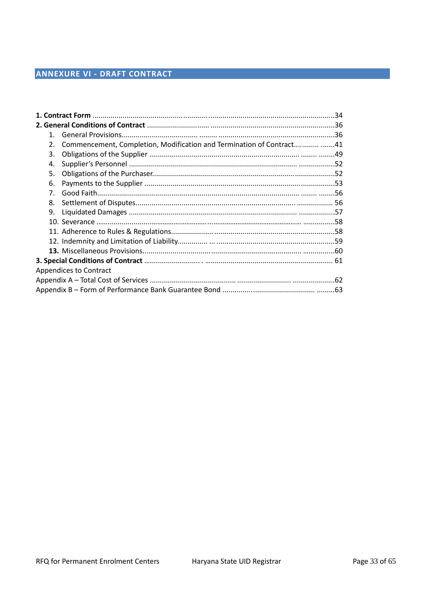| 1.             |                                                                         |  |
|----------------|-------------------------------------------------------------------------|--|
| 2.             | Commencement, Completion, Modification and Termination of Contract   41 |  |
| 3.             |                                                                         |  |
| 4.             |                                                                         |  |
| 5.             |                                                                         |  |
| 6.             |                                                                         |  |
| 7 <sup>1</sup> |                                                                         |  |
| 8.             |                                                                         |  |
| 9.             |                                                                         |  |
|                |                                                                         |  |
|                |                                                                         |  |
|                |                                                                         |  |
|                |                                                                         |  |
|                |                                                                         |  |
|                | Appendices to Contract                                                  |  |
|                |                                                                         |  |
|                |                                                                         |  |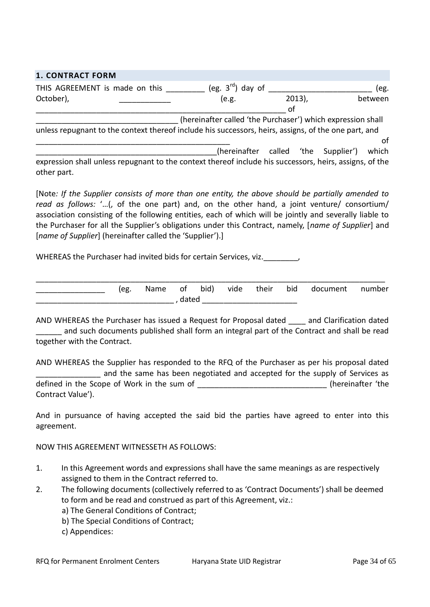| <b>1. CONTRACT FORM</b>                                                                                 |                                                             |           |  |         |
|---------------------------------------------------------------------------------------------------------|-------------------------------------------------------------|-----------|--|---------|
| THIS AGREEMENT is made on this                                                                          | (eg. $3^{\text{rd}}$ ) day of                               |           |  | (eg.    |
| October),                                                                                               | (e.g.                                                       | $2013$ ), |  | between |
|                                                                                                         |                                                             | of        |  |         |
|                                                                                                         | (hereinafter called 'the Purchaser') which expression shall |           |  |         |
| unless repugnant to the context thereof include his successors, heirs, assigns, of the one part, and    |                                                             |           |  |         |
|                                                                                                         |                                                             |           |  | ΩŤ      |
|                                                                                                         | (hereinafter called 'the Supplier')                         |           |  | which   |
| expression shall unless repugnant to the context thereof include his successors, heirs, assigns, of the |                                                             |           |  |         |
| other part.                                                                                             |                                                             |           |  |         |

[Note*: If the Supplier consists of more than one entity, the above should be partially amended to read as follows:* '…(, of the one part) and, on the other hand, a joint venture/ consortium/ association consisting of the following entities, each of which will be jointly and severally liable to the Purchaser for all the Supplier's obligations under this Contract, namely, [*name of Supplier*] and [*name of Supplier*] (hereinafter called the 'Supplier').]

WHEREAS the Purchaser had invited bids for certain Services, viz.

| (eg. | Name of |       | bid) | vide | their | bid document | number |
|------|---------|-------|------|------|-------|--------------|--------|
|      |         | dated |      |      |       |              |        |

AND WHEREAS the Purchaser has issued a Request for Proposal dated and Clarification dated and such documents published shall form an integral part of the Contract and shall be read together with the Contract.

AND WHEREAS the Supplier has responded to the RFQ of the Purchaser as per his proposal dated and the same has been negotiated and accepted for the supply of Services as defined in the Scope of Work in the sum of \_\_\_\_\_\_\_\_\_\_\_\_\_\_\_\_\_\_\_\_\_\_\_\_\_\_\_\_\_\_ (hereinafter 'the Contract Value').

And in pursuance of having accepted the said bid the parties have agreed to enter into this agreement.

NOW THIS AGREEMENT WITNESSETH AS FOLLOWS:

- 1. In this Agreement words and expressions shall have the same meanings as are respectively assigned to them in the Contract referred to.
- 2. The following documents (collectively referred to as 'Contract Documents') shall be deemed to form and be read and construed as part of this Agreement, viz.:
	- a) The General Conditions of Contract;
	- b) The Special Conditions of Contract;
	- c) Appendices: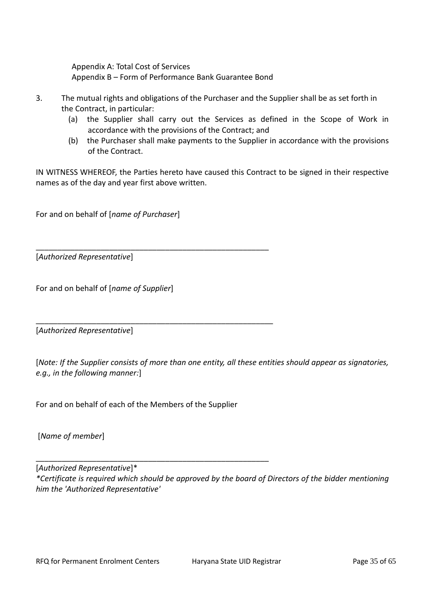Appendix A: Total Cost of Services Appendix B – Form of Performance Bank Guarantee Bond

- 3. The mutual rights and obligations of the Purchaser and the Supplier shall be as set forth in the Contract, in particular:
	- (a) the Supplier shall carry out the Services as defined in the Scope of Work in accordance with the provisions of the Contract; and
	- (b) the Purchaser shall make payments to the Supplier in accordance with the provisions of the Contract.

IN WITNESS WHEREOF, the Parties hereto have caused this Contract to be signed in their respective names as of the day and year first above written.

For and on behalf of [*name of Purchaser*]

[*Authorized Representative*]

For and on behalf of [*name of Supplier*]

[*Authorized Representative*]

[*Note: If the Supplier consists of more than one entity, all these entities should appear as signatories, e.g., in the following manner:*]

For and on behalf of each of the Members of the Supplier

\_\_\_\_\_\_\_\_\_\_\_\_\_\_\_\_\_\_\_\_\_\_\_\_\_\_\_\_\_\_\_\_\_\_\_\_\_\_\_\_\_\_\_\_\_\_\_\_\_\_\_\_\_\_

\_\_\_\_\_\_\_\_\_\_\_\_\_\_\_\_\_\_\_\_\_\_\_\_\_\_\_\_\_\_\_\_\_\_\_\_\_\_\_\_\_\_\_\_\_\_\_\_\_\_\_\_\_\_

\_\_\_\_\_\_\_\_\_\_\_\_\_\_\_\_\_\_\_\_\_\_\_\_\_\_\_\_\_\_\_\_\_\_\_\_\_\_\_\_\_\_\_\_\_\_\_\_\_\_\_\_\_\_\_

[*Name of member*]

[*Authorized Representative*]\* *\*Certificate is required which should be approved by the board of Directors of the bidder mentioning him the 'Authorized Representative'*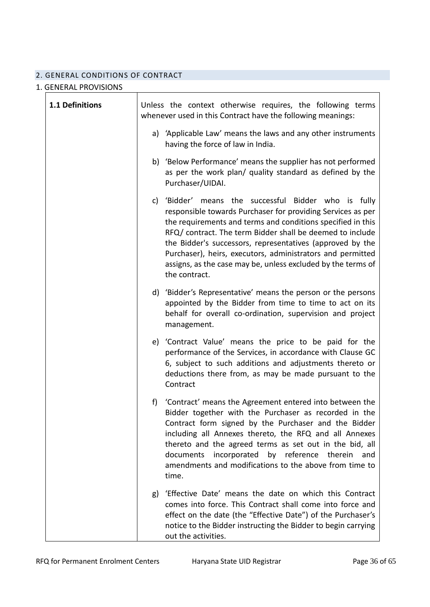# 2. GENERAL CONDITIONS OF CONTRACT

# 1. GENERAL PROVISIONS

| 1.1 Definitions |     | Unless the context otherwise requires, the following terms<br>whenever used in this Contract have the following meanings:                                                                                                                                                                                                                                                                                                                                   |
|-----------------|-----|-------------------------------------------------------------------------------------------------------------------------------------------------------------------------------------------------------------------------------------------------------------------------------------------------------------------------------------------------------------------------------------------------------------------------------------------------------------|
|                 |     | a) 'Applicable Law' means the laws and any other instruments<br>having the force of law in India.                                                                                                                                                                                                                                                                                                                                                           |
|                 |     | b) 'Below Performance' means the supplier has not performed<br>as per the work plan/ quality standard as defined by the<br>Purchaser/UIDAI.                                                                                                                                                                                                                                                                                                                 |
|                 |     | c) 'Bidder' means the successful Bidder who is fully<br>responsible towards Purchaser for providing Services as per<br>the requirements and terms and conditions specified in this<br>RFQ/ contract. The term Bidder shall be deemed to include<br>the Bidder's successors, representatives (approved by the<br>Purchaser), heirs, executors, administrators and permitted<br>assigns, as the case may be, unless excluded by the terms of<br>the contract. |
|                 |     | d) 'Bidder's Representative' means the person or the persons<br>appointed by the Bidder from time to time to act on its<br>behalf for overall co-ordination, supervision and project<br>management.                                                                                                                                                                                                                                                         |
|                 |     | e) 'Contract Value' means the price to be paid for the<br>performance of the Services, in accordance with Clause GC<br>6, subject to such additions and adjustments thereto or<br>deductions there from, as may be made pursuant to the<br>Contract                                                                                                                                                                                                         |
|                 | f). | 'Contract' means the Agreement entered into between the<br>Bidder together with the Purchaser as recorded in the<br>Contract form signed by the Purchaser and the Bidder<br>including all Annexes thereto, the RFQ and all Annexes<br>thereto and the agreed terms as set out in the bid, all<br>by reference<br>documents<br>incorporated<br>therein<br>and<br>amendments and modifications to the above from time to<br>time.                             |
|                 | g)  | 'Effective Date' means the date on which this Contract<br>comes into force. This Contract shall come into force and<br>effect on the date (the "Effective Date") of the Purchaser's<br>notice to the Bidder instructing the Bidder to begin carrying<br>out the activities.                                                                                                                                                                                 |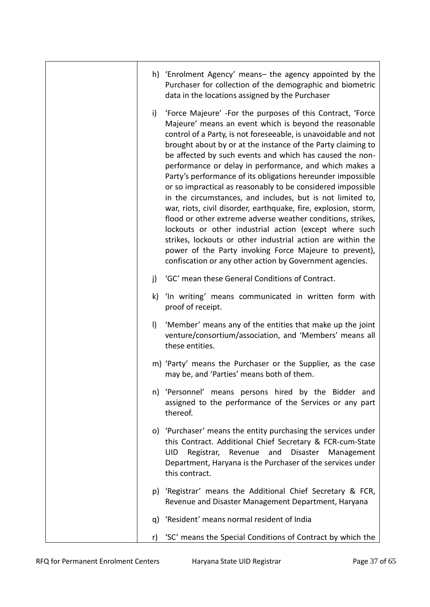|         | h) 'Enrolment Agency' means- the agency appointed by the<br>Purchaser for collection of the demographic and biometric<br>data in the locations assigned by the Purchaser                                                                                                                                                                                                                                                                                                                                                                                                                                                                                                                                                                                                                                                                                                                                                                                   |
|---------|------------------------------------------------------------------------------------------------------------------------------------------------------------------------------------------------------------------------------------------------------------------------------------------------------------------------------------------------------------------------------------------------------------------------------------------------------------------------------------------------------------------------------------------------------------------------------------------------------------------------------------------------------------------------------------------------------------------------------------------------------------------------------------------------------------------------------------------------------------------------------------------------------------------------------------------------------------|
| i)      | 'Force Majeure' - For the purposes of this Contract, 'Force<br>Majeure' means an event which is beyond the reasonable<br>control of a Party, is not foreseeable, is unavoidable and not<br>brought about by or at the instance of the Party claiming to<br>be affected by such events and which has caused the non-<br>performance or delay in performance, and which makes a<br>Party's performance of its obligations hereunder impossible<br>or so impractical as reasonably to be considered impossible<br>in the circumstances, and includes, but is not limited to,<br>war, riots, civil disorder, earthquake, fire, explosion, storm,<br>flood or other extreme adverse weather conditions, strikes,<br>lockouts or other industrial action (except where such<br>strikes, lockouts or other industrial action are within the<br>power of the Party invoking Force Majeure to prevent),<br>confiscation or any other action by Government agencies. |
| j)      | 'GC' mean these General Conditions of Contract.                                                                                                                                                                                                                                                                                                                                                                                                                                                                                                                                                                                                                                                                                                                                                                                                                                                                                                            |
| k)      | 'In writing' means communicated in written form with<br>proof of receipt.                                                                                                                                                                                                                                                                                                                                                                                                                                                                                                                                                                                                                                                                                                                                                                                                                                                                                  |
| $\vert$ | 'Member' means any of the entities that make up the joint<br>venture/consortium/association, and 'Members' means all<br>these entities.                                                                                                                                                                                                                                                                                                                                                                                                                                                                                                                                                                                                                                                                                                                                                                                                                    |
|         | m) 'Party' means the Purchaser or the Supplier, as the case<br>may be, and 'Parties' means both of them.                                                                                                                                                                                                                                                                                                                                                                                                                                                                                                                                                                                                                                                                                                                                                                                                                                                   |
|         | n) 'Personnel' means persons hired by the Bidder and<br>assigned to the performance of the Services or any part<br>thereof.                                                                                                                                                                                                                                                                                                                                                                                                                                                                                                                                                                                                                                                                                                                                                                                                                                |
|         | o) 'Purchaser' means the entity purchasing the services under<br>this Contract. Additional Chief Secretary & FCR-cum-State<br>Disaster<br>and<br><b>UID</b><br>Registrar,<br>Revenue<br>Management<br>Department, Haryana is the Purchaser of the services under<br>this contract.                                                                                                                                                                                                                                                                                                                                                                                                                                                                                                                                                                                                                                                                         |
| p)      | 'Registrar' means the Additional Chief Secretary & FCR,<br>Revenue and Disaster Management Department, Haryana                                                                                                                                                                                                                                                                                                                                                                                                                                                                                                                                                                                                                                                                                                                                                                                                                                             |
| q)      | 'Resident' means normal resident of India                                                                                                                                                                                                                                                                                                                                                                                                                                                                                                                                                                                                                                                                                                                                                                                                                                                                                                                  |
| r)      | 'SC' means the Special Conditions of Contract by which the                                                                                                                                                                                                                                                                                                                                                                                                                                                                                                                                                                                                                                                                                                                                                                                                                                                                                                 |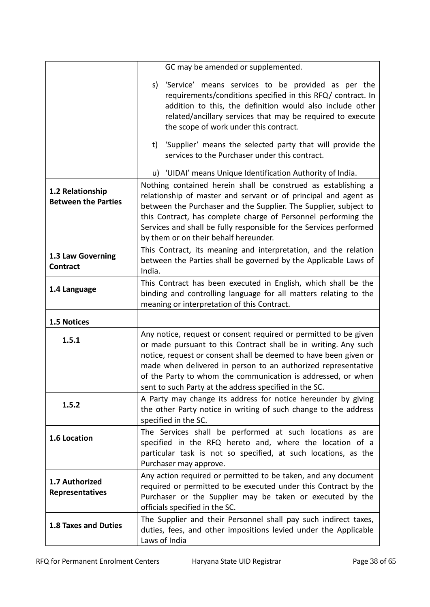|                                                | GC may be amended or supplemented.                                                                                                                                                                                                                                                                                                                                                                          |
|------------------------------------------------|-------------------------------------------------------------------------------------------------------------------------------------------------------------------------------------------------------------------------------------------------------------------------------------------------------------------------------------------------------------------------------------------------------------|
|                                                | s) 'Service' means services to be provided as per the<br>requirements/conditions specified in this RFQ/ contract. In<br>addition to this, the definition would also include other<br>related/ancillary services that may be required to execute<br>the scope of work under this contract.<br>t) 'Supplier' means the selected party that will provide the<br>services to the Purchaser under this contract. |
|                                                | u) 'UIDAI' means Unique Identification Authority of India.                                                                                                                                                                                                                                                                                                                                                  |
| 1.2 Relationship<br><b>Between the Parties</b> | Nothing contained herein shall be construed as establishing a<br>relationship of master and servant or of principal and agent as<br>between the Purchaser and the Supplier. The Supplier, subject to<br>this Contract, has complete charge of Personnel performing the<br>Services and shall be fully responsible for the Services performed<br>by them or on their behalf hereunder.                       |
| 1.3 Law Governing<br><b>Contract</b>           | This Contract, its meaning and interpretation, and the relation<br>between the Parties shall be governed by the Applicable Laws of<br>India.                                                                                                                                                                                                                                                                |
| 1.4 Language                                   | This Contract has been executed in English, which shall be the<br>binding and controlling language for all matters relating to the<br>meaning or interpretation of this Contract.                                                                                                                                                                                                                           |
| 1.5 Notices                                    |                                                                                                                                                                                                                                                                                                                                                                                                             |
| 1.5.1                                          | Any notice, request or consent required or permitted to be given<br>or made pursuant to this Contract shall be in writing. Any such<br>notice, request or consent shall be deemed to have been given or<br>made when delivered in person to an authorized representative<br>of the Party to whom the communication is addressed, or when<br>sent to such Party at the address specified in the SC.          |
| 1.5.2                                          | A Party may change its address for notice hereunder by giving<br>the other Party notice in writing of such change to the address<br>specified in the SC.                                                                                                                                                                                                                                                    |
| 1.6 Location                                   | The Services shall be performed at such locations as are<br>specified in the RFQ hereto and, where the location of a<br>particular task is not so specified, at such locations, as the<br>Purchaser may approve.                                                                                                                                                                                            |
| 1.7 Authorized<br><b>Representatives</b>       | Any action required or permitted to be taken, and any document<br>required or permitted to be executed under this Contract by the<br>Purchaser or the Supplier may be taken or executed by the<br>officials specified in the SC.                                                                                                                                                                            |
| <b>1.8 Taxes and Duties</b>                    | The Supplier and their Personnel shall pay such indirect taxes,<br>duties, fees, and other impositions levied under the Applicable<br>Laws of India                                                                                                                                                                                                                                                         |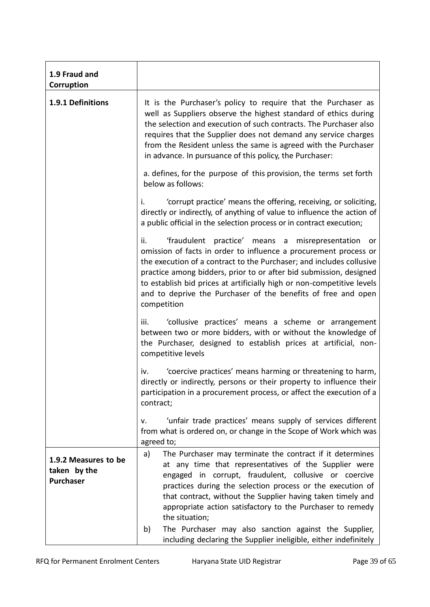| 1.9 Fraud and<br>Corruption                              |                                                                                                                                                                                                                                                                                                                                                                                                                                                               |
|----------------------------------------------------------|---------------------------------------------------------------------------------------------------------------------------------------------------------------------------------------------------------------------------------------------------------------------------------------------------------------------------------------------------------------------------------------------------------------------------------------------------------------|
| 1.9.1 Definitions                                        | It is the Purchaser's policy to require that the Purchaser as<br>well as Suppliers observe the highest standard of ethics during<br>the selection and execution of such contracts. The Purchaser also<br>requires that the Supplier does not demand any service charges<br>from the Resident unless the same is agreed with the Purchaser<br>in advance. In pursuance of this policy, the Purchaser:                                                          |
|                                                          | a. defines, for the purpose of this provision, the terms set forth<br>below as follows:                                                                                                                                                                                                                                                                                                                                                                       |
|                                                          | 'corrupt practice' means the offering, receiving, or soliciting,<br>i.<br>directly or indirectly, of anything of value to influence the action of<br>a public official in the selection process or in contract execution;                                                                                                                                                                                                                                     |
|                                                          | 'fraudulent practice' means a misrepresentation or<br>ii.<br>omission of facts in order to influence a procurement process or<br>the execution of a contract to the Purchaser; and includes collusive<br>practice among bidders, prior to or after bid submission, designed<br>to establish bid prices at artificially high or non-competitive levels<br>and to deprive the Purchaser of the benefits of free and open<br>competition                         |
|                                                          | 'collusive practices' means a scheme or arrangement<br>iii.<br>between two or more bidders, with or without the knowledge of<br>the Purchaser, designed to establish prices at artificial, non-<br>competitive levels                                                                                                                                                                                                                                         |
|                                                          | 'coercive practices' means harming or threatening to harm,<br>iv.<br>directly or indirectly, persons or their property to influence their<br>participation in a procurement process, or affect the execution of a<br>contract;                                                                                                                                                                                                                                |
|                                                          | 'unfair trade practices' means supply of services different<br>۷.<br>from what is ordered on, or change in the Scope of Work which was<br>agreed to;                                                                                                                                                                                                                                                                                                          |
| 1.9.2 Measures to be<br>taken by the<br><b>Purchaser</b> | The Purchaser may terminate the contract if it determines<br>a)<br>at any time that representatives of the Supplier were<br>engaged in corrupt, fraudulent, collusive or coercive<br>practices during the selection process or the execution of<br>that contract, without the Supplier having taken timely and<br>appropriate action satisfactory to the Purchaser to remedy<br>the situation;<br>The Purchaser may also sanction against the Supplier,<br>b) |
|                                                          | including declaring the Supplier ineligible, either indefinitely                                                                                                                                                                                                                                                                                                                                                                                              |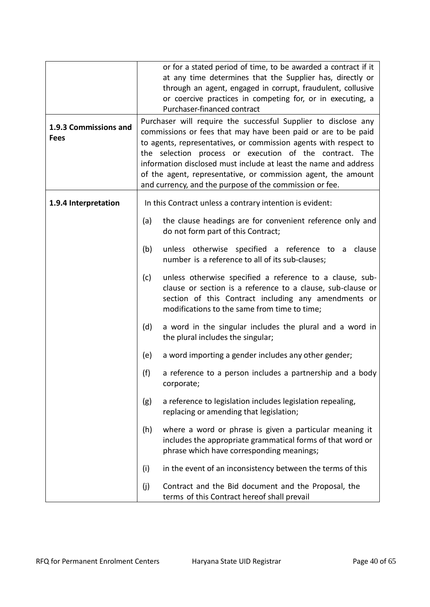|                                      |     | or for a stated period of time, to be awarded a contract if it<br>at any time determines that the Supplier has, directly or<br>through an agent, engaged in corrupt, fraudulent, collusive<br>or coercive practices in competing for, or in executing, a<br>Purchaser-financed contract                                                                                                                                                                        |
|--------------------------------------|-----|----------------------------------------------------------------------------------------------------------------------------------------------------------------------------------------------------------------------------------------------------------------------------------------------------------------------------------------------------------------------------------------------------------------------------------------------------------------|
| 1.9.3 Commissions and<br><b>Fees</b> |     | Purchaser will require the successful Supplier to disclose any<br>commissions or fees that may have been paid or are to be paid<br>to agents, representatives, or commission agents with respect to<br>the selection process or execution of the contract. The<br>information disclosed must include at least the name and address<br>of the agent, representative, or commission agent, the amount<br>and currency, and the purpose of the commission or fee. |
| 1.9.4 Interpretation                 |     | In this Contract unless a contrary intention is evident:                                                                                                                                                                                                                                                                                                                                                                                                       |
|                                      | (a) | the clause headings are for convenient reference only and<br>do not form part of this Contract;                                                                                                                                                                                                                                                                                                                                                                |
|                                      | (b) | unless otherwise specified a reference to a clause<br>number is a reference to all of its sub-clauses;                                                                                                                                                                                                                                                                                                                                                         |
|                                      | (c) | unless otherwise specified a reference to a clause, sub-<br>clause or section is a reference to a clause, sub-clause or<br>section of this Contract including any amendments or<br>modifications to the same from time to time;                                                                                                                                                                                                                                |
|                                      | (d) | a word in the singular includes the plural and a word in<br>the plural includes the singular;                                                                                                                                                                                                                                                                                                                                                                  |
|                                      | (e) | a word importing a gender includes any other gender;                                                                                                                                                                                                                                                                                                                                                                                                           |
|                                      | (f) | a reference to a person includes a partnership and a body<br>corporate;                                                                                                                                                                                                                                                                                                                                                                                        |
|                                      | (g) | a reference to legislation includes legislation repealing,<br>replacing or amending that legislation;                                                                                                                                                                                                                                                                                                                                                          |
|                                      | (h) | where a word or phrase is given a particular meaning it<br>includes the appropriate grammatical forms of that word or<br>phrase which have corresponding meanings;                                                                                                                                                                                                                                                                                             |
|                                      | (i) | in the event of an inconsistency between the terms of this                                                                                                                                                                                                                                                                                                                                                                                                     |
|                                      | (j) | Contract and the Bid document and the Proposal, the<br>terms of this Contract hereof shall prevail                                                                                                                                                                                                                                                                                                                                                             |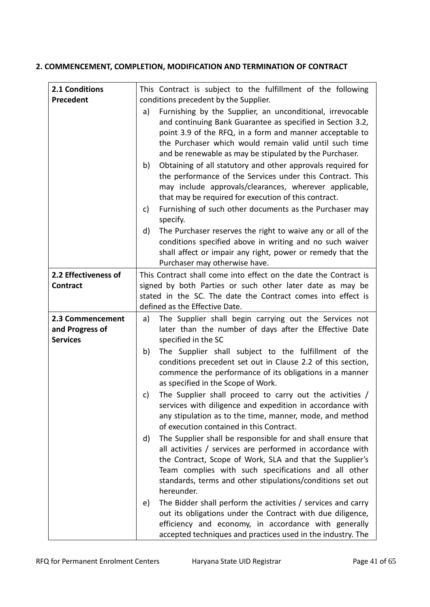# **2. COMMENCEMENT, COMPLETION, MODIFICATION AND TERMINATION OF CONTRACT**

| 2.1 Conditions       |          | This Contract is subject to the fulfillment of the following                                                                                                                                                                                                                                                                                                                                                                         |
|----------------------|----------|--------------------------------------------------------------------------------------------------------------------------------------------------------------------------------------------------------------------------------------------------------------------------------------------------------------------------------------------------------------------------------------------------------------------------------------|
| Precedent            |          | conditions precedent by the Supplier.                                                                                                                                                                                                                                                                                                                                                                                                |
|                      | a)<br>b) | Furnishing by the Supplier, an unconditional, irrevocable<br>and continuing Bank Guarantee as specified in Section 3.2,<br>point 3.9 of the RFQ, in a form and manner acceptable to<br>the Purchaser which would remain valid until such time<br>and be renewable as may be stipulated by the Purchaser.<br>Obtaining of all statutory and other approvals required for<br>the performance of the Services under this Contract. This |
|                      |          | may include approvals/clearances, wherever applicable,<br>that may be required for execution of this contract.                                                                                                                                                                                                                                                                                                                       |
|                      | c)       | Furnishing of such other documents as the Purchaser may<br>specify.                                                                                                                                                                                                                                                                                                                                                                  |
|                      | d)       | The Purchaser reserves the right to waive any or all of the<br>conditions specified above in writing and no such waiver<br>shall affect or impair any right, power or remedy that the<br>Purchaser may otherwise have.                                                                                                                                                                                                               |
| 2.2 Effectiveness of |          | This Contract shall come into effect on the date the Contract is                                                                                                                                                                                                                                                                                                                                                                     |
| <b>Contract</b>      |          | signed by both Parties or such other later date as may be                                                                                                                                                                                                                                                                                                                                                                            |
|                      |          | stated in the SC. The date the Contract comes into effect is                                                                                                                                                                                                                                                                                                                                                                         |
|                      |          | defined as the Effective Date.                                                                                                                                                                                                                                                                                                                                                                                                       |
| 2.3 Commencement     | a)       |                                                                                                                                                                                                                                                                                                                                                                                                                                      |
|                      |          | The Supplier shall begin carrying out the Services not                                                                                                                                                                                                                                                                                                                                                                               |
| and Progress of      |          | later than the number of days after the Effective Date                                                                                                                                                                                                                                                                                                                                                                               |
| <b>Services</b>      |          | specified in the SC                                                                                                                                                                                                                                                                                                                                                                                                                  |
|                      | b)       | The Supplier shall subject to the fulfillment of the<br>conditions precedent set out in Clause 2.2 of this section,<br>commence the performance of its obligations in a manner<br>as specified in the Scope of Work.                                                                                                                                                                                                                 |
|                      | c)       | The Supplier shall proceed to carry out the activities /<br>services with diligence and expedition in accordance with<br>any stipulation as to the time, manner, mode, and method<br>of execution contained in this Contract.                                                                                                                                                                                                        |
|                      | d)       | The Supplier shall be responsible for and shall ensure that<br>all activities / services are performed in accordance with<br>the Contract, Scope of Work, SLA and that the Supplier's<br>Team complies with such specifications and all other<br>standards, terms and other stipulations/conditions set out<br>hereunder.                                                                                                            |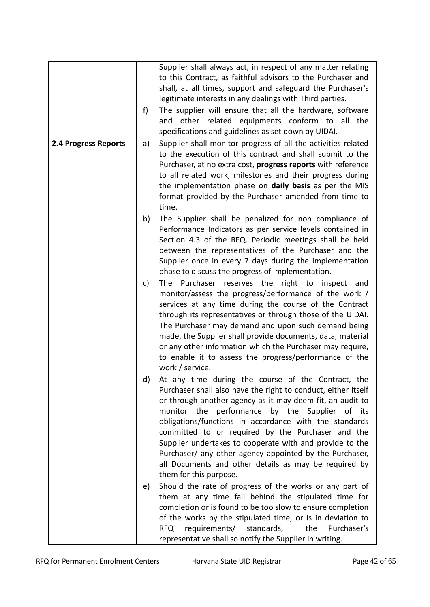|                      |    | Supplier shall always act, in respect of any matter relating  |
|----------------------|----|---------------------------------------------------------------|
|                      |    |                                                               |
|                      |    | to this Contract, as faithful advisors to the Purchaser and   |
|                      |    | shall, at all times, support and safeguard the Purchaser's    |
|                      |    | legitimate interests in any dealings with Third parties.      |
|                      | f) | The supplier will ensure that all the hardware, software      |
|                      |    | other related equipments conform to all<br>the<br>and         |
|                      |    | specifications and guidelines as set down by UIDAI.           |
| 2.4 Progress Reports | a) | Supplier shall monitor progress of all the activities related |
|                      |    | to the execution of this contract and shall submit to the     |
|                      |    | Purchaser, at no extra cost, progress reports with reference  |
|                      |    | to all related work, milestones and their progress during     |
|                      |    |                                                               |
|                      |    | the implementation phase on daily basis as per the MIS        |
|                      |    | format provided by the Purchaser amended from time to         |
|                      |    | time.                                                         |
|                      | b) | The Supplier shall be penalized for non compliance of         |
|                      |    | Performance Indicators as per service levels contained in     |
|                      |    | Section 4.3 of the RFQ. Periodic meetings shall be held       |
|                      |    | between the representatives of the Purchaser and the          |
|                      |    | Supplier once in every 7 days during the implementation       |
|                      |    | phase to discuss the progress of implementation.              |
|                      | c) | The Purchaser reserves the right to inspect and               |
|                      |    | monitor/assess the progress/performance of the work /         |
|                      |    | services at any time during the course of the Contract        |
|                      |    |                                                               |
|                      |    | through its representatives or through those of the UIDAI.    |
|                      |    | The Purchaser may demand and upon such demand being           |
|                      |    | made, the Supplier shall provide documents, data, material    |
|                      |    | or any other information which the Purchaser may require,     |
|                      |    | to enable it to assess the progress/performance of the        |
|                      |    | work / service.                                               |
|                      | d) | At any time during the course of the Contract, the            |
|                      |    | Purchaser shall also have the right to conduct, either itself |
|                      |    | or through another agency as it may deem fit, an audit to     |
|                      |    | monitor the performance by the Supplier of its                |
|                      |    | obligations/functions in accordance with the standards        |
|                      |    | committed to or required by the Purchaser and the             |
|                      |    | Supplier undertakes to cooperate with and provide to the      |
|                      |    |                                                               |
|                      |    | Purchaser/ any other agency appointed by the Purchaser,       |
|                      |    | all Documents and other details as may be required by         |
|                      |    | them for this purpose.                                        |
|                      | e) | Should the rate of progress of the works or any part of       |
|                      |    | them at any time fall behind the stipulated time for          |
|                      |    | completion or is found to be too slow to ensure completion    |
|                      |    | of the works by the stipulated time, or is in deviation to    |
|                      |    | requirements/ standards,<br>Purchaser's<br>the<br><b>RFQ</b>  |
|                      |    |                                                               |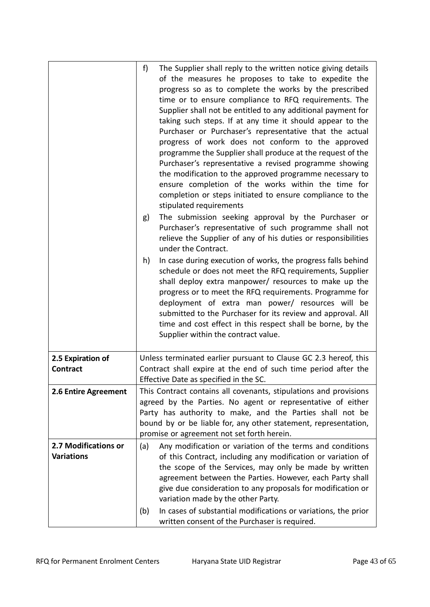|                                           | f)<br>The Supplier shall reply to the written notice giving details<br>of the measures he proposes to take to expedite the<br>progress so as to complete the works by the prescribed<br>time or to ensure compliance to RFQ requirements. The<br>Supplier shall not be entitled to any additional payment for<br>taking such steps. If at any time it should appear to the<br>Purchaser or Purchaser's representative that the actual<br>progress of work does not conform to the approved<br>programme the Supplier shall produce at the request of the<br>Purchaser's representative a revised programme showing<br>the modification to the approved programme necessary to<br>ensure completion of the works within the time for<br>completion or steps initiated to ensure compliance to the<br>stipulated requirements<br>The submission seeking approval by the Purchaser or<br>g)<br>Purchaser's representative of such programme shall not<br>relieve the Supplier of any of his duties or responsibilities<br>under the Contract.<br>In case during execution of works, the progress falls behind<br>h)<br>schedule or does not meet the RFQ requirements, Supplier<br>shall deploy extra manpower/ resources to make up the<br>progress or to meet the RFQ requirements. Programme for<br>deployment of extra man power/ resources will be<br>submitted to the Purchaser for its review and approval. All<br>time and cost effect in this respect shall be borne, by the<br>Supplier within the contract value. |
|-------------------------------------------|---------------------------------------------------------------------------------------------------------------------------------------------------------------------------------------------------------------------------------------------------------------------------------------------------------------------------------------------------------------------------------------------------------------------------------------------------------------------------------------------------------------------------------------------------------------------------------------------------------------------------------------------------------------------------------------------------------------------------------------------------------------------------------------------------------------------------------------------------------------------------------------------------------------------------------------------------------------------------------------------------------------------------------------------------------------------------------------------------------------------------------------------------------------------------------------------------------------------------------------------------------------------------------------------------------------------------------------------------------------------------------------------------------------------------------------------------------------------------------------------------------------------------|
| 2.5 Expiration of<br><b>Contract</b>      | Unless terminated earlier pursuant to Clause GC 2.3 hereof, this<br>Contract shall expire at the end of such time period after the<br>Effective Date as specified in the SC.                                                                                                                                                                                                                                                                                                                                                                                                                                                                                                                                                                                                                                                                                                                                                                                                                                                                                                                                                                                                                                                                                                                                                                                                                                                                                                                                              |
| 2.6 Entire Agreement                      | This Contract contains all covenants, stipulations and provisions<br>agreed by the Parties. No agent or representative of either<br>Party has authority to make, and the Parties shall not be<br>bound by or be liable for, any other statement, representation,<br>promise or agreement not set forth herein.                                                                                                                                                                                                                                                                                                                                                                                                                                                                                                                                                                                                                                                                                                                                                                                                                                                                                                                                                                                                                                                                                                                                                                                                            |
| 2.7 Modifications or<br><b>Variations</b> | (a)<br>Any modification or variation of the terms and conditions<br>of this Contract, including any modification or variation of<br>the scope of the Services, may only be made by written<br>agreement between the Parties. However, each Party shall<br>give due consideration to any proposals for modification or<br>variation made by the other Party.<br>In cases of substantial modifications or variations, the prior<br>(b)<br>written consent of the Purchaser is required.                                                                                                                                                                                                                                                                                                                                                                                                                                                                                                                                                                                                                                                                                                                                                                                                                                                                                                                                                                                                                                     |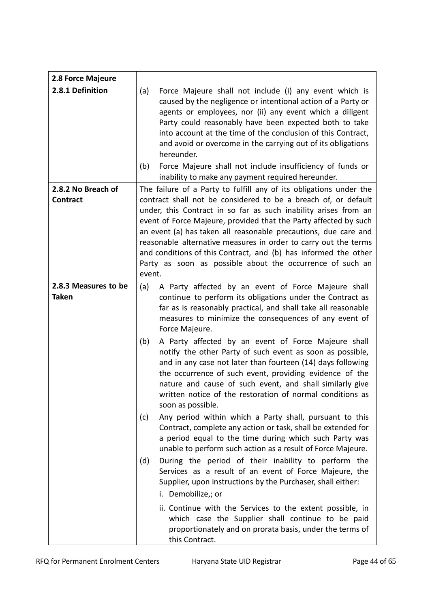| 2.8 Force Majeure                     |                                                                                                                                                                                                                                                                                                                                                                                                                                                                                                                                                                                                                                                                                                                                                                                                                                                                                                                                                                                                                                                                                                                                                                                                                                                                                                                                                |
|---------------------------------------|------------------------------------------------------------------------------------------------------------------------------------------------------------------------------------------------------------------------------------------------------------------------------------------------------------------------------------------------------------------------------------------------------------------------------------------------------------------------------------------------------------------------------------------------------------------------------------------------------------------------------------------------------------------------------------------------------------------------------------------------------------------------------------------------------------------------------------------------------------------------------------------------------------------------------------------------------------------------------------------------------------------------------------------------------------------------------------------------------------------------------------------------------------------------------------------------------------------------------------------------------------------------------------------------------------------------------------------------|
| 2.8.1 Definition                      | (a)<br>Force Majeure shall not include (i) any event which is<br>caused by the negligence or intentional action of a Party or<br>agents or employees, nor (ii) any event which a diligent<br>Party could reasonably have been expected both to take<br>into account at the time of the conclusion of this Contract,<br>and avoid or overcome in the carrying out of its obligations<br>hereunder.                                                                                                                                                                                                                                                                                                                                                                                                                                                                                                                                                                                                                                                                                                                                                                                                                                                                                                                                              |
|                                       | Force Majeure shall not include insufficiency of funds or<br>(b)<br>inability to make any payment required hereunder.                                                                                                                                                                                                                                                                                                                                                                                                                                                                                                                                                                                                                                                                                                                                                                                                                                                                                                                                                                                                                                                                                                                                                                                                                          |
| 2.8.2 No Breach of<br><b>Contract</b> | The failure of a Party to fulfill any of its obligations under the<br>contract shall not be considered to be a breach of, or default<br>under, this Contract in so far as such inability arises from an<br>event of Force Majeure, provided that the Party affected by such<br>an event (a) has taken all reasonable precautions, due care and<br>reasonable alternative measures in order to carry out the terms<br>and conditions of this Contract, and (b) has informed the other<br>Party as soon as possible about the occurrence of such an<br>event.                                                                                                                                                                                                                                                                                                                                                                                                                                                                                                                                                                                                                                                                                                                                                                                    |
| 2.8.3 Measures to be<br><b>Taken</b>  | A Party affected by an event of Force Majeure shall<br>(a)<br>continue to perform its obligations under the Contract as<br>far as is reasonably practical, and shall take all reasonable<br>measures to minimize the consequences of any event of<br>Force Majeure.<br>A Party affected by an event of Force Majeure shall<br>(b)<br>notify the other Party of such event as soon as possible,<br>and in any case not later than fourteen (14) days following<br>the occurrence of such event, providing evidence of the<br>nature and cause of such event, and shall similarly give<br>written notice of the restoration of normal conditions as<br>soon as possible.<br>(c)<br>Any period within which a Party shall, pursuant to this<br>Contract, complete any action or task, shall be extended for<br>a period equal to the time during which such Party was<br>unable to perform such action as a result of Force Majeure.<br>During the period of their inability to perform the<br>(d)<br>Services as a result of an event of Force Majeure, the<br>Supplier, upon instructions by the Purchaser, shall either:<br>i. Demobilize,; or<br>ii. Continue with the Services to the extent possible, in<br>which case the Supplier shall continue to be paid<br>proportionately and on prorata basis, under the terms of<br>this Contract. |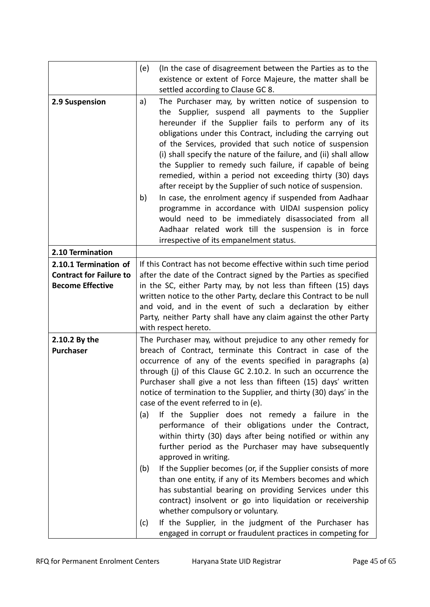|                                | (e)<br>(In the case of disagreement between the Parties as to the<br>existence or extent of Force Majeure, the matter shall be                                                                                                                                                                                                                                                                                                                                                                                                                                                                                                                                                                                                                                                                                                                       |
|--------------------------------|------------------------------------------------------------------------------------------------------------------------------------------------------------------------------------------------------------------------------------------------------------------------------------------------------------------------------------------------------------------------------------------------------------------------------------------------------------------------------------------------------------------------------------------------------------------------------------------------------------------------------------------------------------------------------------------------------------------------------------------------------------------------------------------------------------------------------------------------------|
|                                | settled according to Clause GC 8.                                                                                                                                                                                                                                                                                                                                                                                                                                                                                                                                                                                                                                                                                                                                                                                                                    |
| 2.9 Suspension                 | The Purchaser may, by written notice of suspension to<br>a)<br>the Supplier, suspend all payments to the Supplier<br>hereunder if the Supplier fails to perform any of its<br>obligations under this Contract, including the carrying out<br>of the Services, provided that such notice of suspension<br>(i) shall specify the nature of the failure, and (ii) shall allow<br>the Supplier to remedy such failure, if capable of being<br>remedied, within a period not exceeding thirty (30) days<br>after receipt by the Supplier of such notice of suspension.<br>In case, the enrolment agency if suspended from Aadhaar<br>b)<br>programme in accordance with UIDAI suspension policy<br>would need to be immediately disassociated from all<br>Aadhaar related work till the suspension is in force<br>irrespective of its empanelment status. |
| 2.10 Termination               |                                                                                                                                                                                                                                                                                                                                                                                                                                                                                                                                                                                                                                                                                                                                                                                                                                                      |
| 2.10.1 Termination of          | If this Contract has not become effective within such time period                                                                                                                                                                                                                                                                                                                                                                                                                                                                                                                                                                                                                                                                                                                                                                                    |
| <b>Contract for Failure to</b> | after the date of the Contract signed by the Parties as specified                                                                                                                                                                                                                                                                                                                                                                                                                                                                                                                                                                                                                                                                                                                                                                                    |
| <b>Become Effective</b>        | in the SC, either Party may, by not less than fifteen (15) days                                                                                                                                                                                                                                                                                                                                                                                                                                                                                                                                                                                                                                                                                                                                                                                      |
|                                | written notice to the other Party, declare this Contract to be null<br>and void, and in the event of such a declaration by either                                                                                                                                                                                                                                                                                                                                                                                                                                                                                                                                                                                                                                                                                                                    |
|                                | Party, neither Party shall have any claim against the other Party                                                                                                                                                                                                                                                                                                                                                                                                                                                                                                                                                                                                                                                                                                                                                                                    |
|                                | with respect hereto.                                                                                                                                                                                                                                                                                                                                                                                                                                                                                                                                                                                                                                                                                                                                                                                                                                 |
| 2.10.2 By the                  | The Purchaser may, without prejudice to any other remedy for                                                                                                                                                                                                                                                                                                                                                                                                                                                                                                                                                                                                                                                                                                                                                                                         |
| <b>Purchaser</b>               | breach of Contract, terminate this Contract in case of the<br>occurrence of any of the events specified in paragraphs (a)<br>through (j) of this Clause GC 2.10.2. In such an occurrence the<br>Purchaser shall give a not less than fifteen (15) days' written<br>notice of termination to the Supplier, and thirty (30) days' in the<br>case of the event referred to in (e).                                                                                                                                                                                                                                                                                                                                                                                                                                                                      |
|                                | If the Supplier does not remedy a failure in the<br>(a)<br>performance of their obligations under the Contract,<br>within thirty (30) days after being notified or within any<br>further period as the Purchaser may have subsequently<br>approved in writing.                                                                                                                                                                                                                                                                                                                                                                                                                                                                                                                                                                                       |
|                                | If the Supplier becomes (or, if the Supplier consists of more<br>(b)<br>than one entity, if any of its Members becomes and which<br>has substantial bearing on providing Services under this<br>contract) insolvent or go into liquidation or receivership<br>whether compulsory or voluntary.<br>If the Supplier, in the judgment of the Purchaser has<br>(c)                                                                                                                                                                                                                                                                                                                                                                                                                                                                                       |
|                                | engaged in corrupt or fraudulent practices in competing for                                                                                                                                                                                                                                                                                                                                                                                                                                                                                                                                                                                                                                                                                                                                                                                          |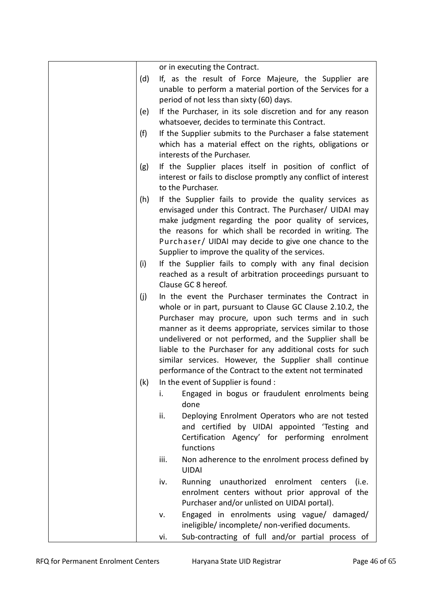|     | or in executing the Contract.                                                                                                                                                                                                                                                                                                                                                                                                                                                        |
|-----|--------------------------------------------------------------------------------------------------------------------------------------------------------------------------------------------------------------------------------------------------------------------------------------------------------------------------------------------------------------------------------------------------------------------------------------------------------------------------------------|
| (d) | If, as the result of Force Majeure, the Supplier are<br>unable to perform a material portion of the Services for a<br>period of not less than sixty (60) days.                                                                                                                                                                                                                                                                                                                       |
| (e) | If the Purchaser, in its sole discretion and for any reason<br>whatsoever, decides to terminate this Contract.                                                                                                                                                                                                                                                                                                                                                                       |
| (f) | If the Supplier submits to the Purchaser a false statement<br>which has a material effect on the rights, obligations or<br>interests of the Purchaser.                                                                                                                                                                                                                                                                                                                               |
| (g) | If the Supplier places itself in position of conflict of<br>interest or fails to disclose promptly any conflict of interest<br>to the Purchaser.                                                                                                                                                                                                                                                                                                                                     |
| (h) | If the Supplier fails to provide the quality services as<br>envisaged under this Contract. The Purchaser/ UIDAI may<br>make judgment regarding the poor quality of services,<br>the reasons for which shall be recorded in writing. The<br>Purchaser/ UIDAI may decide to give one chance to the<br>Supplier to improve the quality of the services.                                                                                                                                 |
| (i) | If the Supplier fails to comply with any final decision<br>reached as a result of arbitration proceedings pursuant to<br>Clause GC 8 hereof.                                                                                                                                                                                                                                                                                                                                         |
| (i) | In the event the Purchaser terminates the Contract in<br>whole or in part, pursuant to Clause GC Clause 2.10.2, the<br>Purchaser may procure, upon such terms and in such<br>manner as it deems appropriate, services similar to those<br>undelivered or not performed, and the Supplier shall be<br>liable to the Purchaser for any additional costs for such<br>similar services. However, the Supplier shall continue<br>performance of the Contract to the extent not terminated |
| (k) | In the event of Supplier is found :                                                                                                                                                                                                                                                                                                                                                                                                                                                  |
|     | Engaged in bogus or fraudulent enrolments being<br>i.<br>done                                                                                                                                                                                                                                                                                                                                                                                                                        |
|     | Deploying Enrolment Operators who are not tested<br>ii.<br>and certified by UIDAI appointed 'Testing and<br>Certification Agency' for performing enrolment<br>functions                                                                                                                                                                                                                                                                                                              |
|     | Non adherence to the enrolment process defined by<br>iii.<br><b>UIDAI</b>                                                                                                                                                                                                                                                                                                                                                                                                            |
|     | Running unauthorized enrolment centers<br>iv.<br>(i.e.<br>enrolment centers without prior approval of the<br>Purchaser and/or unlisted on UIDAI portal).                                                                                                                                                                                                                                                                                                                             |
|     | Engaged in enrolments using vague/ damaged/<br>٧.<br>ineligible/ incomplete/ non-verified documents.                                                                                                                                                                                                                                                                                                                                                                                 |
|     | Sub-contracting of full and/or partial process of<br>vi.                                                                                                                                                                                                                                                                                                                                                                                                                             |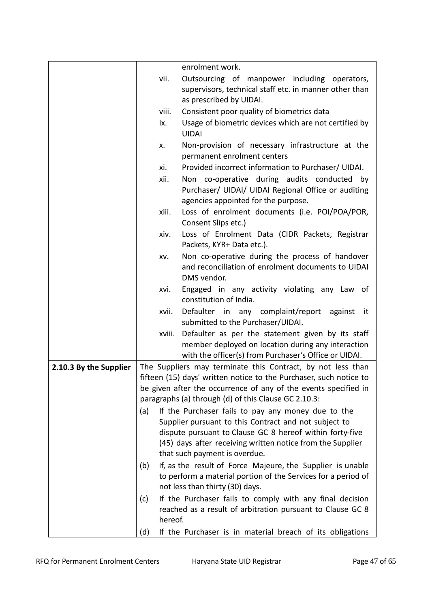|                        |         | enrolment work.                                                                                                                                                  |
|------------------------|---------|------------------------------------------------------------------------------------------------------------------------------------------------------------------|
|                        | vii.    | Outsourcing of manpower including operators,<br>supervisors, technical staff etc. in manner other than<br>as prescribed by UIDAI.                                |
|                        | viii.   | Consistent poor quality of biometrics data                                                                                                                       |
|                        | ix.     | Usage of biometric devices which are not certified by<br><b>UIDAI</b>                                                                                            |
|                        | х.      | Non-provision of necessary infrastructure at the<br>permanent enrolment centers                                                                                  |
|                        | xi.     | Provided incorrect information to Purchaser/ UIDAI.                                                                                                              |
|                        | xii.    | Non co-operative during audits conducted by<br>Purchaser/ UIDAI/ UIDAI Regional Office or auditing<br>agencies appointed for the purpose.                        |
|                        | xiii.   | Loss of enrolment documents (i.e. POI/POA/POR,<br>Consent Slips etc.)                                                                                            |
|                        | xiv.    | Loss of Enrolment Data (CIDR Packets, Registrar<br>Packets, KYR+ Data etc.).                                                                                     |
|                        | XV.     | Non co-operative during the process of handover<br>and reconciliation of enrolment documents to UIDAI<br>DMS vendor.                                             |
|                        | xvi.    | Engaged in any activity violating any Law of<br>constitution of India.                                                                                           |
|                        | xvii.   | Defaulter in any complaint/report<br>against it<br>submitted to the Purchaser/UIDAI.                                                                             |
|                        | xviii.  | Defaulter as per the statement given by its staff<br>member deployed on location during any interaction<br>with the officer(s) from Purchaser's Office or UIDAI. |
| 2.10.3 By the Supplier |         | The Suppliers may terminate this Contract, by not less than                                                                                                      |
|                        |         | fifteen (15) days' written notice to the Purchaser, such notice to                                                                                               |
|                        |         | be given after the occurrence of any of the events specified in                                                                                                  |
|                        |         | paragraphs (a) through (d) of this Clause GC 2.10.3:                                                                                                             |
|                        | (a)     | If the Purchaser fails to pay any money due to the                                                                                                               |
|                        |         | Supplier pursuant to this Contract and not subject to                                                                                                            |
|                        |         | dispute pursuant to Clause GC 8 hereof within forty-five                                                                                                         |
|                        |         | (45) days after receiving written notice from the Supplier                                                                                                       |
|                        |         | that such payment is overdue.                                                                                                                                    |
|                        | (b)     | If, as the result of Force Majeure, the Supplier is unable<br>to perform a material portion of the Services for a period of<br>not less than thirty (30) days.   |
|                        | (c)     | If the Purchaser fails to comply with any final decision                                                                                                         |
|                        |         | reached as a result of arbitration pursuant to Clause GC 8                                                                                                       |
|                        | hereof. |                                                                                                                                                                  |
|                        | (d)     | If the Purchaser is in material breach of its obligations                                                                                                        |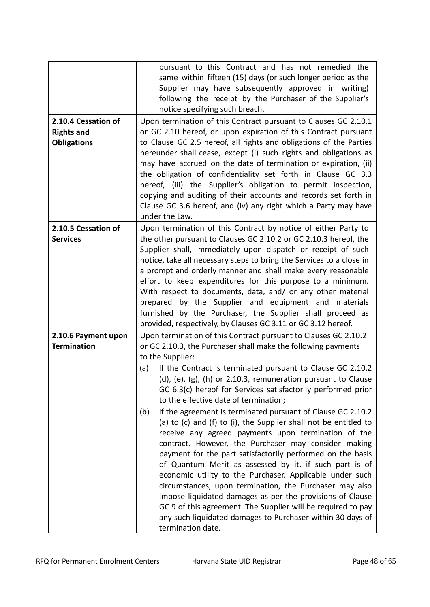| 2.10.4 Cessation of<br><b>Rights and</b><br><b>Obligations</b> | pursuant to this Contract and has not remedied the<br>same within fifteen (15) days (or such longer period as the<br>Supplier may have subsequently approved in writing)<br>following the receipt by the Purchaser of the Supplier's<br>notice specifying such breach.<br>Upon termination of this Contract pursuant to Clauses GC 2.10.1<br>or GC 2.10 hereof, or upon expiration of this Contract pursuant<br>to Clause GC 2.5 hereof, all rights and obligations of the Parties<br>hereunder shall cease, except (i) such rights and obligations as<br>may have accrued on the date of termination or expiration, (ii)<br>the obligation of confidentiality set forth in Clause GC 3.3<br>hereof, (iii) the Supplier's obligation to permit inspection,<br>copying and auditing of their accounts and records set forth in<br>Clause GC 3.6 hereof, and (iv) any right which a Party may have<br>under the Law.                                                                                                                                                                                                          |
|----------------------------------------------------------------|-----------------------------------------------------------------------------------------------------------------------------------------------------------------------------------------------------------------------------------------------------------------------------------------------------------------------------------------------------------------------------------------------------------------------------------------------------------------------------------------------------------------------------------------------------------------------------------------------------------------------------------------------------------------------------------------------------------------------------------------------------------------------------------------------------------------------------------------------------------------------------------------------------------------------------------------------------------------------------------------------------------------------------------------------------------------------------------------------------------------------------|
| 2.10.5 Cessation of<br><b>Services</b>                         | Upon termination of this Contract by notice of either Party to<br>the other pursuant to Clauses GC 2.10.2 or GC 2.10.3 hereof, the<br>Supplier shall, immediately upon dispatch or receipt of such<br>notice, take all necessary steps to bring the Services to a close in<br>a prompt and orderly manner and shall make every reasonable<br>effort to keep expenditures for this purpose to a minimum.<br>With respect to documents, data, and/ or any other material<br>prepared by the Supplier and equipment and materials<br>furnished by the Purchaser, the Supplier shall proceed as<br>provided, respectively, by Clauses GC 3.11 or GC 3.12 hereof.                                                                                                                                                                                                                                                                                                                                                                                                                                                                |
| 2.10.6 Payment upon<br><b>Termination</b>                      | Upon termination of this Contract pursuant to Clauses GC 2.10.2<br>or GC 2.10.3, the Purchaser shall make the following payments<br>to the Supplier:<br>If the Contract is terminated pursuant to Clause GC 2.10.2<br>(a)<br>(d), (e), (g), (h) or 2.10.3, remuneration pursuant to Clause<br>GC 6.3(c) hereof for Services satisfactorily performed prior<br>to the effective date of termination;<br>If the agreement is terminated pursuant of Clause GC 2.10.2<br>(b)<br>(a) to (c) and (f) to (i), the Supplier shall not be entitled to<br>receive any agreed payments upon termination of the<br>contract. However, the Purchaser may consider making<br>payment for the part satisfactorily performed on the basis<br>of Quantum Merit as assessed by it, if such part is of<br>economic utility to the Purchaser. Applicable under such<br>circumstances, upon termination, the Purchaser may also<br>impose liquidated damages as per the provisions of Clause<br>GC 9 of this agreement. The Supplier will be required to pay<br>any such liquidated damages to Purchaser within 30 days of<br>termination date. |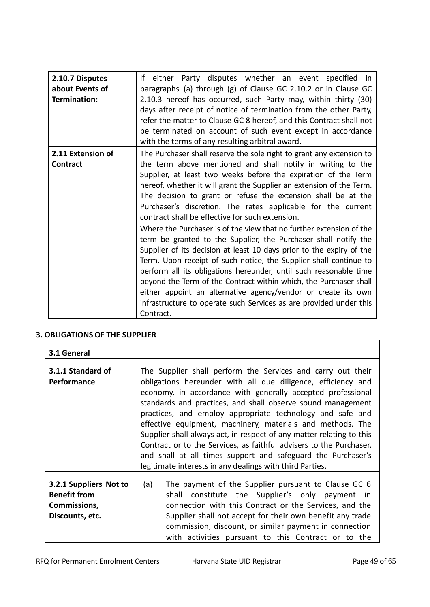| 2.10.7 Disputes<br>about Events of | If either Party disputes whether an event specified in<br>paragraphs (a) through (g) of Clause GC 2.10.2 or in Clause GC                                                                                                                                                                                                                                                                                                                                                                                                                                                                                                                                                                                                                                                                                                                                                                                                                                                       |
|------------------------------------|--------------------------------------------------------------------------------------------------------------------------------------------------------------------------------------------------------------------------------------------------------------------------------------------------------------------------------------------------------------------------------------------------------------------------------------------------------------------------------------------------------------------------------------------------------------------------------------------------------------------------------------------------------------------------------------------------------------------------------------------------------------------------------------------------------------------------------------------------------------------------------------------------------------------------------------------------------------------------------|
| Termination:                       | 2.10.3 hereof has occurred, such Party may, within thirty (30)<br>days after receipt of notice of termination from the other Party,<br>refer the matter to Clause GC 8 hereof, and this Contract shall not                                                                                                                                                                                                                                                                                                                                                                                                                                                                                                                                                                                                                                                                                                                                                                     |
|                                    | be terminated on account of such event except in accordance<br>with the terms of any resulting arbitral award.                                                                                                                                                                                                                                                                                                                                                                                                                                                                                                                                                                                                                                                                                                                                                                                                                                                                 |
| 2.11 Extension of                  | The Purchaser shall reserve the sole right to grant any extension to                                                                                                                                                                                                                                                                                                                                                                                                                                                                                                                                                                                                                                                                                                                                                                                                                                                                                                           |
| <b>Contract</b>                    | the term above mentioned and shall notify in writing to the<br>Supplier, at least two weeks before the expiration of the Term<br>hereof, whether it will grant the Supplier an extension of the Term.<br>The decision to grant or refuse the extension shall be at the<br>Purchaser's discretion. The rates applicable for the current<br>contract shall be effective for such extension.<br>Where the Purchaser is of the view that no further extension of the<br>term be granted to the Supplier, the Purchaser shall notify the<br>Supplier of its decision at least 10 days prior to the expiry of the<br>Term. Upon receipt of such notice, the Supplier shall continue to<br>perform all its obligations hereunder, until such reasonable time<br>beyond the Term of the Contract within which, the Purchaser shall<br>either appoint an alternative agency/vendor or create its own<br>infrastructure to operate such Services as are provided under this<br>Contract. |

# **3. OBLIGATIONS OF THE SUPPLIER**

| 3.1 General                                                                      |                                                                                                                                                                                                                                                                                                                                                                                                                                                                                                                                                                                                                                                                 |
|----------------------------------------------------------------------------------|-----------------------------------------------------------------------------------------------------------------------------------------------------------------------------------------------------------------------------------------------------------------------------------------------------------------------------------------------------------------------------------------------------------------------------------------------------------------------------------------------------------------------------------------------------------------------------------------------------------------------------------------------------------------|
| 3.1.1 Standard of<br><b>Performance</b>                                          | The Supplier shall perform the Services and carry out their<br>obligations hereunder with all due diligence, efficiency and<br>economy, in accordance with generally accepted professional<br>standards and practices, and shall observe sound management<br>practices, and employ appropriate technology and safe and<br>effective equipment, machinery, materials and methods. The<br>Supplier shall always act, in respect of any matter relating to this<br>Contract or to the Services, as faithful advisers to the Purchaser,<br>and shall at all times support and safeguard the Purchaser's<br>legitimate interests in any dealings with third Parties. |
| 3.2.1 Suppliers Not to<br><b>Benefit from</b><br>Commissions,<br>Discounts, etc. | The payment of the Supplier pursuant to Clause GC 6<br>(a)<br>shall constitute the Supplier's only payment in<br>connection with this Contract or the Services, and the<br>Supplier shall not accept for their own benefit any trade<br>commission, discount, or similar payment in connection<br>with activities pursuant to this Contract or to the                                                                                                                                                                                                                                                                                                           |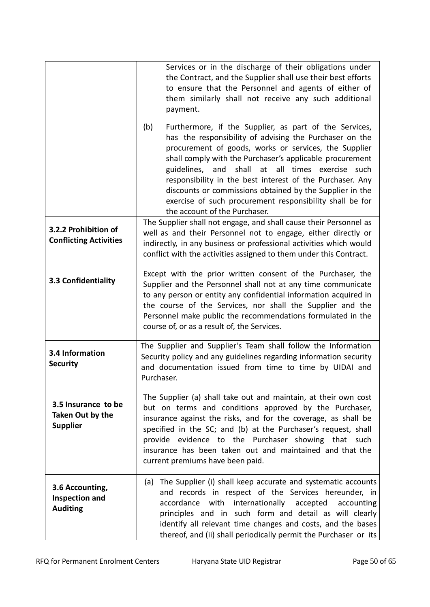|                                                            | Services or in the discharge of their obligations under<br>the Contract, and the Supplier shall use their best efforts<br>to ensure that the Personnel and agents of either of<br>them similarly shall not receive any such additional<br>payment.                                                                                                                                                                                                                                                                      |
|------------------------------------------------------------|-------------------------------------------------------------------------------------------------------------------------------------------------------------------------------------------------------------------------------------------------------------------------------------------------------------------------------------------------------------------------------------------------------------------------------------------------------------------------------------------------------------------------|
|                                                            | Furthermore, if the Supplier, as part of the Services,<br>(b)<br>has the responsibility of advising the Purchaser on the<br>procurement of goods, works or services, the Supplier<br>shall comply with the Purchaser's applicable procurement<br>guidelines, and shall at all times exercise such<br>responsibility in the best interest of the Purchaser. Any<br>discounts or commissions obtained by the Supplier in the<br>exercise of such procurement responsibility shall be for<br>the account of the Purchaser. |
| 3.2.2 Prohibition of<br><b>Conflicting Activities</b>      | The Supplier shall not engage, and shall cause their Personnel as<br>well as and their Personnel not to engage, either directly or<br>indirectly, in any business or professional activities which would<br>conflict with the activities assigned to them under this Contract.                                                                                                                                                                                                                                          |
| 3.3 Confidentiality                                        | Except with the prior written consent of the Purchaser, the<br>Supplier and the Personnel shall not at any time communicate<br>to any person or entity any confidential information acquired in<br>the course of the Services, nor shall the Supplier and the<br>Personnel make public the recommendations formulated in the<br>course of, or as a result of, the Services.                                                                                                                                             |
| 3.4 Information<br><b>Security</b>                         | The Supplier and Supplier's Team shall follow the Information<br>Security policy and any guidelines regarding information security<br>and documentation issued from time to time by UIDAI and<br>Purchaser.                                                                                                                                                                                                                                                                                                             |
| 3.5 Insurance to be<br>Taken Out by the<br><b>Supplier</b> | The Supplier (a) shall take out and maintain, at their own cost<br>but on terms and conditions approved by the Purchaser,<br>insurance against the risks, and for the coverage, as shall be<br>specified in the SC; and (b) at the Purchaser's request, shall<br>provide evidence to the Purchaser showing that such<br>insurance has been taken out and maintained and that the<br>current premiums have been paid.                                                                                                    |
| 3.6 Accounting,<br>Inspection and<br><b>Auditing</b>       | (a) The Supplier (i) shall keep accurate and systematic accounts<br>and records in respect of the Services hereunder, in<br>accordance with internationally accepted<br>accounting<br>principles and in such form and detail as will clearly<br>identify all relevant time changes and costs, and the bases<br>thereof, and (ii) shall periodically permit the Purchaser or its                                                                                                                                         |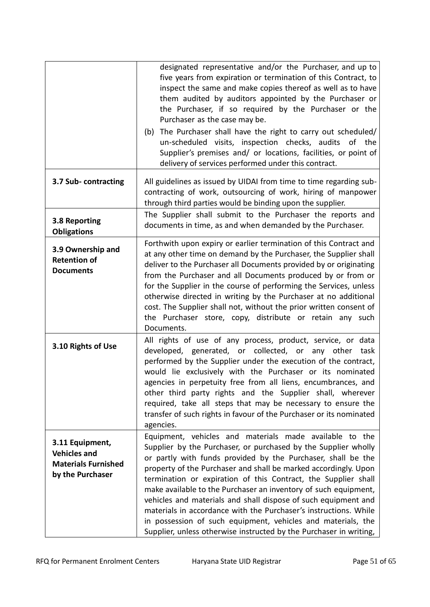|                                                                                          | designated representative and/or the Purchaser, and up to<br>five years from expiration or termination of this Contract, to<br>inspect the same and make copies thereof as well as to have<br>them audited by auditors appointed by the Purchaser or<br>the Purchaser, if so required by the Purchaser or the<br>Purchaser as the case may be.<br>(b) The Purchaser shall have the right to carry out scheduled/<br>un-scheduled visits, inspection checks, audits of the<br>Supplier's premises and/ or locations, facilities, or point of<br>delivery of services performed under this contract.                                                                            |
|------------------------------------------------------------------------------------------|-------------------------------------------------------------------------------------------------------------------------------------------------------------------------------------------------------------------------------------------------------------------------------------------------------------------------------------------------------------------------------------------------------------------------------------------------------------------------------------------------------------------------------------------------------------------------------------------------------------------------------------------------------------------------------|
| 3.7 Sub-contracting                                                                      | All guidelines as issued by UIDAI from time to time regarding sub-<br>contracting of work, outsourcing of work, hiring of manpower<br>through third parties would be binding upon the supplier.                                                                                                                                                                                                                                                                                                                                                                                                                                                                               |
| 3.8 Reporting<br><b>Obligations</b>                                                      | The Supplier shall submit to the Purchaser the reports and<br>documents in time, as and when demanded by the Purchaser.                                                                                                                                                                                                                                                                                                                                                                                                                                                                                                                                                       |
| 3.9 Ownership and<br><b>Retention of</b><br><b>Documents</b>                             | Forthwith upon expiry or earlier termination of this Contract and<br>at any other time on demand by the Purchaser, the Supplier shall<br>deliver to the Purchaser all Documents provided by or originating<br>from the Purchaser and all Documents produced by or from or<br>for the Supplier in the course of performing the Services, unless<br>otherwise directed in writing by the Purchaser at no additional<br>cost. The Supplier shall not, without the prior written consent of<br>the Purchaser store, copy, distribute or retain any such<br>Documents.                                                                                                             |
| 3.10 Rights of Use                                                                       | All rights of use of any process, product, service, or data<br>developed, generated, or collected, or any other task<br>performed by the Supplier under the execution of the contract,<br>would lie exclusively with the Purchaser or its nominated<br>agencies in perpetuity free from all liens, encumbrances, and<br>other third party rights and the Supplier shall, wherever<br>required, take all steps that may be necessary to ensure the<br>transfer of such rights in favour of the Purchaser or its nominated<br>agencies.                                                                                                                                         |
| 3.11 Equipment,<br><b>Vehicles and</b><br><b>Materials Furnished</b><br>by the Purchaser | Equipment, vehicles and materials made available to the<br>Supplier by the Purchaser, or purchased by the Supplier wholly<br>or partly with funds provided by the Purchaser, shall be the<br>property of the Purchaser and shall be marked accordingly. Upon<br>termination or expiration of this Contract, the Supplier shall<br>make available to the Purchaser an inventory of such equipment,<br>vehicles and materials and shall dispose of such equipment and<br>materials in accordance with the Purchaser's instructions. While<br>in possession of such equipment, vehicles and materials, the<br>Supplier, unless otherwise instructed by the Purchaser in writing, |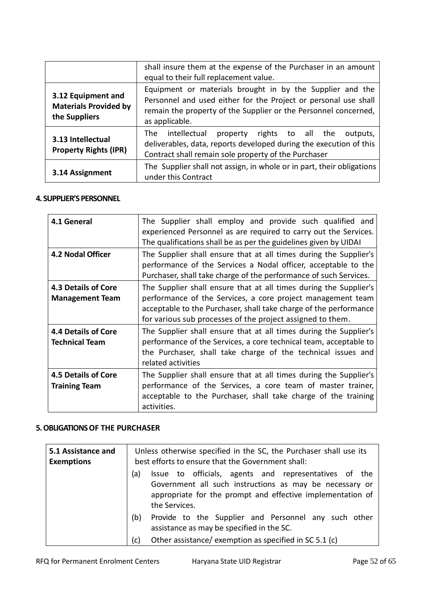|                                                                     | shall insure them at the expense of the Purchaser in an amount<br>equal to their full replacement value.                                                                                                          |
|---------------------------------------------------------------------|-------------------------------------------------------------------------------------------------------------------------------------------------------------------------------------------------------------------|
| 3.12 Equipment and<br><b>Materials Provided by</b><br>the Suppliers | Equipment or materials brought in by the Supplier and the<br>Personnel and used either for the Project or personal use shall<br>remain the property of the Supplier or the Personnel concerned,<br>as applicable. |
| 3.13 Intellectual<br><b>Property Rights (IPR)</b>                   | The intellectual<br>property rights to all the<br>outputs,<br>deliverables, data, reports developed during the execution of this<br>Contract shall remain sole property of the Purchaser                          |
| 3.14 Assignment                                                     | The Supplier shall not assign, in whole or in part, their obligations<br>under this Contract                                                                                                                      |

#### **4. SUPPLIER'S PERSONNEL**

| 4.1 General                                          | The Supplier shall employ and provide such qualified and<br>experienced Personnel as are required to carry out the Services.<br>The qualifications shall be as per the guidelines given by UIDAI                                                                    |
|------------------------------------------------------|---------------------------------------------------------------------------------------------------------------------------------------------------------------------------------------------------------------------------------------------------------------------|
| <b>4.2 Nodal Officer</b>                             | The Supplier shall ensure that at all times during the Supplier's<br>performance of the Services a Nodal officer, acceptable to the<br>Purchaser, shall take charge of the performance of such Services.                                                            |
| <b>4.3 Details of Core</b><br><b>Management Team</b> | The Supplier shall ensure that at all times during the Supplier's<br>performance of the Services, a core project management team<br>acceptable to the Purchaser, shall take charge of the performance<br>for various sub processes of the project assigned to them. |
| <b>4.4 Details of Core</b><br><b>Technical Team</b>  | The Supplier shall ensure that at all times during the Supplier's<br>performance of the Services, a core technical team, acceptable to<br>the Purchaser, shall take charge of the technical issues and<br>related activities                                        |
| <b>4.5 Details of Core</b><br><b>Training Team</b>   | The Supplier shall ensure that at all times during the Supplier's<br>performance of the Services, a core team of master trainer,<br>acceptable to the Purchaser, shall take charge of the training<br>activities.                                                   |

#### **5. OBLIGATIONS OF THE PURCHASER**

| 5.1 Assistance and<br><b>Exemptions</b> | Unless otherwise specified in the SC, the Purchaser shall use its<br>best efforts to ensure that the Government shall:                                                                                 |
|-----------------------------------------|--------------------------------------------------------------------------------------------------------------------------------------------------------------------------------------------------------|
|                                         | Issue to officials, agents and representatives of the<br>(a)<br>Government all such instructions as may be necessary or<br>appropriate for the prompt and effective implementation of<br>the Services. |
|                                         | Provide to the Supplier and Personnel any such other<br>(b)<br>assistance as may be specified in the SC.                                                                                               |
|                                         | Other assistance/ exemption as specified in SC 5.1 (c)<br>(c)                                                                                                                                          |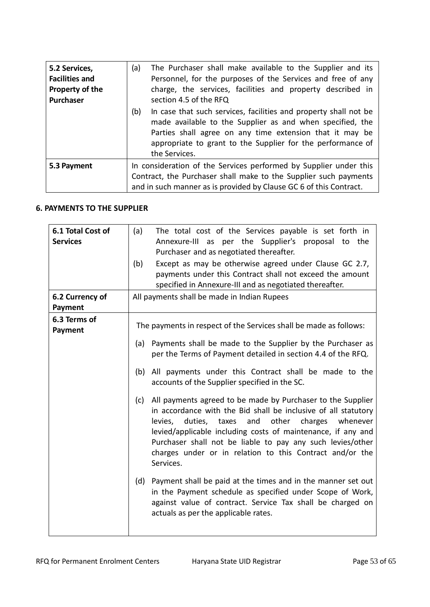| 5.2 Services,<br><b>Facilities and</b><br>Property of the<br>Purchaser | (a)<br>The Purchaser shall make available to the Supplier and its<br>Personnel, for the purposes of the Services and free of any<br>charge, the services, facilities and property described in<br>section 4.5 of the RFQ                                                         |
|------------------------------------------------------------------------|----------------------------------------------------------------------------------------------------------------------------------------------------------------------------------------------------------------------------------------------------------------------------------|
|                                                                        | (b)<br>In case that such services, facilities and property shall not be<br>made available to the Supplier as and when specified, the<br>Parties shall agree on any time extension that it may be<br>appropriate to grant to the Supplier for the performance of<br>the Services. |
| 5.3 Payment                                                            | In consideration of the Services performed by Supplier under this<br>Contract, the Purchaser shall make to the Supplier such payments<br>and in such manner as is provided by Clause GC 6 of this Contract.                                                                      |

# **6. PAYMENTS TO THE SUPPLIER**

| 6.1 Total Cost of<br><b>Services</b> | The total cost of the Services payable is set forth in<br>(a)<br>Annexure-III as per the Supplier's proposal to the<br>Purchaser and as negotiated thereafter.<br>Except as may be otherwise agreed under Clause GC 2.7,<br>(b)<br>payments under this Contract shall not exceed the amount<br>specified in Annexure-III and as negotiated thereafter.                                                                                                                                                                                                                                                                                                                                                                                                                                                                                                                                                                                                                        |
|--------------------------------------|-------------------------------------------------------------------------------------------------------------------------------------------------------------------------------------------------------------------------------------------------------------------------------------------------------------------------------------------------------------------------------------------------------------------------------------------------------------------------------------------------------------------------------------------------------------------------------------------------------------------------------------------------------------------------------------------------------------------------------------------------------------------------------------------------------------------------------------------------------------------------------------------------------------------------------------------------------------------------------|
| 6.2 Currency of<br>Payment           | All payments shall be made in Indian Rupees                                                                                                                                                                                                                                                                                                                                                                                                                                                                                                                                                                                                                                                                                                                                                                                                                                                                                                                                   |
| 6.3 Terms of<br>Payment              | The payments in respect of the Services shall be made as follows:<br>Payments shall be made to the Supplier by the Purchaser as<br>(a)<br>per the Terms of Payment detailed in section 4.4 of the RFQ.<br>All payments under this Contract shall be made to the<br>(b)<br>accounts of the Supplier specified in the SC.<br>All payments agreed to be made by Purchaser to the Supplier<br>(c)<br>in accordance with the Bid shall be inclusive of all statutory<br>and<br>other<br>charges whenever<br>levies,<br>duties, taxes<br>levied/applicable including costs of maintenance, if any and<br>Purchaser shall not be liable to pay any such levies/other<br>charges under or in relation to this Contract and/or the<br>Services.<br>(d) Payment shall be paid at the times and in the manner set out<br>in the Payment schedule as specified under Scope of Work,<br>against value of contract. Service Tax shall be charged on<br>actuals as per the applicable rates. |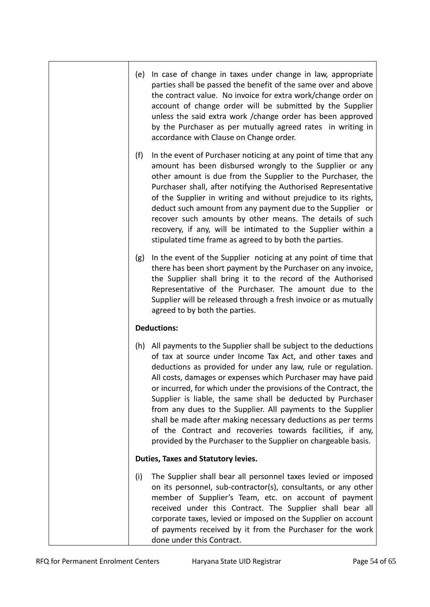(e) In case of change in taxes under change in law, appropriate parties shall be passed the benefit of the same over and above the contract value. No invoice for extra work/change order on account of change order will be submitted by the Supplier unless the said extra work /change order has been approved by the Purchaser as per mutually agreed rates in writing in accordance with Clause on Change order. (f) In the event of Purchaser noticing at any point of time that any amount has been disbursed wrongly to the Supplier or any other amount is due from the Supplier to the Purchaser, the Purchaser shall, after notifying the Authorised Representative of the Supplier in writing and without prejudice to its rights, deduct such amount from any payment due to the Supplier or recover such amounts by other means. The details of such recovery, if any, will be intimated to the Supplier within a stipulated time frame as agreed to by both the parties. (g) In the event of the Supplier noticing at any point of time that there has been short payment by the Purchaser on any invoice, the Supplier shall bring it to the record of the Authorised Representative of the Purchaser. The amount due to the Supplier will be released through a fresh invoice or as mutually agreed to by both the parties. **Deductions:** (h) All payments to the Supplier shall be subject to the deductions of tax at source under Income Tax Act, and other taxes and deductions as provided for under any law, rule or regulation. All costs, damages or expenses which Purchaser may have paid or incurred, for which under the provisions of the Contract, the Supplier is liable, the same shall be deducted by Purchaser from any dues to the Supplier. All payments to the Supplier shall be made after making necessary deductions as per terms of the Contract and recoveries towards facilities, if any, provided by the Purchaser to the Supplier on chargeable basis. **Duties, Taxes and Statutory levies.** (i) The Supplier shall bear all personnel taxes levied or imposed on its personnel, sub-contractor(s), consultants, or any other member of Supplier's Team, etc. on account of payment received under this Contract. The Supplier shall bear all corporate taxes, levied or imposed on the Supplier on account of payments received by it from the Purchaser for the work done under this Contract.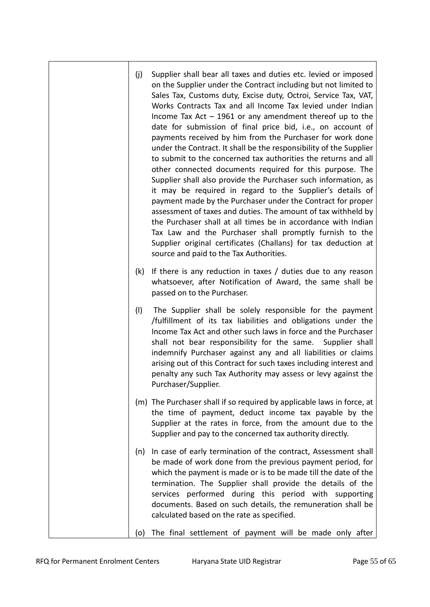- (j) Supplier shall bear all taxes and duties etc. levied or imposed on the Supplier under the Contract including but not limited to Sales Tax, Customs duty, Excise duty, Octroi, Service Tax, VAT, Works Contracts Tax and all Income Tax levied under Indian Income Tax Act – 1961 or any amendment thereof up to the date for submission of final price bid, i.e., on account of payments received by him from the Purchaser for work done under the Contract. It shall be the responsibility of the Supplier to submit to the concerned tax authorities the returns and all other connected documents required for this purpose. The Supplier shall also provide the Purchaser such information, as it may be required in regard to the Supplier's details of payment made by the Purchaser under the Contract for proper assessment of taxes and duties. The amount of tax withheld by the Purchaser shall at all times be in accordance with Indian Tax Law and the Purchaser shall promptly furnish to the Supplier original certificates (Challans) for tax deduction at source and paid to the Tax Authorities.
- (k) If there is any reduction in taxes / duties due to any reason whatsoever, after Notification of Award, the same shall be passed on to the Purchaser.
- (l) The Supplier shall be solely responsible for the payment /fulfillment of its tax liabilities and obligations under the Income Tax Act and other such laws in force and the Purchaser shall not bear responsibility for the same. Supplier shall indemnify Purchaser against any and all liabilities or claims arising out of this Contract for such taxes including interest and penalty any such Tax Authority may assess or levy against the Purchaser/Supplier.
- (m) The Purchaser shall if so required by applicable laws in force, at the time of payment, deduct income tax payable by the Supplier at the rates in force, from the amount due to the Supplier and pay to the concerned tax authority directly.
- (n) In case of early termination of the contract, Assessment shall be made of work done from the previous payment period, for which the payment is made or is to be made till the date of the termination. The Supplier shall provide the details of the services performed during this period with supporting documents. Based on such details, the remuneration shall be calculated based on the rate as specified.
- (o) The final settlement of payment will be made only after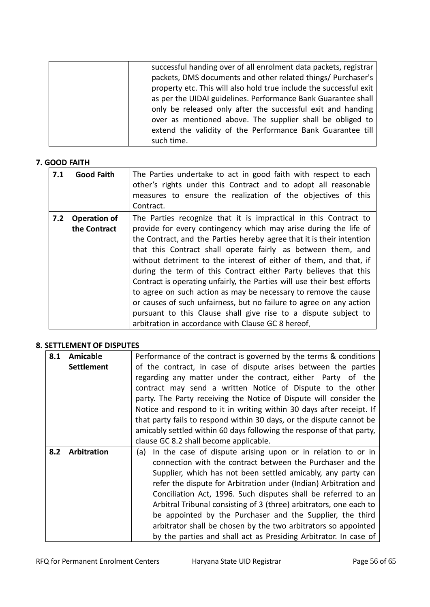| successful handing over of all enrolment data packets, registrar   |
|--------------------------------------------------------------------|
| packets, DMS documents and other related things/ Purchaser's       |
| property etc. This will also hold true include the successful exit |
| as per the UIDAI guidelines. Performance Bank Guarantee shall      |
| only be released only after the successful exit and handing        |
| over as mentioned above. The supplier shall be obliged to          |
| extend the validity of the Performance Bank Guarantee till         |
| such time.                                                         |
|                                                                    |

# **7. GOOD FAITH**

| 7.1 | <b>Good Faith</b>                   | The Parties undertake to act in good faith with respect to each<br>other's rights under this Contract and to adopt all reasonable<br>measures to ensure the realization of the objectives of this<br>Contract.                                                                                                                                                                                                                                                                                                                                                                                                                                                                                                                                                       |
|-----|-------------------------------------|----------------------------------------------------------------------------------------------------------------------------------------------------------------------------------------------------------------------------------------------------------------------------------------------------------------------------------------------------------------------------------------------------------------------------------------------------------------------------------------------------------------------------------------------------------------------------------------------------------------------------------------------------------------------------------------------------------------------------------------------------------------------|
| 7.2 | <b>Operation of</b><br>the Contract | The Parties recognize that it is impractical in this Contract to<br>provide for every contingency which may arise during the life of<br>the Contract, and the Parties hereby agree that it is their intention<br>that this Contract shall operate fairly as between them, and<br>without detriment to the interest of either of them, and that, if<br>during the term of this Contract either Party believes that this<br>Contract is operating unfairly, the Parties will use their best efforts<br>to agree on such action as may be necessary to remove the cause<br>or causes of such unfairness, but no failure to agree on any action<br>pursuant to this Clause shall give rise to a dispute subject to<br>arbitration in accordance with Clause GC 8 hereof. |

# **8. SETTLEMENT OF DISPUTES**

| 8.1 | <b>Amicable</b>   | Performance of the contract is governed by the terms & conditions     |  |  |  |  |  |  |
|-----|-------------------|-----------------------------------------------------------------------|--|--|--|--|--|--|
|     | <b>Settlement</b> | of the contract, in case of dispute arises between the parties        |  |  |  |  |  |  |
|     |                   | regarding any matter under the contract, either Party of the          |  |  |  |  |  |  |
|     |                   | contract may send a written Notice of Dispute to the other            |  |  |  |  |  |  |
|     |                   | party. The Party receiving the Notice of Dispute will consider the    |  |  |  |  |  |  |
|     |                   | Notice and respond to it in writing within 30 days after receipt. If  |  |  |  |  |  |  |
|     |                   | that party fails to respond within 30 days, or the dispute cannot be  |  |  |  |  |  |  |
|     |                   | amicably settled within 60 days following the response of that party, |  |  |  |  |  |  |
|     |                   | clause GC 8.2 shall become applicable.                                |  |  |  |  |  |  |
| 8.2 | Arbitration       | In the case of dispute arising upon or in relation to or in<br>(a)    |  |  |  |  |  |  |
|     |                   | connection with the contract between the Purchaser and the            |  |  |  |  |  |  |
|     |                   | Supplier, which has not been settled amicably, any party can          |  |  |  |  |  |  |
|     |                   | refer the dispute for Arbitration under (Indian) Arbitration and      |  |  |  |  |  |  |
|     |                   | Conciliation Act, 1996. Such disputes shall be referred to an         |  |  |  |  |  |  |
|     |                   | Arbitral Tribunal consisting of 3 (three) arbitrators, one each to    |  |  |  |  |  |  |
|     |                   | be appointed by the Purchaser and the Supplier, the third             |  |  |  |  |  |  |
|     |                   | arbitrator shall be chosen by the two arbitrators so appointed        |  |  |  |  |  |  |
|     |                   | by the parties and shall act as Presiding Arbitrator. In case of      |  |  |  |  |  |  |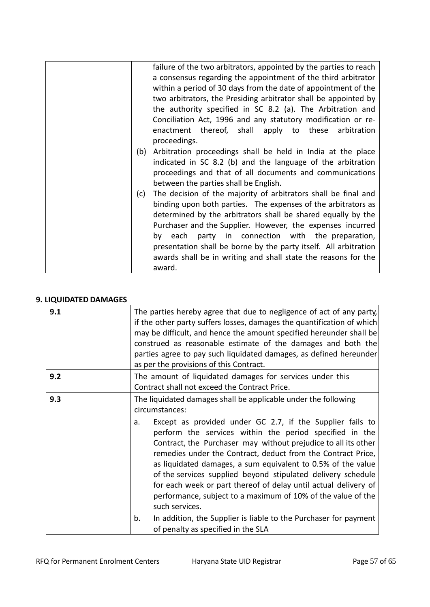| (b)<br>(c) | failure of the two arbitrators, appointed by the parties to reach<br>a consensus regarding the appointment of the third arbitrator<br>within a period of 30 days from the date of appointment of the<br>two arbitrators, the Presiding arbitrator shall be appointed by<br>the authority specified in SC 8.2 (a). The Arbitration and<br>Conciliation Act, 1996 and any statutory modification or re-<br>enactment thereof, shall apply to these<br>arbitration<br>proceedings.<br>Arbitration proceedings shall be held in India at the place<br>indicated in SC 8.2 (b) and the language of the arbitration<br>proceedings and that of all documents and communications<br>between the parties shall be English.<br>The decision of the majority of arbitrators shall be final and<br>binding upon both parties. The expenses of the arbitrators as<br>determined by the arbitrators shall be shared equally by the<br>Purchaser and the Supplier. However, the expenses incurred |
|------------|-------------------------------------------------------------------------------------------------------------------------------------------------------------------------------------------------------------------------------------------------------------------------------------------------------------------------------------------------------------------------------------------------------------------------------------------------------------------------------------------------------------------------------------------------------------------------------------------------------------------------------------------------------------------------------------------------------------------------------------------------------------------------------------------------------------------------------------------------------------------------------------------------------------------------------------------------------------------------------------|
|            | by each party in connection with the preparation,<br>presentation shall be borne by the party itself. All arbitration<br>awards shall be in writing and shall state the reasons for the<br>award.                                                                                                                                                                                                                                                                                                                                                                                                                                                                                                                                                                                                                                                                                                                                                                                   |

# **9. LIQUIDATED DAMAGES**

| 9.1 | The parties hereby agree that due to negligence of act of any party,<br>if the other party suffers losses, damages the quantification of which<br>may be difficult, and hence the amount specified hereunder shall be<br>construed as reasonable estimate of the damages and both the<br>parties agree to pay such liquidated damages, as defined hereunder<br>as per the provisions of this Contract.                                                                                                                                                                                                                                |
|-----|---------------------------------------------------------------------------------------------------------------------------------------------------------------------------------------------------------------------------------------------------------------------------------------------------------------------------------------------------------------------------------------------------------------------------------------------------------------------------------------------------------------------------------------------------------------------------------------------------------------------------------------|
| 9.2 | The amount of liquidated damages for services under this<br>Contract shall not exceed the Contract Price.                                                                                                                                                                                                                                                                                                                                                                                                                                                                                                                             |
| 9.3 | The liquidated damages shall be applicable under the following<br>circumstances:<br>Except as provided under GC 2.7, if the Supplier fails to<br>a.<br>perform the services within the period specified in the<br>Contract, the Purchaser may without prejudice to all its other<br>remedies under the Contract, deduct from the Contract Price,<br>as liquidated damages, a sum equivalent to 0.5% of the value<br>of the services supplied beyond stipulated delivery schedule<br>for each week or part thereof of delay until actual delivery of<br>performance, subject to a maximum of 10% of the value of the<br>such services. |
|     | In addition, the Supplier is liable to the Purchaser for payment<br>b.<br>of penalty as specified in the SLA                                                                                                                                                                                                                                                                                                                                                                                                                                                                                                                          |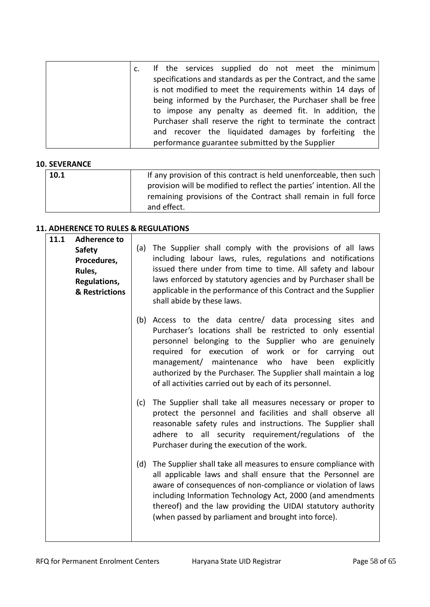|  |  |  | If the services supplied do not meet the minimum               |  |  |  |
|--|--|--|----------------------------------------------------------------|--|--|--|
|  |  |  | specifications and standards as per the Contract, and the same |  |  |  |
|  |  |  | is not modified to meet the requirements within 14 days of     |  |  |  |
|  |  |  | being informed by the Purchaser, the Purchaser shall be free   |  |  |  |
|  |  |  | to impose any penalty as deemed fit. In addition, the          |  |  |  |
|  |  |  | Purchaser shall reserve the right to terminate the contract    |  |  |  |
|  |  |  | and recover the liquidated damages by forfeiting the           |  |  |  |
|  |  |  | performance guarantee submitted by the Supplier                |  |  |  |

# **10. SEVERANCE**

| 10.1 | If any provision of this contract is held unenforceable, then such                                                                                      |
|------|---------------------------------------------------------------------------------------------------------------------------------------------------------|
|      | provision will be modified to reflect the parties' intention. All the<br>remaining provisions of the Contract shall remain in full force<br>and effect. |

# **11. ADHERENCE TO RULES & REGULATIONS**

| 11.1 | <b>Adherence to</b><br><b>Safety</b><br>Procedures,<br>Rules,<br>Regulations,<br>& Restrictions | (a) | The Supplier shall comply with the provisions of all laws<br>including labour laws, rules, regulations and notifications<br>issued there under from time to time. All safety and labour<br>laws enforced by statutory agencies and by Purchaser shall be<br>applicable in the performance of this Contract and the Supplier<br>shall abide by these laws.                                                              |
|------|-------------------------------------------------------------------------------------------------|-----|------------------------------------------------------------------------------------------------------------------------------------------------------------------------------------------------------------------------------------------------------------------------------------------------------------------------------------------------------------------------------------------------------------------------|
|      |                                                                                                 | (b) | Access to the data centre/ data processing sites and<br>Purchaser's locations shall be restricted to only essential<br>personnel belonging to the Supplier who are genuinely<br>required for execution of work or for carrying out<br>management/ maintenance who have been<br>explicitly<br>authorized by the Purchaser. The Supplier shall maintain a log<br>of all activities carried out by each of its personnel. |
|      |                                                                                                 | (c) | The Supplier shall take all measures necessary or proper to<br>protect the personnel and facilities and shall observe all<br>reasonable safety rules and instructions. The Supplier shall<br>adhere to all security requirement/regulations of the<br>Purchaser during the execution of the work.                                                                                                                      |
|      |                                                                                                 | (d) | The Supplier shall take all measures to ensure compliance with<br>all applicable laws and shall ensure that the Personnel are<br>aware of consequences of non-compliance or violation of laws<br>including Information Technology Act, 2000 (and amendments<br>thereof) and the law providing the UIDAI statutory authority<br>(when passed by parliament and brought into force).                                     |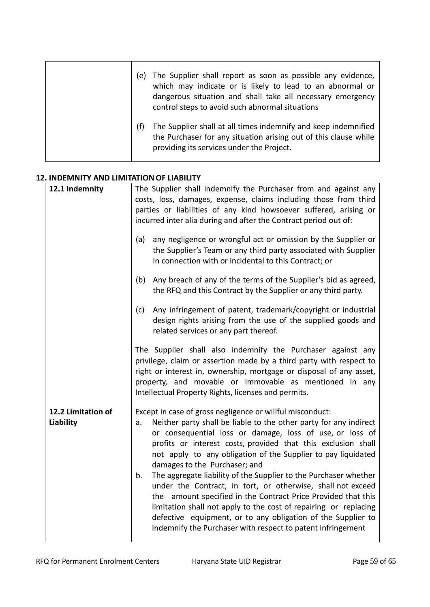| The Supplier shall report as soon as possible any evidence,<br>(e)<br>which may indicate or is likely to lead to an abnormal or<br>dangerous situation and shall take all necessary emergency<br>control steps to avoid such abnormal situations |
|--------------------------------------------------------------------------------------------------------------------------------------------------------------------------------------------------------------------------------------------------|
| The Supplier shall at all times indemnify and keep indemnified<br>(f)<br>the Purchaser for any situation arising out of this clause while<br>providing its services under the Project.                                                           |

# **12. INDEMNITY AND LIMITATION OF LIABILITY**

| 12.1 Indemnity                         | The Supplier shall indemnify the Purchaser from and against any<br>costs, loss, damages, expense, claims including those from third<br>parties or liabilities of any kind howsoever suffered, arising or<br>incurred inter alia during and after the Contract period out of:                                                                                                                                                                                                                                                                                                                                                                                                                                                                                                     |
|----------------------------------------|----------------------------------------------------------------------------------------------------------------------------------------------------------------------------------------------------------------------------------------------------------------------------------------------------------------------------------------------------------------------------------------------------------------------------------------------------------------------------------------------------------------------------------------------------------------------------------------------------------------------------------------------------------------------------------------------------------------------------------------------------------------------------------|
|                                        | any negligence or wrongful act or omission by the Supplier or<br>(a)<br>the Supplier's Team or any third party associated with Supplier<br>in connection with or incidental to this Contract; or                                                                                                                                                                                                                                                                                                                                                                                                                                                                                                                                                                                 |
|                                        | Any breach of any of the terms of the Supplier's bid as agreed,<br>(b)<br>the RFQ and this Contract by the Supplier or any third party.                                                                                                                                                                                                                                                                                                                                                                                                                                                                                                                                                                                                                                          |
|                                        | Any infringement of patent, trademark/copyright or industrial<br>(c)<br>design rights arising from the use of the supplied goods and<br>related services or any part thereof.                                                                                                                                                                                                                                                                                                                                                                                                                                                                                                                                                                                                    |
|                                        | The Supplier shall also indemnify the Purchaser against any<br>privilege, claim or assertion made by a third party with respect to<br>right or interest in, ownership, mortgage or disposal of any asset,<br>property, and movable or immovable as mentioned in any<br>Intellectual Property Rights, licenses and permits.                                                                                                                                                                                                                                                                                                                                                                                                                                                       |
| 12.2 Limitation of<br><b>Liability</b> | Except in case of gross negligence or willful misconduct:<br>Neither party shall be liable to the other party for any indirect<br>a.<br>or consequential loss or damage, loss of use, or loss of<br>profits or interest costs, provided that this exclusion shall<br>not apply to any obligation of the Supplier to pay liquidated<br>damages to the Purchaser; and<br>The aggregate liability of the Supplier to the Purchaser whether<br>b.<br>under the Contract, in tort, or otherwise, shall not exceed<br>the amount specified in the Contract Price Provided that this<br>limitation shall not apply to the cost of repairing or replacing<br>defective equipment, or to any obligation of the Supplier to<br>indemnify the Purchaser with respect to patent infringement |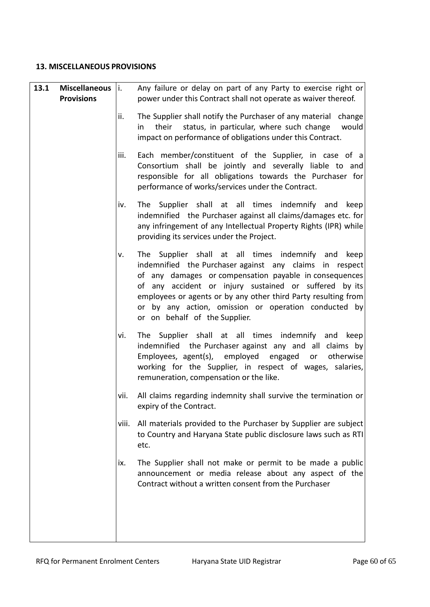#### **13. MISCELLANEOUS PROVISIONS**

| 13.1 | <b>Miscellaneous</b> | $\vert$ i. | Any failure or delay on part of any Party to exercise right or                                                                                                                                                                                                                                                                                                                                  |
|------|----------------------|------------|-------------------------------------------------------------------------------------------------------------------------------------------------------------------------------------------------------------------------------------------------------------------------------------------------------------------------------------------------------------------------------------------------|
|      | <b>Provisions</b>    |            | power under this Contract shall not operate as waiver thereof.                                                                                                                                                                                                                                                                                                                                  |
|      |                      | ii.        | The Supplier shall notify the Purchaser of any material<br>change<br>status, in particular, where such change<br>their<br>would<br>in<br>impact on performance of obligations under this Contract.                                                                                                                                                                                              |
|      |                      | iii.       | Each member/constituent of the Supplier, in case of a<br>Consortium shall be jointly and severally liable to and<br>responsible for all obligations towards the Purchaser for<br>performance of works/services under the Contract.                                                                                                                                                              |
|      |                      | iv.        | The Supplier shall at all times indemnify and<br>keep<br>indemnified the Purchaser against all claims/damages etc. for<br>any infringement of any Intellectual Property Rights (IPR) while<br>providing its services under the Project.                                                                                                                                                         |
|      |                      | ٧.         | The Supplier shall at all times indemnify and<br>keep<br>indemnified the Purchaser against any claims in respect<br>of any damages or compensation payable in consequences<br>of any accident or injury sustained or suffered by its<br>employees or agents or by any other third Party resulting from<br>or by any action, omission or operation conducted by<br>or on behalf of the Supplier. |
|      |                      | vi.        | The Supplier shall at all times indemnify and keep<br>indemnified the Purchaser against any and all claims by<br>Employees, agent(s), employed engaged<br>or otherwise<br>working for the Supplier, in respect of wages, salaries,<br>remuneration, compensation or the like.                                                                                                                   |
|      |                      | vii.       | All claims regarding indemnity shall survive the termination or<br>expiry of the Contract.                                                                                                                                                                                                                                                                                                      |
|      |                      | viii.      | All materials provided to the Purchaser by Supplier are subject<br>to Country and Haryana State public disclosure laws such as RTI<br>etc.                                                                                                                                                                                                                                                      |
|      |                      | ix.        | The Supplier shall not make or permit to be made a public<br>announcement or media release about any aspect of the<br>Contract without a written consent from the Purchaser                                                                                                                                                                                                                     |
|      |                      |            |                                                                                                                                                                                                                                                                                                                                                                                                 |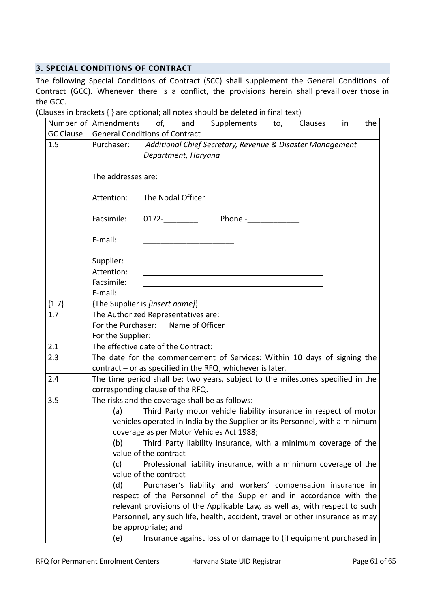# **3. SPECIAL CONDITIONS OF CONTRACT**

The following Special Conditions of Contract (SCC) shall supplement the General Conditions of Contract (GCC). Whenever there is a conflict, the provisions herein shall prevail over those in the GCC.

(Clauses in brackets { } are optional; all notes should be deleted in final text)

|                  | of, and Supplements<br>Number of Amendments<br>Clauses<br>the<br>to,<br>in                                                                                                                                                                                                                                                                                                                                                                                                                                                                                                                                                                                                                                                                                                                                                                                                    |  |  |  |  |  |  |  |  |  |  |  |  |
|------------------|-------------------------------------------------------------------------------------------------------------------------------------------------------------------------------------------------------------------------------------------------------------------------------------------------------------------------------------------------------------------------------------------------------------------------------------------------------------------------------------------------------------------------------------------------------------------------------------------------------------------------------------------------------------------------------------------------------------------------------------------------------------------------------------------------------------------------------------------------------------------------------|--|--|--|--|--|--|--|--|--|--|--|--|
| <b>GC Clause</b> | <b>General Conditions of Contract</b>                                                                                                                                                                                                                                                                                                                                                                                                                                                                                                                                                                                                                                                                                                                                                                                                                                         |  |  |  |  |  |  |  |  |  |  |  |  |
| 1.5              | Purchaser: Additional Chief Secretary, Revenue & Disaster Management<br>Department, Haryana                                                                                                                                                                                                                                                                                                                                                                                                                                                                                                                                                                                                                                                                                                                                                                                   |  |  |  |  |  |  |  |  |  |  |  |  |
|                  | The addresses are:                                                                                                                                                                                                                                                                                                                                                                                                                                                                                                                                                                                                                                                                                                                                                                                                                                                            |  |  |  |  |  |  |  |  |  |  |  |  |
|                  | The Nodal Officer<br>Attention:                                                                                                                                                                                                                                                                                                                                                                                                                                                                                                                                                                                                                                                                                                                                                                                                                                               |  |  |  |  |  |  |  |  |  |  |  |  |
|                  | Facsimile:<br>$0172 -$<br>Phone - The Second Second Second Second Second Second Second Second Second Second Second Second Second Second Second Second Second Second Second Second Second Second Second Second Second Second Second Second Second Second                                                                                                                                                                                                                                                                                                                                                                                                                                                                                                                                                                                                                       |  |  |  |  |  |  |  |  |  |  |  |  |
|                  | E-mail:                                                                                                                                                                                                                                                                                                                                                                                                                                                                                                                                                                                                                                                                                                                                                                                                                                                                       |  |  |  |  |  |  |  |  |  |  |  |  |
|                  | Supplier:                                                                                                                                                                                                                                                                                                                                                                                                                                                                                                                                                                                                                                                                                                                                                                                                                                                                     |  |  |  |  |  |  |  |  |  |  |  |  |
|                  | Attention:<br><u> 1980 - John Stein, marking and de Britain and de Britain and de Britain and de Britain and de Britain and de</u>                                                                                                                                                                                                                                                                                                                                                                                                                                                                                                                                                                                                                                                                                                                                            |  |  |  |  |  |  |  |  |  |  |  |  |
|                  | Facsimile:                                                                                                                                                                                                                                                                                                                                                                                                                                                                                                                                                                                                                                                                                                                                                                                                                                                                    |  |  |  |  |  |  |  |  |  |  |  |  |
|                  | E-mail:                                                                                                                                                                                                                                                                                                                                                                                                                                                                                                                                                                                                                                                                                                                                                                                                                                                                       |  |  |  |  |  |  |  |  |  |  |  |  |
| ${1.7}$          | {The Supplier is [insert name]}                                                                                                                                                                                                                                                                                                                                                                                                                                                                                                                                                                                                                                                                                                                                                                                                                                               |  |  |  |  |  |  |  |  |  |  |  |  |
| 1.7              | The Authorized Representatives are:<br>For the Purchaser: Name of Officer                                                                                                                                                                                                                                                                                                                                                                                                                                                                                                                                                                                                                                                                                                                                                                                                     |  |  |  |  |  |  |  |  |  |  |  |  |
|                  | For the Supplier:                                                                                                                                                                                                                                                                                                                                                                                                                                                                                                                                                                                                                                                                                                                                                                                                                                                             |  |  |  |  |  |  |  |  |  |  |  |  |
| 2.1              | The effective date of the Contract:                                                                                                                                                                                                                                                                                                                                                                                                                                                                                                                                                                                                                                                                                                                                                                                                                                           |  |  |  |  |  |  |  |  |  |  |  |  |
| 2.3              | The date for the commencement of Services: Within 10 days of signing the<br>contract $-$ or as specified in the RFQ, whichever is later.                                                                                                                                                                                                                                                                                                                                                                                                                                                                                                                                                                                                                                                                                                                                      |  |  |  |  |  |  |  |  |  |  |  |  |
| 2.4              | The time period shall be: two years, subject to the milestones specified in the<br>corresponding clause of the RFQ.                                                                                                                                                                                                                                                                                                                                                                                                                                                                                                                                                                                                                                                                                                                                                           |  |  |  |  |  |  |  |  |  |  |  |  |
| 3.5              | The risks and the coverage shall be as follows:<br>Third Party motor vehicle liability insurance in respect of motor<br>(a)<br>vehicles operated in India by the Supplier or its Personnel, with a minimum<br>coverage as per Motor Vehicles Act 1988;<br>Third Party liability insurance, with a minimum coverage of the<br>(b)<br>value of the contract<br>Professional liability insurance, with a minimum coverage of the<br>(c)<br>value of the contract<br>(d)<br>Purchaser's liability and workers' compensation insurance in<br>respect of the Personnel of the Supplier and in accordance with the<br>relevant provisions of the Applicable Law, as well as, with respect to such<br>Personnel, any such life, health, accident, travel or other insurance as may<br>be appropriate; and<br>Insurance against loss of or damage to (i) equipment purchased in<br>(e) |  |  |  |  |  |  |  |  |  |  |  |  |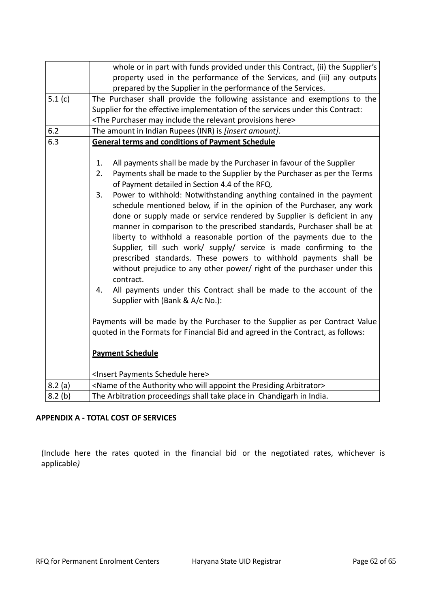|        | whole or in part with funds provided under this Contract, (ii) the Supplier's                                                                                                                                                                                                                                                                                                                                                                                                                                                                                                                                                                                                                                                         |  |  |  |  |  |  |  |  |  |  |  |  |
|--------|---------------------------------------------------------------------------------------------------------------------------------------------------------------------------------------------------------------------------------------------------------------------------------------------------------------------------------------------------------------------------------------------------------------------------------------------------------------------------------------------------------------------------------------------------------------------------------------------------------------------------------------------------------------------------------------------------------------------------------------|--|--|--|--|--|--|--|--|--|--|--|--|
|        | property used in the performance of the Services, and (iii) any outputs                                                                                                                                                                                                                                                                                                                                                                                                                                                                                                                                                                                                                                                               |  |  |  |  |  |  |  |  |  |  |  |  |
|        | prepared by the Supplier in the performance of the Services.                                                                                                                                                                                                                                                                                                                                                                                                                                                                                                                                                                                                                                                                          |  |  |  |  |  |  |  |  |  |  |  |  |
| 5.1(c) | The Purchaser shall provide the following assistance and exemptions to the                                                                                                                                                                                                                                                                                                                                                                                                                                                                                                                                                                                                                                                            |  |  |  |  |  |  |  |  |  |  |  |  |
|        | Supplier for the effective implementation of the services under this Contract:                                                                                                                                                                                                                                                                                                                                                                                                                                                                                                                                                                                                                                                        |  |  |  |  |  |  |  |  |  |  |  |  |
|        | <the here="" include="" may="" provisions="" purchaser="" relevant="" the=""></the>                                                                                                                                                                                                                                                                                                                                                                                                                                                                                                                                                                                                                                                   |  |  |  |  |  |  |  |  |  |  |  |  |
| 6.2    | The amount in Indian Rupees (INR) is [insert amount].                                                                                                                                                                                                                                                                                                                                                                                                                                                                                                                                                                                                                                                                                 |  |  |  |  |  |  |  |  |  |  |  |  |
| 6.3    | <b>General terms and conditions of Payment Schedule</b>                                                                                                                                                                                                                                                                                                                                                                                                                                                                                                                                                                                                                                                                               |  |  |  |  |  |  |  |  |  |  |  |  |
|        | All payments shall be made by the Purchaser in favour of the Supplier<br>1.                                                                                                                                                                                                                                                                                                                                                                                                                                                                                                                                                                                                                                                           |  |  |  |  |  |  |  |  |  |  |  |  |
|        | 2.<br>Payments shall be made to the Supplier by the Purchaser as per the Terms<br>of Payment detailed in Section 4.4 of the RFQ.                                                                                                                                                                                                                                                                                                                                                                                                                                                                                                                                                                                                      |  |  |  |  |  |  |  |  |  |  |  |  |
|        | Power to withhold: Notwithstanding anything contained in the payment<br>3.<br>schedule mentioned below, if in the opinion of the Purchaser, any work<br>done or supply made or service rendered by Supplier is deficient in any<br>manner in comparison to the prescribed standards, Purchaser shall be at<br>liberty to withhold a reasonable portion of the payments due to the<br>Supplier, till such work/ supply/ service is made confirming to the<br>prescribed standards. These powers to withhold payments shall be<br>without prejudice to any other power/ right of the purchaser under this<br>contract.<br>All payments under this Contract shall be made to the account of the<br>4.<br>Supplier with (Bank & A/c No.): |  |  |  |  |  |  |  |  |  |  |  |  |
|        | Payments will be made by the Purchaser to the Supplier as per Contract Value<br>quoted in the Formats for Financial Bid and agreed in the Contract, as follows:                                                                                                                                                                                                                                                                                                                                                                                                                                                                                                                                                                       |  |  |  |  |  |  |  |  |  |  |  |  |
|        | <b>Payment Schedule</b>                                                                                                                                                                                                                                                                                                                                                                                                                                                                                                                                                                                                                                                                                                               |  |  |  |  |  |  |  |  |  |  |  |  |
|        | <insert here="" payments="" schedule=""></insert>                                                                                                                                                                                                                                                                                                                                                                                                                                                                                                                                                                                                                                                                                     |  |  |  |  |  |  |  |  |  |  |  |  |
| 8.2(a) | <name appoint="" arbitrator="" authority="" of="" presiding="" the="" who="" will=""></name>                                                                                                                                                                                                                                                                                                                                                                                                                                                                                                                                                                                                                                          |  |  |  |  |  |  |  |  |  |  |  |  |
| 8.2(b) | The Arbitration proceedings shall take place in Chandigarh in India.                                                                                                                                                                                                                                                                                                                                                                                                                                                                                                                                                                                                                                                                  |  |  |  |  |  |  |  |  |  |  |  |  |

# **APPENDIX A - TOTAL COST OF SERVICES**

(Include here the rates quoted in the financial bid or the negotiated rates, whichever is applicable*)*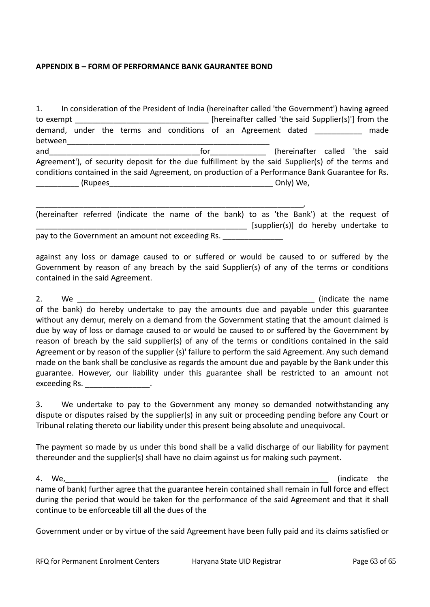#### **APPENDIX B – FORM OF PERFORMANCE BANK GAURANTEE BOND**

1. In consideration of the President of India (hereinafter called 'the Government') having agreed to exempt \_\_\_\_\_\_\_\_\_\_\_\_\_\_\_\_\_\_\_\_\_\_\_\_\_\_\_\_\_\_\_ [hereinafter called 'the said Supplier(s)'] from the demand, under the terms and conditions of an Agreement dated and made between\_\_\_\_\_\_\_\_\_\_\_\_\_\_\_\_\_\_\_\_\_\_\_\_\_\_\_\_\_\_\_\_\_\_\_\_\_\_\_\_\_\_\_\_\_\_\_ and\_\_\_\_\_\_\_\_\_\_\_\_\_\_\_\_\_\_\_\_\_\_\_\_\_\_\_\_\_\_\_\_\_\_\_for\_\_\_\_\_\_\_\_\_\_\_\_\_ (hereinafter called 'the said Agreement'), of security deposit for the due fulfillment by the said Supplier(s) of the terms and conditions contained in the said Agreement, on production of a Performance Bank Guarantee for Rs. \_\_\_\_\_\_\_\_\_\_ (Rupees\_\_\_\_\_\_\_\_\_\_\_\_\_\_\_\_\_\_\_\_\_\_\_\_\_\_\_\_\_\_\_\_\_\_\_\_\_\_ Only) We,

| (hereinafter referred (indicate the name of the bank) to as 'the Bank') at the request of |  |  |  |  |  |  |                                      |  |
|-------------------------------------------------------------------------------------------|--|--|--|--|--|--|--------------------------------------|--|
|                                                                                           |  |  |  |  |  |  | [supplier(s)] do hereby undertake to |  |
| pay to the Government an amount not exceeding Rs.                                         |  |  |  |  |  |  |                                      |  |

against any loss or damage caused to or suffered or would be caused to or suffered by the Government by reason of any breach by the said Supplier(s) of any of the terms or conditions contained in the said Agreement.

2. We **analyze the name** (indicate the name of the bank) do hereby undertake to pay the amounts due and payable under this guarantee without any demur, merely on a demand from the Government stating that the amount claimed is due by way of loss or damage caused to or would be caused to or suffered by the Government by reason of breach by the said supplier(s) of any of the terms or conditions contained in the said Agreement or by reason of the supplier (s)' failure to perform the said Agreement. Any such demand made on the bank shall be conclusive as regards the amount due and payable by the Bank under this guarantee. However, our liability under this guarantee shall be restricted to an amount not exceeding Rs. \_\_\_\_\_\_\_\_\_\_\_\_\_\_\_\_\_.

3. We undertake to pay to the Government any money so demanded notwithstanding any dispute or disputes raised by the supplier(s) in any suit or proceeding pending before any Court or Tribunal relating thereto our liability under this present being absolute and unequivocal.

The payment so made by us under this bond shall be a valid discharge of our liability for payment thereunder and the supplier(s) shall have no claim against us for making such payment.

4. We, the contract of the contract of the contract of the contract of the contract of the contract of the contract of the contract of the contract of the contract of the contract of the contract of the contract of the con name of bank) further agree that the guarantee herein contained shall remain in full force and effect during the period that would be taken for the performance of the said Agreement and that it shall continue to be enforceable till all the dues of the

Government under or by virtue of the said Agreement have been fully paid and its claims satisfied or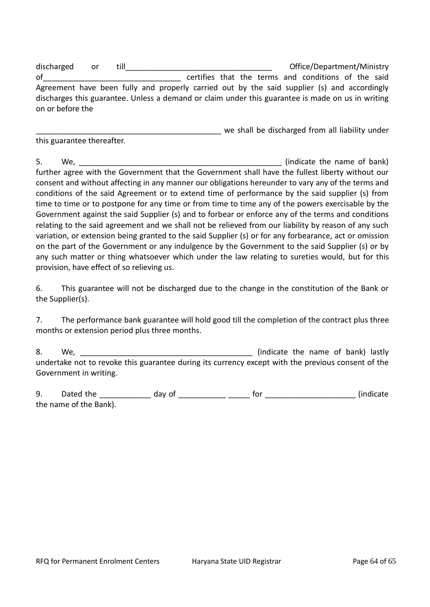discharged or till\_\_\_\_\_\_\_\_\_\_\_\_\_\_\_\_\_\_\_\_\_\_\_\_\_\_\_\_\_\_\_\_\_\_ Office/Department/Ministry of\_\_\_\_\_\_\_\_\_\_\_\_\_\_\_\_\_\_\_\_\_\_\_\_\_\_\_\_\_\_\_\_ certifies that the terms and conditions of the said Agreement have been fully and properly carried out by the said supplier (s) and accordingly discharges this guarantee. Unless a demand or claim under this guarantee is made on us in writing on or before the

we shall be discharged from all liability under this guarantee thereafter.

5. We, we suppose the name of bank) further agree with the Government that the Government shall have the fullest liberty without our consent and without affecting in any manner our obligations hereunder to vary any of the terms and conditions of the said Agreement or to extend time of performance by the said supplier (s) from time to time or to postpone for any time or from time to time any of the powers exercisable by the Government against the said Supplier (s) and to forbear or enforce any of the terms and conditions relating to the said agreement and we shall not be relieved from our liability by reason of any such variation, or extension being granted to the said Supplier (s) or for any forbearance, act or omission on the part of the Government or any indulgence by the Government to the said Supplier (s) or by any such matter or thing whatsoever which under the law relating to sureties would, but for this provision, have effect of so relieving us.

6. This guarantee will not be discharged due to the change in the constitution of the Bank or the Supplier(s).

7. The performance bank guarantee will hold good till the completion of the contract plus three months or extension period plus three months.

8. We, \_\_\_\_\_\_\_\_\_\_\_\_\_\_\_\_\_\_\_\_\_\_\_\_\_\_\_\_\_\_\_\_\_\_\_\_\_\_\_\_ (indicate the name of bank) lastly undertake not to revoke this guarantee during its currency except with the previous consent of the Government in writing.

9. Dated the \_\_\_\_\_\_\_\_\_\_\_\_ day of \_\_\_\_\_\_\_\_\_\_\_ \_\_\_\_\_ for \_\_\_\_\_\_\_\_\_\_\_\_\_\_\_\_\_\_\_\_\_ (indicate the name of the Bank).